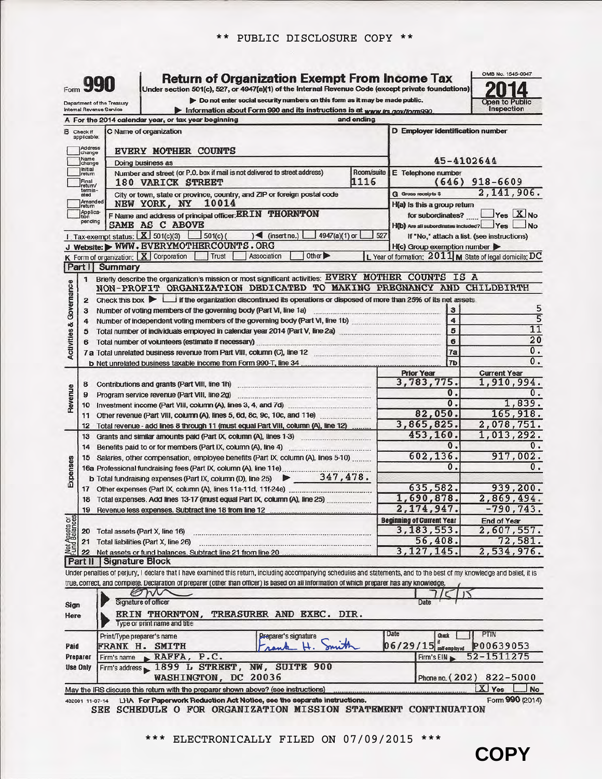| Form 990<br>Department of the Treasury<br>Internal Revenue Service | <b>Return of Organization Exempt From Income Tax</b><br>Under section 501(c), 527, or 4947(a)(1) of the Internal Revenue Code (except private foundations)<br>> Do not enter social security numbers on this form as it may be made public.<br>Information about Form 990 and its instructions is at www.irs.gov/form990. |                                                    | <b>Open to Public</b><br>Inspection                     |
|--------------------------------------------------------------------|---------------------------------------------------------------------------------------------------------------------------------------------------------------------------------------------------------------------------------------------------------------------------------------------------------------------------|----------------------------------------------------|---------------------------------------------------------|
|                                                                    | A For the 2014 calendar year, or tax year beginning<br>and ending                                                                                                                                                                                                                                                         |                                                    |                                                         |
| <b>B</b> Check if<br>applicable:                                   | C Name of organization                                                                                                                                                                                                                                                                                                    | D Employer identification number                   |                                                         |
| Address                                                            | <b>EVERY MOTHER COUNTS</b>                                                                                                                                                                                                                                                                                                |                                                    |                                                         |
| change<br>Name<br>change                                           | Doing business as                                                                                                                                                                                                                                                                                                         |                                                    | 45-4102644                                              |
| <b>Initial</b><br>return                                           | Number and street (or P.O. box if mail is not delivered to street address)<br>Room/suite                                                                                                                                                                                                                                  | E Telephone number                                 |                                                         |
| Final<br>return/<br>termin-                                        | 1116<br>180 VARICK STREET                                                                                                                                                                                                                                                                                                 |                                                    | $(646)$ 918-6609                                        |
| ated<br>Amended                                                    | City or town, state or province, country, and ZIP or foreign postal code<br>10014<br>NEW YORK, NY                                                                                                                                                                                                                         | G Gross receipts \$<br>H(a) is this a group return | 2,141,906.                                              |
| return<br>Applica-                                                 | F Name and address of principal officer: <b>ERIN</b> THORNTON                                                                                                                                                                                                                                                             | for subordinates?                                  | $Yes$ $Xno$                                             |
| pending                                                            | SAME AS C ABOVE                                                                                                                                                                                                                                                                                                           | H(b) Are all subordinates included? Yes            | No.                                                     |
|                                                                    | 1. Tax-exempt status: $X \overline{3}$ 501(c)(3) 501(c)(<br>$\leq$ (insert no.)<br>4947(a)(1) or<br>527                                                                                                                                                                                                                   |                                                    | If "No," attach a list. (see instructions)              |
|                                                                    | J Website: WWW.EVERYMOTHERCOUNTS.ORG<br>Other $\blacktriangleright$<br>Trust<br>Association                                                                                                                                                                                                                               | H(c) Group exemption number                        | L Year of formation: 2011 M State of legal domicile: DC |
| Part I                                                             | $K$ Form of organization: $\boxed{X}$ Corporation<br>Summary                                                                                                                                                                                                                                                              |                                                    |                                                         |
| $\mathbf{1}$                                                       | Briefly describe the organization's mission or most significant activities: EVERY MOTHER COUNTS IS A                                                                                                                                                                                                                      |                                                    |                                                         |
| <b>Activities &amp; Governance</b>                                 | NON-PROFIT ORGANIZATION DEDICATED TO MAKING PREGNANCY AND CHILDBIRTH                                                                                                                                                                                                                                                      |                                                    |                                                         |
| 2                                                                  | Check this box if the organization discontinued its operations or disposed of more than 25% of its net assets.                                                                                                                                                                                                            |                                                    |                                                         |
| 3                                                                  | Number of voting members of the governing body (Part VI, line 1a)<br>Number of independent voting members of the governing body (Part VI, line 1b)                                                                                                                                                                        | 3<br>$\overline{4}$                                | 5<br>5                                                  |
| 4<br>5                                                             |                                                                                                                                                                                                                                                                                                                           | 5                                                  | $\overline{11}$                                         |
| 6                                                                  |                                                                                                                                                                                                                                                                                                                           | 6                                                  | 20                                                      |
|                                                                    |                                                                                                                                                                                                                                                                                                                           | 17a                                                | $\overline{0}$ .                                        |
|                                                                    |                                                                                                                                                                                                                                                                                                                           | 7 <sub>b</sub>                                     | 0.                                                      |
|                                                                    |                                                                                                                                                                                                                                                                                                                           | <b>Prior Year</b><br>3,783,775.                    | <b>Current Year</b><br>1,910,994.                       |
| 8<br>Revenue<br>9                                                  | Contributions and grants (Part VIII, line 1h)<br>Program service revenue (Part VIII, line 2g)                                                                                                                                                                                                                             | 0.                                                 | 0.                                                      |
|                                                                    |                                                                                                                                                                                                                                                                                                                           | 0.                                                 | 1,839.                                                  |
| 11                                                                 | Other revenue (Part VIII, column (A), lines 5, 6d, 8c, 9c, 10c, and 11e)                                                                                                                                                                                                                                                  | 82,050.                                            | 165,918.                                                |
| 12                                                                 | Total revenue - add lines 8 through 11 (must equal Part VIII, column (A), line 12)                                                                                                                                                                                                                                        | 3,865,825.<br>453,160.                             | 2,078,751.<br>1,013,292.                                |
| 14                                                                 | Benefits paid to or for members (Part IX, column (A), line 4)                                                                                                                                                                                                                                                             | 0.                                                 | 0.                                                      |
| 15                                                                 | Salaries, other compensation, employee benefits (Part IX, column (A), lines 5-10)                                                                                                                                                                                                                                         | 602,136.                                           | 917,002.                                                |
| enses                                                              | 15 Salaries, orner compensation, surface, Carl IX, column (A), line 11e)<br>16a Professional fundraising fees (Part IX, column (A), line 25 247, 478.                                                                                                                                                                     | $\overline{0}$ .                                   | $\overline{0}$ .                                        |
| Еş                                                                 |                                                                                                                                                                                                                                                                                                                           |                                                    |                                                         |
|                                                                    |                                                                                                                                                                                                                                                                                                                           | 635,582.<br>1,690,878.                             | 939,200.<br>2,869,494.                                  |
|                                                                    | 18 Total expenses. Add lines 13-17 (must equal Part IX, column (A), line 25)                                                                                                                                                                                                                                              | 2,174,947.                                         | $-790, 743.$                                            |
|                                                                    |                                                                                                                                                                                                                                                                                                                           | <b>Beginning of Current Year</b>                   | <b>End of Year</b>                                      |
| Net Assets or<br>Tund Balances                                     | 20 Total assets (Part X, line 16)                                                                                                                                                                                                                                                                                         | 3, 183, 553.                                       | 2,607,557.                                              |
|                                                                    | 21 Total liabilities (Part X, line 26)                                                                                                                                                                                                                                                                                    | 56,408.                                            | 72,581.                                                 |
| 22                                                                 | <b>Part II Signature Block</b>                                                                                                                                                                                                                                                                                            | 3, 127, 145.                                       | 2,534,976.                                              |
|                                                                    | Under penalties of perjury, I declare that I have examined this return, including accompanying schedules and statements, and to the best of my knowledge and belief, it is                                                                                                                                                |                                                    |                                                         |
|                                                                    | true, correct, and complete. Declaration of preparer (other than officer) is based on all information of which preparer has any knowledge.                                                                                                                                                                                |                                                    |                                                         |
|                                                                    |                                                                                                                                                                                                                                                                                                                           |                                                    |                                                         |
| Sign                                                               | Signature of officer                                                                                                                                                                                                                                                                                                      | Date                                               |                                                         |
| Here                                                               | <b>ERIN THORNTON,</b><br>TREASURER AND EXEC. DIR.<br>Type or print name and title                                                                                                                                                                                                                                         |                                                    |                                                         |
|                                                                    | Print/Type preparer's name<br>Preparer's signature                                                                                                                                                                                                                                                                        | Date<br>Check                                      | PTIN                                                    |
| Paid                                                               | <b>FRANK H. SMITH</b>                                                                                                                                                                                                                                                                                                     | $06/29/15$ self-employed                           | P00639053                                               |
| Preparer                                                           | $\blacktriangleright$ RAFFA, P.C.<br>Firm's name                                                                                                                                                                                                                                                                          | Firm's EIN                                         | 52-1511275                                              |
| Use Only                                                           | Firm's address 1899 L STREET, NW, SUITE 900<br>WASHINGTON, DC 20036                                                                                                                                                                                                                                                       |                                                    |                                                         |
|                                                                    | May the IRS discuss this return with the preparer shown above? (see instructions)                                                                                                                                                                                                                                         | Phone no. (202)                                    | 822-5000<br>X Yes<br>No                                 |
|                                                                    |                                                                                                                                                                                                                                                                                                                           |                                                    |                                                         |

 **COPY**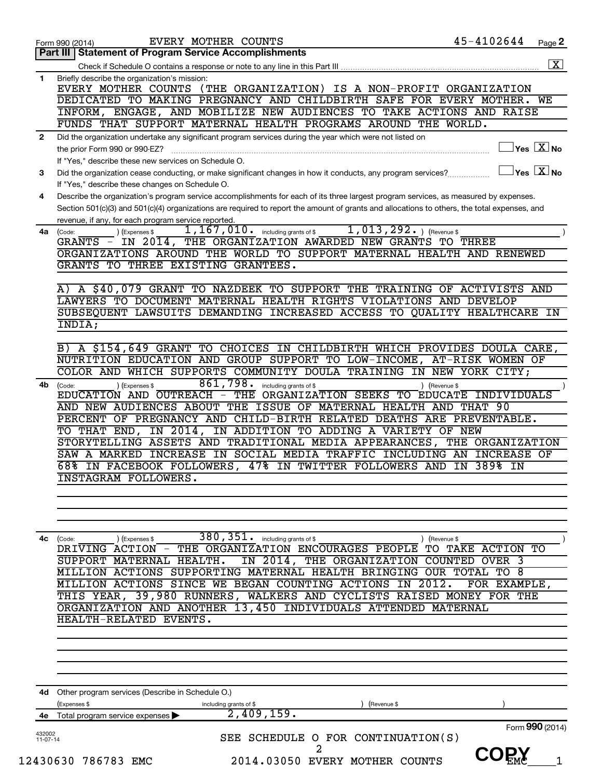|              | EVERY MOTHER COUNTS<br>Form 990 (2014)                                                                                                       | 45-4102644                           | Page 2             |
|--------------|----------------------------------------------------------------------------------------------------------------------------------------------|--------------------------------------|--------------------|
|              | <b>Statement of Program Service Accomplishments</b><br>Part III                                                                              |                                      |                    |
|              |                                                                                                                                              |                                      | $\boxed{\text{X}}$ |
| 1            | Briefly describe the organization's mission:                                                                                                 |                                      |                    |
|              | EVERY MOTHER COUNTS (THE ORGANIZATION) IS A NON-PROFIT ORGANIZATION                                                                          |                                      |                    |
|              | DEDICATED TO MAKING PREGNANCY AND CHILDBIRTH SAFE FOR EVERY MOTHER. WE                                                                       |                                      |                    |
|              | INFORM, ENGAGE, AND MOBILIZE NEW AUDIENCES TO TAKE ACTIONS AND RAISE                                                                         |                                      |                    |
|              | FUNDS THAT SUPPORT MATERNAL HEALTH PROGRAMS AROUND THE WORLD.                                                                                |                                      |                    |
| $\mathbf{2}$ | Did the organization undertake any significant program services during the year which were not listed on                                     |                                      |                    |
|              | the prior Form 990 or 990-EZ?                                                                                                                | $\sqrt{\mathsf{Yes}\ \mathbf{X}}$ No |                    |
|              | If "Yes," describe these new services on Schedule O.                                                                                         |                                      |                    |
| 3            | Did the organization cease conducting, or make significant changes in how it conducts, any program services?                                 | $\sqrt{}$ Yes $\sqrt{X}$ No          |                    |
|              | If "Yes," describe these changes on Schedule O.                                                                                              |                                      |                    |
| 4            | Describe the organization's program service accomplishments for each of its three largest program services, as measured by expenses.         |                                      |                    |
|              | Section 501(c)(3) and 501(c)(4) organizations are required to report the amount of grants and allocations to others, the total expenses, and |                                      |                    |
|              | revenue, if any, for each program service reported.                                                                                          |                                      |                    |
| 4a           | $\overline{1,167,010}$ including grants of \$<br>$1,013,292.$ (Revenue \$<br>) (Expenses \$<br>(Code:                                        |                                      |                    |
|              | GRANTS - IN 2014, THE ORGANIZATION AWARDED NEW GRANTS TO THREE                                                                               |                                      |                    |
|              | ORGANIZATIONS AROUND THE WORLD TO SUPPORT MATERNAL HEALTH AND RENEWED                                                                        |                                      |                    |
|              | GRANTS TO THREE EXISTING GRANTEES.                                                                                                           |                                      |                    |
|              |                                                                                                                                              |                                      |                    |
|              | A) A \$40,079 GRANT TO NAZDEEK TO SUPPORT THE TRAINING OF ACTIVISTS AND                                                                      |                                      |                    |
|              | LAWYERS TO DOCUMENT MATERNAL HEALTH RIGHTS VIOLATIONS AND DEVELOP                                                                            |                                      |                    |
|              | SUBSEQUENT LAWSUITS DEMANDING INCREASED ACCESS TO QUALITY HEALTHCARE IN                                                                      |                                      |                    |
|              | INDIA;                                                                                                                                       |                                      |                    |
|              |                                                                                                                                              |                                      |                    |
|              | B) A \$154,649 GRANT TO CHOICES IN CHILDBIRTH WHICH PROVIDES DOULA CARE,                                                                     |                                      |                    |
|              | NUTRITION EDUCATION AND GROUP SUPPORT TO LOW-INCOME, AT-RISK WOMEN OF                                                                        |                                      |                    |
|              | COLOR AND WHICH SUPPORTS COMMUNITY DOULA TRAINING IN NEW YORK CITY;                                                                          |                                      |                    |
| 4b           | 861,798.<br>including grants of \$<br>) (Expenses \$<br>(Code:                                                                               | ) (Revenue \$                        |                    |
|              | EDUCATION AND OUTREACH - THE ORGANIZATION SEEKS TO EDUCATE INDIVIDUALS                                                                       |                                      |                    |
|              | AND NEW AUDIENCES ABOUT THE ISSUE OF MATERNAL HEALTH AND THAT 90                                                                             |                                      |                    |
|              | PERCENT OF PREGNANCY AND CHILD-BIRTH RELATED DEATHS ARE PREVENTABLE.                                                                         |                                      |                    |
|              | TO THAT END, IN 2014, IN ADDITION TO ADDING A VARIETY OF NEW                                                                                 |                                      |                    |
|              | STORYTELLING ASSETS AND TRADITIONAL MEDIA APPEARANCES, THE ORGANIZATION                                                                      |                                      |                    |
|              | SAW A MARKED INCREASE IN SOCIAL MEDIA TRAFFIC INCLUDING AN INCREASE OF                                                                       |                                      |                    |
|              | 68% IN FACEBOOK FOLLOWERS, 47% IN TWITTER FOLLOWERS AND IN 389% IN                                                                           |                                      |                    |
|              | <b>INSTAGRAM FOLLOWERS.</b>                                                                                                                  |                                      |                    |
|              |                                                                                                                                              |                                      |                    |
|              |                                                                                                                                              |                                      |                    |
|              |                                                                                                                                              |                                      |                    |
|              |                                                                                                                                              |                                      |                    |
| 4с           | $380, 351$ . including grants of \$<br>(Code:<br>) (Expenses \$<br>THE ORGANIZATION ENCOURAGES PEOPLE TO TAKE ACTION TO<br>DRIVING ACTION -  | ) (Revenue \$                        |                    |
|              | SUPPORT MATERNAL HEALTH.<br>IN 2014, THE ORGANIZATION COUNTED OVER 3                                                                         |                                      |                    |
|              | MILLION ACTIONS SUPPORTING MATERNAL HEALTH BRINGING OUR TOTAL TO 8                                                                           |                                      |                    |
|              | MILLION ACTIONS SINCE WE BEGAN COUNTING ACTIONS IN 2012.                                                                                     | FOR EXAMPLE,                         |                    |
|              | THIS YEAR, 39,980 RUNNERS, WALKERS AND CYCLISTS RAISED MONEY FOR THE                                                                         |                                      |                    |
|              | ORGANIZATION AND ANOTHER 13,450 INDIVIDUALS ATTENDED MATERNAL                                                                                |                                      |                    |
|              | HEALTH-RELATED EVENTS.                                                                                                                       |                                      |                    |
|              |                                                                                                                                              |                                      |                    |
|              |                                                                                                                                              |                                      |                    |
|              |                                                                                                                                              |                                      |                    |
|              |                                                                                                                                              |                                      |                    |
|              |                                                                                                                                              |                                      |                    |
|              |                                                                                                                                              |                                      |                    |
| 4d -         | Other program services (Describe in Schedule O.)                                                                                             |                                      |                    |
|              | (Expenses \$<br>including grants of \$<br>(Revenue \$<br>2,409,159.                                                                          |                                      |                    |
| 4е           | Total program service expenses                                                                                                               | Form 990 (2014)                      |                    |
| 432002       | SEE SCHEDULE O FOR CONTINUATION(S)                                                                                                           |                                      |                    |
| 11-07-14     | 2                                                                                                                                            |                                      |                    |
|              | 12430630 786783 EMC<br>2014.03050 EVERY MOTHER COUNTS                                                                                        | <b>COE'Y</b>                         |                    |
|              |                                                                                                                                              |                                      |                    |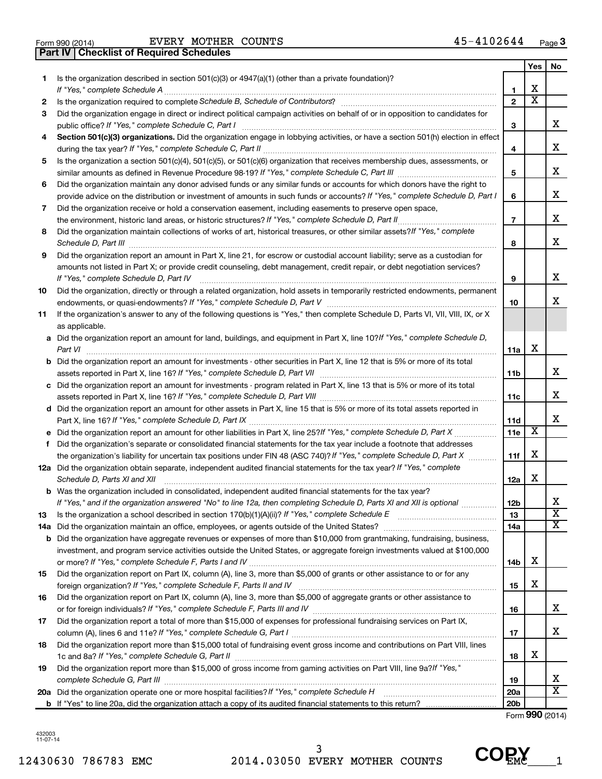**Part IV Checklist of Required Schedules**

Form 990 (2014)  $EVERY$  MOTHER COUNTS  $45-4102644$  Page

|     |                                                                                                                                                    |                 | Yes | No                    |
|-----|----------------------------------------------------------------------------------------------------------------------------------------------------|-----------------|-----|-----------------------|
| 1   | Is the organization described in section 501(c)(3) or 4947(a)(1) (other than a private foundation)?                                                |                 |     |                       |
|     | If "Yes," complete Schedule A                                                                                                                      | $\mathbf{1}$    | х   |                       |
| 2   |                                                                                                                                                    | $\mathbf{2}$    | x   |                       |
| 3   | Did the organization engage in direct or indirect political campaign activities on behalf of or in opposition to candidates for                    | 3               |     | x                     |
| 4   | Section 501(c)(3) organizations. Did the organization engage in lobbying activities, or have a section 501(h) election in effect                   |                 |     |                       |
|     |                                                                                                                                                    | 4               |     | x                     |
| 5   | Is the organization a section 501(c)(4), 501(c)(5), or 501(c)(6) organization that receives membership dues, assessments, or                       |                 |     |                       |
|     |                                                                                                                                                    | 5               |     | x                     |
| 6   | Did the organization maintain any donor advised funds or any similar funds or accounts for which donors have the right to                          |                 |     |                       |
|     | provide advice on the distribution or investment of amounts in such funds or accounts? If "Yes," complete Schedule D, Part I                       | 6               |     | x                     |
| 7   | Did the organization receive or hold a conservation easement, including easements to preserve open space,                                          |                 |     |                       |
|     |                                                                                                                                                    | $\overline{7}$  |     | x                     |
| 8   | Did the organization maintain collections of works of art, historical treasures, or other similar assets? If "Yes," complete                       |                 |     |                       |
|     |                                                                                                                                                    | 8               |     | x                     |
| 9   | Did the organization report an amount in Part X, line 21, for escrow or custodial account liability; serve as a custodian for                      |                 |     |                       |
|     | amounts not listed in Part X; or provide credit counseling, debt management, credit repair, or debt negotiation services?                          |                 |     |                       |
|     | If "Yes," complete Schedule D, Part IV                                                                                                             | 9               |     | x                     |
| 10  | Did the organization, directly or through a related organization, hold assets in temporarily restricted endowments, permanent                      |                 |     |                       |
|     |                                                                                                                                                    | 10              |     | x                     |
| 11  | If the organization's answer to any of the following questions is "Yes," then complete Schedule D, Parts VI, VII, VIII, IX, or X<br>as applicable. |                 |     |                       |
|     | a Did the organization report an amount for land, buildings, and equipment in Part X, line 10? If "Yes," complete Schedule D,                      |                 |     |                       |
|     |                                                                                                                                                    | 11a             | X   |                       |
|     | <b>b</b> Did the organization report an amount for investments - other securities in Part X, line 12 that is 5% or more of its total               |                 |     |                       |
|     |                                                                                                                                                    | 11b             |     | x                     |
|     | c Did the organization report an amount for investments - program related in Part X, line 13 that is 5% or more of its total                       |                 |     |                       |
|     |                                                                                                                                                    | 11c             |     | х                     |
|     | d Did the organization report an amount for other assets in Part X, line 15 that is 5% or more of its total assets reported in                     |                 |     |                       |
|     |                                                                                                                                                    | 11d             |     | х                     |
|     |                                                                                                                                                    | 11e             | X   |                       |
|     | f Did the organization's separate or consolidated financial statements for the tax year include a footnote that addresses                          |                 |     |                       |
|     | the organization's liability for uncertain tax positions under FIN 48 (ASC 740)? If "Yes," complete Schedule D, Part X                             | 11f             | X   |                       |
|     | 12a Did the organization obtain separate, independent audited financial statements for the tax year? If "Yes," complete                            |                 |     |                       |
|     | Schedule D, Parts XI and XII                                                                                                                       | 12a             | х   |                       |
|     | <b>b</b> Was the organization included in consolidated, independent audited financial statements for the tax year?                                 |                 |     |                       |
|     | If "Yes," and if the organization answered "No" to line 12a, then completing Schedule D, Parts XI and XII is optional <i>www.</i>                  | 12 <sub>b</sub> |     | х                     |
| 13  |                                                                                                                                                    | 13              |     | $\overline{\text{x}}$ |
| 14a |                                                                                                                                                    | 14a             |     | x                     |
| b   | Did the organization have aggregate revenues or expenses of more than \$10,000 from grantmaking, fundraising, business,                            |                 |     |                       |
|     | investment, and program service activities outside the United States, or aggregate foreign investments valued at \$100,000                         |                 |     |                       |
|     |                                                                                                                                                    | 14b             | х   |                       |
| 15  | Did the organization report on Part IX, column (A), line 3, more than \$5,000 of grants or other assistance to or for any                          |                 |     |                       |
|     |                                                                                                                                                    | 15              | х   |                       |
| 16  | Did the organization report on Part IX, column (A), line 3, more than \$5,000 of aggregate grants or other assistance to                           |                 |     |                       |
|     |                                                                                                                                                    | 16              |     | х                     |
| 17  | Did the organization report a total of more than \$15,000 of expenses for professional fundraising services on Part IX,                            |                 |     |                       |
|     |                                                                                                                                                    | 17              |     | х                     |
| 18  | Did the organization report more than \$15,000 total of fundraising event gross income and contributions on Part VIII, lines                       |                 |     |                       |
|     |                                                                                                                                                    | 18              | х   |                       |
| 19  | Did the organization report more than \$15,000 of gross income from gaming activities on Part VIII, line 9a?/f "Yes,"                              |                 |     |                       |
|     |                                                                                                                                                    | 19              |     | x                     |
|     |                                                                                                                                                    | 20a             |     | х                     |
|     |                                                                                                                                                    | 20 <sub>b</sub> |     |                       |

Form (2014) **990**

 **COPY**

432003 11-07-14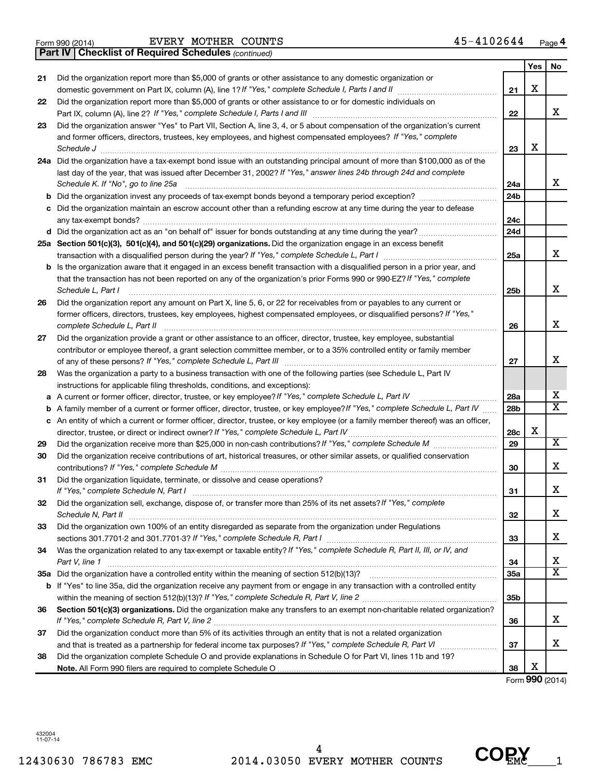| Yes<br>No<br>Did the organization report more than \$5,000 of grants or other assistance to any domestic organization or<br>21<br>х<br>21<br>Did the organization report more than \$5,000 of grants or other assistance to or for domestic individuals on<br>22<br>х<br>22<br>Did the organization answer "Yes" to Part VII, Section A, line 3, 4, or 5 about compensation of the organization's current<br>23<br>and former officers, directors, trustees, key employees, and highest compensated employees? If "Yes," complete<br>х<br>Schedule J <b>Executive Constructs</b> of the Construction of the Construction of the Construction of the Construction of the Construction of the Construction of the Construction of the Construction of the Construction of the C<br>23<br>24a Did the organization have a tax-exempt bond issue with an outstanding principal amount of more than \$100,000 as of the<br>last day of the year, that was issued after December 31, 2002? If "Yes," answer lines 24b through 24d and complete<br>x<br>Schedule K. If "No", go to line 25a<br>24a<br>24b<br>b<br>Did the organization maintain an escrow account other than a refunding escrow at any time during the year to defease<br>24c<br>d Did the organization act as an "on behalf of" issuer for bonds outstanding at any time during the year?<br>24d<br>25a Section 501(c)(3), 501(c)(4), and 501(c)(29) organizations. Did the organization engage in an excess benefit<br>x<br>25a<br><b>b</b> Is the organization aware that it engaged in an excess benefit transaction with a disqualified person in a prior year, and<br>that the transaction has not been reported on any of the organization's prior Forms 990 or 990-EZ? If "Yes," complete<br>х<br>Schedule L, Part I<br>25 <sub>b</sub><br>$\begin{minipage}[c]{0.5\textwidth} \centering \begin{tabular}{ c c c c c c } \hline \multicolumn{1}{ c }{\textbf{1}} & \multicolumn{1}{ c }{\textbf{1}} & \multicolumn{1}{ c }{\textbf{1}} & \multicolumn{1}{ c }{\textbf{1}} & \multicolumn{1}{ c }{\textbf{1}} & \multicolumn{1}{ c }{\textbf{1}} & \multicolumn{1}{ c }{\textbf{1}} & \multicolumn{1}{ c }{\textbf{1}} & \multicolumn{1}{ c }{\textbf{1}} & \multicolumn{1}{ c }{\textbf{1$<br>Did the organization report any amount on Part X, line 5, 6, or 22 for receivables from or payables to any current or<br>26<br>former officers, directors, trustees, key employees, highest compensated employees, or disqualified persons? If "Yes,"<br>X<br>complete Schedule L, Part II<br>26<br>Did the organization provide a grant or other assistance to an officer, director, trustee, key employee, substantial<br>27<br>contributor or employee thereof, a grant selection committee member, or to a 35% controlled entity or family member<br>х<br>27<br>Was the organization a party to a business transaction with one of the following parties (see Schedule L, Part IV<br>28<br>instructions for applicable filing thresholds, conditions, and exceptions):<br>x<br>A current or former officer, director, trustee, or key employee? If "Yes," complete Schedule L, Part IV<br>28a<br>а<br>$\overline{\textbf{x}}$<br>A family member of a current or former officer, director, trustee, or key employee? If "Yes," complete Schedule L, Part IV<br>28b<br>b<br>c An entity of which a current or former officer, director, trustee, or key employee (or a family member thereof) was an officer,<br>х<br>28c<br>x<br>29<br>29<br>Did the organization receive contributions of art, historical treasures, or other similar assets, or qualified conservation<br>30<br>X<br>30<br>Did the organization liquidate, terminate, or dissolve and cease operations?<br>31<br>Χ<br>If "Yes," complete Schedule N, Part I<br>31<br>Did the organization sell, exchange, dispose of, or transfer more than 25% of its net assets? If "Yes," complete<br>32<br>X<br>Schedule N, Part II<br>32<br>Did the organization own 100% of an entity disregarded as separate from the organization under Regulations<br>33<br>х<br>33<br>Was the organization related to any tax-exempt or taxable entity? If "Yes," complete Schedule R, Part II, III, or IV, and<br>34<br>х<br>34<br>Part V, line 1<br>$\overline{\text{X}}$<br>35a<br>b If "Yes" to line 35a, did the organization receive any payment from or engage in any transaction with a controlled entity<br>35 <sub>b</sub><br>Section 501(c)(3) organizations. Did the organization make any transfers to an exempt non-charitable related organization?<br>36<br>X<br>36<br>Did the organization conduct more than 5% of its activities through an entity that is not a related organization<br>37<br>х<br>37<br>Did the organization complete Schedule O and provide explanations in Schedule O for Part VI, lines 11b and 19?<br>38<br>X<br>38 | <b>Part IV   Checklist of Required Schedules (continued)</b> |  |  |  |  |  |  |  |  |  |
|----------------------------------------------------------------------------------------------------------------------------------------------------------------------------------------------------------------------------------------------------------------------------------------------------------------------------------------------------------------------------------------------------------------------------------------------------------------------------------------------------------------------------------------------------------------------------------------------------------------------------------------------------------------------------------------------------------------------------------------------------------------------------------------------------------------------------------------------------------------------------------------------------------------------------------------------------------------------------------------------------------------------------------------------------------------------------------------------------------------------------------------------------------------------------------------------------------------------------------------------------------------------------------------------------------------------------------------------------------------------------------------------------------------------------------------------------------------------------------------------------------------------------------------------------------------------------------------------------------------------------------------------------------------------------------------------------------------------------------------------------------------------------------------------------------------------------------------------------------------------------------------------------------------------------------------------------------------------------------------------------------------------------------------------------------------------------------------------------------------------------------------------------------------------------------------------------------------------------------------------------------------------------------------------------------------------------------------------------------------------------------------------------------------------------------------------------------------------------------------------------------------------------------------------------------------------------------------------------------------------------------------------------------------------------------------------------------------------------------------------------------------------------------------------------------------------------------------------------------------------------------------------------------------------------------------------------------------------------------------------------------------------------------------------------------------------------------------------------------------------------------------------------------------------------------------------------------------------------------------------------------------------------------------------------------------------------------------------------------------------------------------------------------------------------------------------------------------------------------------------------------------------------------------------------------------------------------------------------------------------------------------------------------------------------------------------------------------------------------------------------------------------------------------------------------------------------------------------------------------------------------------------------------------------------------------------------------------------------------------------------------------------------------------------------------------------------------------------------------------------------------------------------------------------------------------------------------------------------------------------------------------------------------------------------------------------------------------------------------------------------------------------------------------------------------------------------------------------------------------------------------------------------------------------------------------------------------------------------------------------------------------------------------------------------------------------------------------------------------------------------------------------------------------------------------------------------------------------------------------------------|--------------------------------------------------------------|--|--|--|--|--|--|--|--|--|
|                                                                                                                                                                                                                                                                                                                                                                                                                                                                                                                                                                                                                                                                                                                                                                                                                                                                                                                                                                                                                                                                                                                                                                                                                                                                                                                                                                                                                                                                                                                                                                                                                                                                                                                                                                                                                                                                                                                                                                                                                                                                                                                                                                                                                                                                                                                                                                                                                                                                                                                                                                                                                                                                                                                                                                                                                                                                                                                                                                                                                                                                                                                                                                                                                                                                                                                                                                                                                                                                                                                                                                                                                                                                                                                                                                                                                                                                                                                                                                                                                                                                                                                                                                                                                                                                                                                                                                                                                                                                                                                                                                                                                                                                                                                                                                                                                                                                            |                                                              |  |  |  |  |  |  |  |  |  |
|                                                                                                                                                                                                                                                                                                                                                                                                                                                                                                                                                                                                                                                                                                                                                                                                                                                                                                                                                                                                                                                                                                                                                                                                                                                                                                                                                                                                                                                                                                                                                                                                                                                                                                                                                                                                                                                                                                                                                                                                                                                                                                                                                                                                                                                                                                                                                                                                                                                                                                                                                                                                                                                                                                                                                                                                                                                                                                                                                                                                                                                                                                                                                                                                                                                                                                                                                                                                                                                                                                                                                                                                                                                                                                                                                                                                                                                                                                                                                                                                                                                                                                                                                                                                                                                                                                                                                                                                                                                                                                                                                                                                                                                                                                                                                                                                                                                                            |                                                              |  |  |  |  |  |  |  |  |  |
|                                                                                                                                                                                                                                                                                                                                                                                                                                                                                                                                                                                                                                                                                                                                                                                                                                                                                                                                                                                                                                                                                                                                                                                                                                                                                                                                                                                                                                                                                                                                                                                                                                                                                                                                                                                                                                                                                                                                                                                                                                                                                                                                                                                                                                                                                                                                                                                                                                                                                                                                                                                                                                                                                                                                                                                                                                                                                                                                                                                                                                                                                                                                                                                                                                                                                                                                                                                                                                                                                                                                                                                                                                                                                                                                                                                                                                                                                                                                                                                                                                                                                                                                                                                                                                                                                                                                                                                                                                                                                                                                                                                                                                                                                                                                                                                                                                                                            |                                                              |  |  |  |  |  |  |  |  |  |
|                                                                                                                                                                                                                                                                                                                                                                                                                                                                                                                                                                                                                                                                                                                                                                                                                                                                                                                                                                                                                                                                                                                                                                                                                                                                                                                                                                                                                                                                                                                                                                                                                                                                                                                                                                                                                                                                                                                                                                                                                                                                                                                                                                                                                                                                                                                                                                                                                                                                                                                                                                                                                                                                                                                                                                                                                                                                                                                                                                                                                                                                                                                                                                                                                                                                                                                                                                                                                                                                                                                                                                                                                                                                                                                                                                                                                                                                                                                                                                                                                                                                                                                                                                                                                                                                                                                                                                                                                                                                                                                                                                                                                                                                                                                                                                                                                                                                            |                                                              |  |  |  |  |  |  |  |  |  |
|                                                                                                                                                                                                                                                                                                                                                                                                                                                                                                                                                                                                                                                                                                                                                                                                                                                                                                                                                                                                                                                                                                                                                                                                                                                                                                                                                                                                                                                                                                                                                                                                                                                                                                                                                                                                                                                                                                                                                                                                                                                                                                                                                                                                                                                                                                                                                                                                                                                                                                                                                                                                                                                                                                                                                                                                                                                                                                                                                                                                                                                                                                                                                                                                                                                                                                                                                                                                                                                                                                                                                                                                                                                                                                                                                                                                                                                                                                                                                                                                                                                                                                                                                                                                                                                                                                                                                                                                                                                                                                                                                                                                                                                                                                                                                                                                                                                                            |                                                              |  |  |  |  |  |  |  |  |  |
|                                                                                                                                                                                                                                                                                                                                                                                                                                                                                                                                                                                                                                                                                                                                                                                                                                                                                                                                                                                                                                                                                                                                                                                                                                                                                                                                                                                                                                                                                                                                                                                                                                                                                                                                                                                                                                                                                                                                                                                                                                                                                                                                                                                                                                                                                                                                                                                                                                                                                                                                                                                                                                                                                                                                                                                                                                                                                                                                                                                                                                                                                                                                                                                                                                                                                                                                                                                                                                                                                                                                                                                                                                                                                                                                                                                                                                                                                                                                                                                                                                                                                                                                                                                                                                                                                                                                                                                                                                                                                                                                                                                                                                                                                                                                                                                                                                                                            |                                                              |  |  |  |  |  |  |  |  |  |
|                                                                                                                                                                                                                                                                                                                                                                                                                                                                                                                                                                                                                                                                                                                                                                                                                                                                                                                                                                                                                                                                                                                                                                                                                                                                                                                                                                                                                                                                                                                                                                                                                                                                                                                                                                                                                                                                                                                                                                                                                                                                                                                                                                                                                                                                                                                                                                                                                                                                                                                                                                                                                                                                                                                                                                                                                                                                                                                                                                                                                                                                                                                                                                                                                                                                                                                                                                                                                                                                                                                                                                                                                                                                                                                                                                                                                                                                                                                                                                                                                                                                                                                                                                                                                                                                                                                                                                                                                                                                                                                                                                                                                                                                                                                                                                                                                                                                            |                                                              |  |  |  |  |  |  |  |  |  |
|                                                                                                                                                                                                                                                                                                                                                                                                                                                                                                                                                                                                                                                                                                                                                                                                                                                                                                                                                                                                                                                                                                                                                                                                                                                                                                                                                                                                                                                                                                                                                                                                                                                                                                                                                                                                                                                                                                                                                                                                                                                                                                                                                                                                                                                                                                                                                                                                                                                                                                                                                                                                                                                                                                                                                                                                                                                                                                                                                                                                                                                                                                                                                                                                                                                                                                                                                                                                                                                                                                                                                                                                                                                                                                                                                                                                                                                                                                                                                                                                                                                                                                                                                                                                                                                                                                                                                                                                                                                                                                                                                                                                                                                                                                                                                                                                                                                                            |                                                              |  |  |  |  |  |  |  |  |  |
|                                                                                                                                                                                                                                                                                                                                                                                                                                                                                                                                                                                                                                                                                                                                                                                                                                                                                                                                                                                                                                                                                                                                                                                                                                                                                                                                                                                                                                                                                                                                                                                                                                                                                                                                                                                                                                                                                                                                                                                                                                                                                                                                                                                                                                                                                                                                                                                                                                                                                                                                                                                                                                                                                                                                                                                                                                                                                                                                                                                                                                                                                                                                                                                                                                                                                                                                                                                                                                                                                                                                                                                                                                                                                                                                                                                                                                                                                                                                                                                                                                                                                                                                                                                                                                                                                                                                                                                                                                                                                                                                                                                                                                                                                                                                                                                                                                                                            |                                                              |  |  |  |  |  |  |  |  |  |
|                                                                                                                                                                                                                                                                                                                                                                                                                                                                                                                                                                                                                                                                                                                                                                                                                                                                                                                                                                                                                                                                                                                                                                                                                                                                                                                                                                                                                                                                                                                                                                                                                                                                                                                                                                                                                                                                                                                                                                                                                                                                                                                                                                                                                                                                                                                                                                                                                                                                                                                                                                                                                                                                                                                                                                                                                                                                                                                                                                                                                                                                                                                                                                                                                                                                                                                                                                                                                                                                                                                                                                                                                                                                                                                                                                                                                                                                                                                                                                                                                                                                                                                                                                                                                                                                                                                                                                                                                                                                                                                                                                                                                                                                                                                                                                                                                                                                            |                                                              |  |  |  |  |  |  |  |  |  |
|                                                                                                                                                                                                                                                                                                                                                                                                                                                                                                                                                                                                                                                                                                                                                                                                                                                                                                                                                                                                                                                                                                                                                                                                                                                                                                                                                                                                                                                                                                                                                                                                                                                                                                                                                                                                                                                                                                                                                                                                                                                                                                                                                                                                                                                                                                                                                                                                                                                                                                                                                                                                                                                                                                                                                                                                                                                                                                                                                                                                                                                                                                                                                                                                                                                                                                                                                                                                                                                                                                                                                                                                                                                                                                                                                                                                                                                                                                                                                                                                                                                                                                                                                                                                                                                                                                                                                                                                                                                                                                                                                                                                                                                                                                                                                                                                                                                                            |                                                              |  |  |  |  |  |  |  |  |  |
|                                                                                                                                                                                                                                                                                                                                                                                                                                                                                                                                                                                                                                                                                                                                                                                                                                                                                                                                                                                                                                                                                                                                                                                                                                                                                                                                                                                                                                                                                                                                                                                                                                                                                                                                                                                                                                                                                                                                                                                                                                                                                                                                                                                                                                                                                                                                                                                                                                                                                                                                                                                                                                                                                                                                                                                                                                                                                                                                                                                                                                                                                                                                                                                                                                                                                                                                                                                                                                                                                                                                                                                                                                                                                                                                                                                                                                                                                                                                                                                                                                                                                                                                                                                                                                                                                                                                                                                                                                                                                                                                                                                                                                                                                                                                                                                                                                                                            |                                                              |  |  |  |  |  |  |  |  |  |
|                                                                                                                                                                                                                                                                                                                                                                                                                                                                                                                                                                                                                                                                                                                                                                                                                                                                                                                                                                                                                                                                                                                                                                                                                                                                                                                                                                                                                                                                                                                                                                                                                                                                                                                                                                                                                                                                                                                                                                                                                                                                                                                                                                                                                                                                                                                                                                                                                                                                                                                                                                                                                                                                                                                                                                                                                                                                                                                                                                                                                                                                                                                                                                                                                                                                                                                                                                                                                                                                                                                                                                                                                                                                                                                                                                                                                                                                                                                                                                                                                                                                                                                                                                                                                                                                                                                                                                                                                                                                                                                                                                                                                                                                                                                                                                                                                                                                            |                                                              |  |  |  |  |  |  |  |  |  |
|                                                                                                                                                                                                                                                                                                                                                                                                                                                                                                                                                                                                                                                                                                                                                                                                                                                                                                                                                                                                                                                                                                                                                                                                                                                                                                                                                                                                                                                                                                                                                                                                                                                                                                                                                                                                                                                                                                                                                                                                                                                                                                                                                                                                                                                                                                                                                                                                                                                                                                                                                                                                                                                                                                                                                                                                                                                                                                                                                                                                                                                                                                                                                                                                                                                                                                                                                                                                                                                                                                                                                                                                                                                                                                                                                                                                                                                                                                                                                                                                                                                                                                                                                                                                                                                                                                                                                                                                                                                                                                                                                                                                                                                                                                                                                                                                                                                                            |                                                              |  |  |  |  |  |  |  |  |  |
|                                                                                                                                                                                                                                                                                                                                                                                                                                                                                                                                                                                                                                                                                                                                                                                                                                                                                                                                                                                                                                                                                                                                                                                                                                                                                                                                                                                                                                                                                                                                                                                                                                                                                                                                                                                                                                                                                                                                                                                                                                                                                                                                                                                                                                                                                                                                                                                                                                                                                                                                                                                                                                                                                                                                                                                                                                                                                                                                                                                                                                                                                                                                                                                                                                                                                                                                                                                                                                                                                                                                                                                                                                                                                                                                                                                                                                                                                                                                                                                                                                                                                                                                                                                                                                                                                                                                                                                                                                                                                                                                                                                                                                                                                                                                                                                                                                                                            |                                                              |  |  |  |  |  |  |  |  |  |
|                                                                                                                                                                                                                                                                                                                                                                                                                                                                                                                                                                                                                                                                                                                                                                                                                                                                                                                                                                                                                                                                                                                                                                                                                                                                                                                                                                                                                                                                                                                                                                                                                                                                                                                                                                                                                                                                                                                                                                                                                                                                                                                                                                                                                                                                                                                                                                                                                                                                                                                                                                                                                                                                                                                                                                                                                                                                                                                                                                                                                                                                                                                                                                                                                                                                                                                                                                                                                                                                                                                                                                                                                                                                                                                                                                                                                                                                                                                                                                                                                                                                                                                                                                                                                                                                                                                                                                                                                                                                                                                                                                                                                                                                                                                                                                                                                                                                            |                                                              |  |  |  |  |  |  |  |  |  |
|                                                                                                                                                                                                                                                                                                                                                                                                                                                                                                                                                                                                                                                                                                                                                                                                                                                                                                                                                                                                                                                                                                                                                                                                                                                                                                                                                                                                                                                                                                                                                                                                                                                                                                                                                                                                                                                                                                                                                                                                                                                                                                                                                                                                                                                                                                                                                                                                                                                                                                                                                                                                                                                                                                                                                                                                                                                                                                                                                                                                                                                                                                                                                                                                                                                                                                                                                                                                                                                                                                                                                                                                                                                                                                                                                                                                                                                                                                                                                                                                                                                                                                                                                                                                                                                                                                                                                                                                                                                                                                                                                                                                                                                                                                                                                                                                                                                                            |                                                              |  |  |  |  |  |  |  |  |  |
|                                                                                                                                                                                                                                                                                                                                                                                                                                                                                                                                                                                                                                                                                                                                                                                                                                                                                                                                                                                                                                                                                                                                                                                                                                                                                                                                                                                                                                                                                                                                                                                                                                                                                                                                                                                                                                                                                                                                                                                                                                                                                                                                                                                                                                                                                                                                                                                                                                                                                                                                                                                                                                                                                                                                                                                                                                                                                                                                                                                                                                                                                                                                                                                                                                                                                                                                                                                                                                                                                                                                                                                                                                                                                                                                                                                                                                                                                                                                                                                                                                                                                                                                                                                                                                                                                                                                                                                                                                                                                                                                                                                                                                                                                                                                                                                                                                                                            |                                                              |  |  |  |  |  |  |  |  |  |
|                                                                                                                                                                                                                                                                                                                                                                                                                                                                                                                                                                                                                                                                                                                                                                                                                                                                                                                                                                                                                                                                                                                                                                                                                                                                                                                                                                                                                                                                                                                                                                                                                                                                                                                                                                                                                                                                                                                                                                                                                                                                                                                                                                                                                                                                                                                                                                                                                                                                                                                                                                                                                                                                                                                                                                                                                                                                                                                                                                                                                                                                                                                                                                                                                                                                                                                                                                                                                                                                                                                                                                                                                                                                                                                                                                                                                                                                                                                                                                                                                                                                                                                                                                                                                                                                                                                                                                                                                                                                                                                                                                                                                                                                                                                                                                                                                                                                            |                                                              |  |  |  |  |  |  |  |  |  |
|                                                                                                                                                                                                                                                                                                                                                                                                                                                                                                                                                                                                                                                                                                                                                                                                                                                                                                                                                                                                                                                                                                                                                                                                                                                                                                                                                                                                                                                                                                                                                                                                                                                                                                                                                                                                                                                                                                                                                                                                                                                                                                                                                                                                                                                                                                                                                                                                                                                                                                                                                                                                                                                                                                                                                                                                                                                                                                                                                                                                                                                                                                                                                                                                                                                                                                                                                                                                                                                                                                                                                                                                                                                                                                                                                                                                                                                                                                                                                                                                                                                                                                                                                                                                                                                                                                                                                                                                                                                                                                                                                                                                                                                                                                                                                                                                                                                                            |                                                              |  |  |  |  |  |  |  |  |  |
|                                                                                                                                                                                                                                                                                                                                                                                                                                                                                                                                                                                                                                                                                                                                                                                                                                                                                                                                                                                                                                                                                                                                                                                                                                                                                                                                                                                                                                                                                                                                                                                                                                                                                                                                                                                                                                                                                                                                                                                                                                                                                                                                                                                                                                                                                                                                                                                                                                                                                                                                                                                                                                                                                                                                                                                                                                                                                                                                                                                                                                                                                                                                                                                                                                                                                                                                                                                                                                                                                                                                                                                                                                                                                                                                                                                                                                                                                                                                                                                                                                                                                                                                                                                                                                                                                                                                                                                                                                                                                                                                                                                                                                                                                                                                                                                                                                                                            |                                                              |  |  |  |  |  |  |  |  |  |
|                                                                                                                                                                                                                                                                                                                                                                                                                                                                                                                                                                                                                                                                                                                                                                                                                                                                                                                                                                                                                                                                                                                                                                                                                                                                                                                                                                                                                                                                                                                                                                                                                                                                                                                                                                                                                                                                                                                                                                                                                                                                                                                                                                                                                                                                                                                                                                                                                                                                                                                                                                                                                                                                                                                                                                                                                                                                                                                                                                                                                                                                                                                                                                                                                                                                                                                                                                                                                                                                                                                                                                                                                                                                                                                                                                                                                                                                                                                                                                                                                                                                                                                                                                                                                                                                                                                                                                                                                                                                                                                                                                                                                                                                                                                                                                                                                                                                            |                                                              |  |  |  |  |  |  |  |  |  |
|                                                                                                                                                                                                                                                                                                                                                                                                                                                                                                                                                                                                                                                                                                                                                                                                                                                                                                                                                                                                                                                                                                                                                                                                                                                                                                                                                                                                                                                                                                                                                                                                                                                                                                                                                                                                                                                                                                                                                                                                                                                                                                                                                                                                                                                                                                                                                                                                                                                                                                                                                                                                                                                                                                                                                                                                                                                                                                                                                                                                                                                                                                                                                                                                                                                                                                                                                                                                                                                                                                                                                                                                                                                                                                                                                                                                                                                                                                                                                                                                                                                                                                                                                                                                                                                                                                                                                                                                                                                                                                                                                                                                                                                                                                                                                                                                                                                                            |                                                              |  |  |  |  |  |  |  |  |  |
|                                                                                                                                                                                                                                                                                                                                                                                                                                                                                                                                                                                                                                                                                                                                                                                                                                                                                                                                                                                                                                                                                                                                                                                                                                                                                                                                                                                                                                                                                                                                                                                                                                                                                                                                                                                                                                                                                                                                                                                                                                                                                                                                                                                                                                                                                                                                                                                                                                                                                                                                                                                                                                                                                                                                                                                                                                                                                                                                                                                                                                                                                                                                                                                                                                                                                                                                                                                                                                                                                                                                                                                                                                                                                                                                                                                                                                                                                                                                                                                                                                                                                                                                                                                                                                                                                                                                                                                                                                                                                                                                                                                                                                                                                                                                                                                                                                                                            |                                                              |  |  |  |  |  |  |  |  |  |
|                                                                                                                                                                                                                                                                                                                                                                                                                                                                                                                                                                                                                                                                                                                                                                                                                                                                                                                                                                                                                                                                                                                                                                                                                                                                                                                                                                                                                                                                                                                                                                                                                                                                                                                                                                                                                                                                                                                                                                                                                                                                                                                                                                                                                                                                                                                                                                                                                                                                                                                                                                                                                                                                                                                                                                                                                                                                                                                                                                                                                                                                                                                                                                                                                                                                                                                                                                                                                                                                                                                                                                                                                                                                                                                                                                                                                                                                                                                                                                                                                                                                                                                                                                                                                                                                                                                                                                                                                                                                                                                                                                                                                                                                                                                                                                                                                                                                            |                                                              |  |  |  |  |  |  |  |  |  |
|                                                                                                                                                                                                                                                                                                                                                                                                                                                                                                                                                                                                                                                                                                                                                                                                                                                                                                                                                                                                                                                                                                                                                                                                                                                                                                                                                                                                                                                                                                                                                                                                                                                                                                                                                                                                                                                                                                                                                                                                                                                                                                                                                                                                                                                                                                                                                                                                                                                                                                                                                                                                                                                                                                                                                                                                                                                                                                                                                                                                                                                                                                                                                                                                                                                                                                                                                                                                                                                                                                                                                                                                                                                                                                                                                                                                                                                                                                                                                                                                                                                                                                                                                                                                                                                                                                                                                                                                                                                                                                                                                                                                                                                                                                                                                                                                                                                                            |                                                              |  |  |  |  |  |  |  |  |  |
|                                                                                                                                                                                                                                                                                                                                                                                                                                                                                                                                                                                                                                                                                                                                                                                                                                                                                                                                                                                                                                                                                                                                                                                                                                                                                                                                                                                                                                                                                                                                                                                                                                                                                                                                                                                                                                                                                                                                                                                                                                                                                                                                                                                                                                                                                                                                                                                                                                                                                                                                                                                                                                                                                                                                                                                                                                                                                                                                                                                                                                                                                                                                                                                                                                                                                                                                                                                                                                                                                                                                                                                                                                                                                                                                                                                                                                                                                                                                                                                                                                                                                                                                                                                                                                                                                                                                                                                                                                                                                                                                                                                                                                                                                                                                                                                                                                                                            |                                                              |  |  |  |  |  |  |  |  |  |
|                                                                                                                                                                                                                                                                                                                                                                                                                                                                                                                                                                                                                                                                                                                                                                                                                                                                                                                                                                                                                                                                                                                                                                                                                                                                                                                                                                                                                                                                                                                                                                                                                                                                                                                                                                                                                                                                                                                                                                                                                                                                                                                                                                                                                                                                                                                                                                                                                                                                                                                                                                                                                                                                                                                                                                                                                                                                                                                                                                                                                                                                                                                                                                                                                                                                                                                                                                                                                                                                                                                                                                                                                                                                                                                                                                                                                                                                                                                                                                                                                                                                                                                                                                                                                                                                                                                                                                                                                                                                                                                                                                                                                                                                                                                                                                                                                                                                            |                                                              |  |  |  |  |  |  |  |  |  |
|                                                                                                                                                                                                                                                                                                                                                                                                                                                                                                                                                                                                                                                                                                                                                                                                                                                                                                                                                                                                                                                                                                                                                                                                                                                                                                                                                                                                                                                                                                                                                                                                                                                                                                                                                                                                                                                                                                                                                                                                                                                                                                                                                                                                                                                                                                                                                                                                                                                                                                                                                                                                                                                                                                                                                                                                                                                                                                                                                                                                                                                                                                                                                                                                                                                                                                                                                                                                                                                                                                                                                                                                                                                                                                                                                                                                                                                                                                                                                                                                                                                                                                                                                                                                                                                                                                                                                                                                                                                                                                                                                                                                                                                                                                                                                                                                                                                                            |                                                              |  |  |  |  |  |  |  |  |  |
|                                                                                                                                                                                                                                                                                                                                                                                                                                                                                                                                                                                                                                                                                                                                                                                                                                                                                                                                                                                                                                                                                                                                                                                                                                                                                                                                                                                                                                                                                                                                                                                                                                                                                                                                                                                                                                                                                                                                                                                                                                                                                                                                                                                                                                                                                                                                                                                                                                                                                                                                                                                                                                                                                                                                                                                                                                                                                                                                                                                                                                                                                                                                                                                                                                                                                                                                                                                                                                                                                                                                                                                                                                                                                                                                                                                                                                                                                                                                                                                                                                                                                                                                                                                                                                                                                                                                                                                                                                                                                                                                                                                                                                                                                                                                                                                                                                                                            |                                                              |  |  |  |  |  |  |  |  |  |
|                                                                                                                                                                                                                                                                                                                                                                                                                                                                                                                                                                                                                                                                                                                                                                                                                                                                                                                                                                                                                                                                                                                                                                                                                                                                                                                                                                                                                                                                                                                                                                                                                                                                                                                                                                                                                                                                                                                                                                                                                                                                                                                                                                                                                                                                                                                                                                                                                                                                                                                                                                                                                                                                                                                                                                                                                                                                                                                                                                                                                                                                                                                                                                                                                                                                                                                                                                                                                                                                                                                                                                                                                                                                                                                                                                                                                                                                                                                                                                                                                                                                                                                                                                                                                                                                                                                                                                                                                                                                                                                                                                                                                                                                                                                                                                                                                                                                            |                                                              |  |  |  |  |  |  |  |  |  |
|                                                                                                                                                                                                                                                                                                                                                                                                                                                                                                                                                                                                                                                                                                                                                                                                                                                                                                                                                                                                                                                                                                                                                                                                                                                                                                                                                                                                                                                                                                                                                                                                                                                                                                                                                                                                                                                                                                                                                                                                                                                                                                                                                                                                                                                                                                                                                                                                                                                                                                                                                                                                                                                                                                                                                                                                                                                                                                                                                                                                                                                                                                                                                                                                                                                                                                                                                                                                                                                                                                                                                                                                                                                                                                                                                                                                                                                                                                                                                                                                                                                                                                                                                                                                                                                                                                                                                                                                                                                                                                                                                                                                                                                                                                                                                                                                                                                                            |                                                              |  |  |  |  |  |  |  |  |  |
|                                                                                                                                                                                                                                                                                                                                                                                                                                                                                                                                                                                                                                                                                                                                                                                                                                                                                                                                                                                                                                                                                                                                                                                                                                                                                                                                                                                                                                                                                                                                                                                                                                                                                                                                                                                                                                                                                                                                                                                                                                                                                                                                                                                                                                                                                                                                                                                                                                                                                                                                                                                                                                                                                                                                                                                                                                                                                                                                                                                                                                                                                                                                                                                                                                                                                                                                                                                                                                                                                                                                                                                                                                                                                                                                                                                                                                                                                                                                                                                                                                                                                                                                                                                                                                                                                                                                                                                                                                                                                                                                                                                                                                                                                                                                                                                                                                                                            |                                                              |  |  |  |  |  |  |  |  |  |
|                                                                                                                                                                                                                                                                                                                                                                                                                                                                                                                                                                                                                                                                                                                                                                                                                                                                                                                                                                                                                                                                                                                                                                                                                                                                                                                                                                                                                                                                                                                                                                                                                                                                                                                                                                                                                                                                                                                                                                                                                                                                                                                                                                                                                                                                                                                                                                                                                                                                                                                                                                                                                                                                                                                                                                                                                                                                                                                                                                                                                                                                                                                                                                                                                                                                                                                                                                                                                                                                                                                                                                                                                                                                                                                                                                                                                                                                                                                                                                                                                                                                                                                                                                                                                                                                                                                                                                                                                                                                                                                                                                                                                                                                                                                                                                                                                                                                            |                                                              |  |  |  |  |  |  |  |  |  |
|                                                                                                                                                                                                                                                                                                                                                                                                                                                                                                                                                                                                                                                                                                                                                                                                                                                                                                                                                                                                                                                                                                                                                                                                                                                                                                                                                                                                                                                                                                                                                                                                                                                                                                                                                                                                                                                                                                                                                                                                                                                                                                                                                                                                                                                                                                                                                                                                                                                                                                                                                                                                                                                                                                                                                                                                                                                                                                                                                                                                                                                                                                                                                                                                                                                                                                                                                                                                                                                                                                                                                                                                                                                                                                                                                                                                                                                                                                                                                                                                                                                                                                                                                                                                                                                                                                                                                                                                                                                                                                                                                                                                                                                                                                                                                                                                                                                                            |                                                              |  |  |  |  |  |  |  |  |  |
|                                                                                                                                                                                                                                                                                                                                                                                                                                                                                                                                                                                                                                                                                                                                                                                                                                                                                                                                                                                                                                                                                                                                                                                                                                                                                                                                                                                                                                                                                                                                                                                                                                                                                                                                                                                                                                                                                                                                                                                                                                                                                                                                                                                                                                                                                                                                                                                                                                                                                                                                                                                                                                                                                                                                                                                                                                                                                                                                                                                                                                                                                                                                                                                                                                                                                                                                                                                                                                                                                                                                                                                                                                                                                                                                                                                                                                                                                                                                                                                                                                                                                                                                                                                                                                                                                                                                                                                                                                                                                                                                                                                                                                                                                                                                                                                                                                                                            |                                                              |  |  |  |  |  |  |  |  |  |
|                                                                                                                                                                                                                                                                                                                                                                                                                                                                                                                                                                                                                                                                                                                                                                                                                                                                                                                                                                                                                                                                                                                                                                                                                                                                                                                                                                                                                                                                                                                                                                                                                                                                                                                                                                                                                                                                                                                                                                                                                                                                                                                                                                                                                                                                                                                                                                                                                                                                                                                                                                                                                                                                                                                                                                                                                                                                                                                                                                                                                                                                                                                                                                                                                                                                                                                                                                                                                                                                                                                                                                                                                                                                                                                                                                                                                                                                                                                                                                                                                                                                                                                                                                                                                                                                                                                                                                                                                                                                                                                                                                                                                                                                                                                                                                                                                                                                            |                                                              |  |  |  |  |  |  |  |  |  |
|                                                                                                                                                                                                                                                                                                                                                                                                                                                                                                                                                                                                                                                                                                                                                                                                                                                                                                                                                                                                                                                                                                                                                                                                                                                                                                                                                                                                                                                                                                                                                                                                                                                                                                                                                                                                                                                                                                                                                                                                                                                                                                                                                                                                                                                                                                                                                                                                                                                                                                                                                                                                                                                                                                                                                                                                                                                                                                                                                                                                                                                                                                                                                                                                                                                                                                                                                                                                                                                                                                                                                                                                                                                                                                                                                                                                                                                                                                                                                                                                                                                                                                                                                                                                                                                                                                                                                                                                                                                                                                                                                                                                                                                                                                                                                                                                                                                                            |                                                              |  |  |  |  |  |  |  |  |  |
|                                                                                                                                                                                                                                                                                                                                                                                                                                                                                                                                                                                                                                                                                                                                                                                                                                                                                                                                                                                                                                                                                                                                                                                                                                                                                                                                                                                                                                                                                                                                                                                                                                                                                                                                                                                                                                                                                                                                                                                                                                                                                                                                                                                                                                                                                                                                                                                                                                                                                                                                                                                                                                                                                                                                                                                                                                                                                                                                                                                                                                                                                                                                                                                                                                                                                                                                                                                                                                                                                                                                                                                                                                                                                                                                                                                                                                                                                                                                                                                                                                                                                                                                                                                                                                                                                                                                                                                                                                                                                                                                                                                                                                                                                                                                                                                                                                                                            |                                                              |  |  |  |  |  |  |  |  |  |
|                                                                                                                                                                                                                                                                                                                                                                                                                                                                                                                                                                                                                                                                                                                                                                                                                                                                                                                                                                                                                                                                                                                                                                                                                                                                                                                                                                                                                                                                                                                                                                                                                                                                                                                                                                                                                                                                                                                                                                                                                                                                                                                                                                                                                                                                                                                                                                                                                                                                                                                                                                                                                                                                                                                                                                                                                                                                                                                                                                                                                                                                                                                                                                                                                                                                                                                                                                                                                                                                                                                                                                                                                                                                                                                                                                                                                                                                                                                                                                                                                                                                                                                                                                                                                                                                                                                                                                                                                                                                                                                                                                                                                                                                                                                                                                                                                                                                            |                                                              |  |  |  |  |  |  |  |  |  |
|                                                                                                                                                                                                                                                                                                                                                                                                                                                                                                                                                                                                                                                                                                                                                                                                                                                                                                                                                                                                                                                                                                                                                                                                                                                                                                                                                                                                                                                                                                                                                                                                                                                                                                                                                                                                                                                                                                                                                                                                                                                                                                                                                                                                                                                                                                                                                                                                                                                                                                                                                                                                                                                                                                                                                                                                                                                                                                                                                                                                                                                                                                                                                                                                                                                                                                                                                                                                                                                                                                                                                                                                                                                                                                                                                                                                                                                                                                                                                                                                                                                                                                                                                                                                                                                                                                                                                                                                                                                                                                                                                                                                                                                                                                                                                                                                                                                                            |                                                              |  |  |  |  |  |  |  |  |  |
|                                                                                                                                                                                                                                                                                                                                                                                                                                                                                                                                                                                                                                                                                                                                                                                                                                                                                                                                                                                                                                                                                                                                                                                                                                                                                                                                                                                                                                                                                                                                                                                                                                                                                                                                                                                                                                                                                                                                                                                                                                                                                                                                                                                                                                                                                                                                                                                                                                                                                                                                                                                                                                                                                                                                                                                                                                                                                                                                                                                                                                                                                                                                                                                                                                                                                                                                                                                                                                                                                                                                                                                                                                                                                                                                                                                                                                                                                                                                                                                                                                                                                                                                                                                                                                                                                                                                                                                                                                                                                                                                                                                                                                                                                                                                                                                                                                                                            |                                                              |  |  |  |  |  |  |  |  |  |
|                                                                                                                                                                                                                                                                                                                                                                                                                                                                                                                                                                                                                                                                                                                                                                                                                                                                                                                                                                                                                                                                                                                                                                                                                                                                                                                                                                                                                                                                                                                                                                                                                                                                                                                                                                                                                                                                                                                                                                                                                                                                                                                                                                                                                                                                                                                                                                                                                                                                                                                                                                                                                                                                                                                                                                                                                                                                                                                                                                                                                                                                                                                                                                                                                                                                                                                                                                                                                                                                                                                                                                                                                                                                                                                                                                                                                                                                                                                                                                                                                                                                                                                                                                                                                                                                                                                                                                                                                                                                                                                                                                                                                                                                                                                                                                                                                                                                            |                                                              |  |  |  |  |  |  |  |  |  |
|                                                                                                                                                                                                                                                                                                                                                                                                                                                                                                                                                                                                                                                                                                                                                                                                                                                                                                                                                                                                                                                                                                                                                                                                                                                                                                                                                                                                                                                                                                                                                                                                                                                                                                                                                                                                                                                                                                                                                                                                                                                                                                                                                                                                                                                                                                                                                                                                                                                                                                                                                                                                                                                                                                                                                                                                                                                                                                                                                                                                                                                                                                                                                                                                                                                                                                                                                                                                                                                                                                                                                                                                                                                                                                                                                                                                                                                                                                                                                                                                                                                                                                                                                                                                                                                                                                                                                                                                                                                                                                                                                                                                                                                                                                                                                                                                                                                                            |                                                              |  |  |  |  |  |  |  |  |  |
|                                                                                                                                                                                                                                                                                                                                                                                                                                                                                                                                                                                                                                                                                                                                                                                                                                                                                                                                                                                                                                                                                                                                                                                                                                                                                                                                                                                                                                                                                                                                                                                                                                                                                                                                                                                                                                                                                                                                                                                                                                                                                                                                                                                                                                                                                                                                                                                                                                                                                                                                                                                                                                                                                                                                                                                                                                                                                                                                                                                                                                                                                                                                                                                                                                                                                                                                                                                                                                                                                                                                                                                                                                                                                                                                                                                                                                                                                                                                                                                                                                                                                                                                                                                                                                                                                                                                                                                                                                                                                                                                                                                                                                                                                                                                                                                                                                                                            |                                                              |  |  |  |  |  |  |  |  |  |
|                                                                                                                                                                                                                                                                                                                                                                                                                                                                                                                                                                                                                                                                                                                                                                                                                                                                                                                                                                                                                                                                                                                                                                                                                                                                                                                                                                                                                                                                                                                                                                                                                                                                                                                                                                                                                                                                                                                                                                                                                                                                                                                                                                                                                                                                                                                                                                                                                                                                                                                                                                                                                                                                                                                                                                                                                                                                                                                                                                                                                                                                                                                                                                                                                                                                                                                                                                                                                                                                                                                                                                                                                                                                                                                                                                                                                                                                                                                                                                                                                                                                                                                                                                                                                                                                                                                                                                                                                                                                                                                                                                                                                                                                                                                                                                                                                                                                            |                                                              |  |  |  |  |  |  |  |  |  |
|                                                                                                                                                                                                                                                                                                                                                                                                                                                                                                                                                                                                                                                                                                                                                                                                                                                                                                                                                                                                                                                                                                                                                                                                                                                                                                                                                                                                                                                                                                                                                                                                                                                                                                                                                                                                                                                                                                                                                                                                                                                                                                                                                                                                                                                                                                                                                                                                                                                                                                                                                                                                                                                                                                                                                                                                                                                                                                                                                                                                                                                                                                                                                                                                                                                                                                                                                                                                                                                                                                                                                                                                                                                                                                                                                                                                                                                                                                                                                                                                                                                                                                                                                                                                                                                                                                                                                                                                                                                                                                                                                                                                                                                                                                                                                                                                                                                                            |                                                              |  |  |  |  |  |  |  |  |  |
|                                                                                                                                                                                                                                                                                                                                                                                                                                                                                                                                                                                                                                                                                                                                                                                                                                                                                                                                                                                                                                                                                                                                                                                                                                                                                                                                                                                                                                                                                                                                                                                                                                                                                                                                                                                                                                                                                                                                                                                                                                                                                                                                                                                                                                                                                                                                                                                                                                                                                                                                                                                                                                                                                                                                                                                                                                                                                                                                                                                                                                                                                                                                                                                                                                                                                                                                                                                                                                                                                                                                                                                                                                                                                                                                                                                                                                                                                                                                                                                                                                                                                                                                                                                                                                                                                                                                                                                                                                                                                                                                                                                                                                                                                                                                                                                                                                                                            |                                                              |  |  |  |  |  |  |  |  |  |
|                                                                                                                                                                                                                                                                                                                                                                                                                                                                                                                                                                                                                                                                                                                                                                                                                                                                                                                                                                                                                                                                                                                                                                                                                                                                                                                                                                                                                                                                                                                                                                                                                                                                                                                                                                                                                                                                                                                                                                                                                                                                                                                                                                                                                                                                                                                                                                                                                                                                                                                                                                                                                                                                                                                                                                                                                                                                                                                                                                                                                                                                                                                                                                                                                                                                                                                                                                                                                                                                                                                                                                                                                                                                                                                                                                                                                                                                                                                                                                                                                                                                                                                                                                                                                                                                                                                                                                                                                                                                                                                                                                                                                                                                                                                                                                                                                                                                            |                                                              |  |  |  |  |  |  |  |  |  |
|                                                                                                                                                                                                                                                                                                                                                                                                                                                                                                                                                                                                                                                                                                                                                                                                                                                                                                                                                                                                                                                                                                                                                                                                                                                                                                                                                                                                                                                                                                                                                                                                                                                                                                                                                                                                                                                                                                                                                                                                                                                                                                                                                                                                                                                                                                                                                                                                                                                                                                                                                                                                                                                                                                                                                                                                                                                                                                                                                                                                                                                                                                                                                                                                                                                                                                                                                                                                                                                                                                                                                                                                                                                                                                                                                                                                                                                                                                                                                                                                                                                                                                                                                                                                                                                                                                                                                                                                                                                                                                                                                                                                                                                                                                                                                                                                                                                                            |                                                              |  |  |  |  |  |  |  |  |  |
|                                                                                                                                                                                                                                                                                                                                                                                                                                                                                                                                                                                                                                                                                                                                                                                                                                                                                                                                                                                                                                                                                                                                                                                                                                                                                                                                                                                                                                                                                                                                                                                                                                                                                                                                                                                                                                                                                                                                                                                                                                                                                                                                                                                                                                                                                                                                                                                                                                                                                                                                                                                                                                                                                                                                                                                                                                                                                                                                                                                                                                                                                                                                                                                                                                                                                                                                                                                                                                                                                                                                                                                                                                                                                                                                                                                                                                                                                                                                                                                                                                                                                                                                                                                                                                                                                                                                                                                                                                                                                                                                                                                                                                                                                                                                                                                                                                                                            |                                                              |  |  |  |  |  |  |  |  |  |

Form (2014) **990**

432004 11-07-14

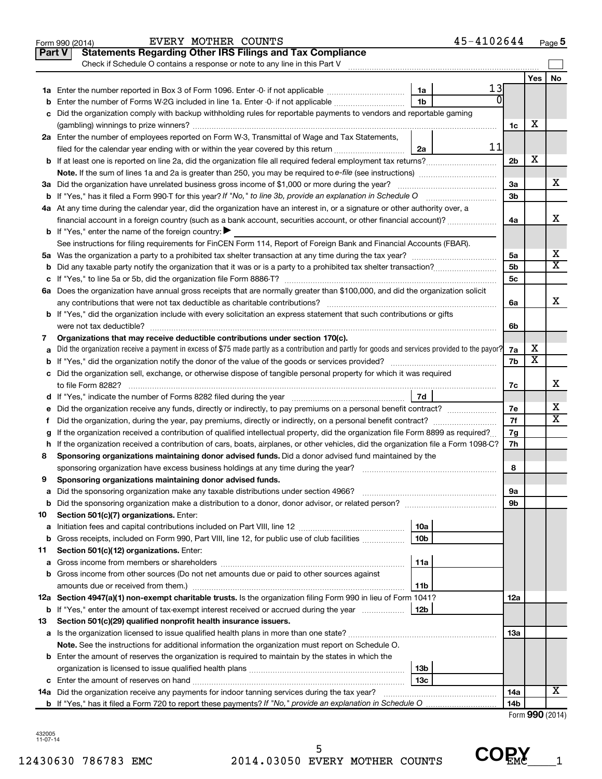|               | 45-4102644<br>EVERY MOTHER COUNTS<br>Form 990 (2014)                                                                                            |                 |                 | Page 5 |
|---------------|-------------------------------------------------------------------------------------------------------------------------------------------------|-----------------|-----------------|--------|
| <b>Part V</b> | <b>Statements Regarding Other IRS Filings and Tax Compliance</b>                                                                                |                 |                 |        |
|               | Check if Schedule O contains a response or note to any line in this Part V                                                                      |                 |                 |        |
|               |                                                                                                                                                 |                 | Yes             | No     |
|               | 13<br>1a                                                                                                                                        |                 |                 |        |
| b             | 1 <sub>b</sub><br>Enter the number of Forms W-2G included in line 1a. Enter -0- if not applicable                                               |                 |                 |        |
| с             | Did the organization comply with backup withholding rules for reportable payments to vendors and reportable gaming                              |                 |                 |        |
|               |                                                                                                                                                 | 1c              | х               |        |
|               | 2a Enter the number of employees reported on Form W-3, Transmittal of Wage and Tax Statements,                                                  |                 |                 |        |
|               | 11<br>filed for the calendar year ending with or within the year covered by this return<br>2a                                                   |                 |                 |        |
|               |                                                                                                                                                 | 2 <sub>b</sub>  | х               |        |
|               | Note. If the sum of lines 1a and 2a is greater than 250, you may be required to e-file (see instructions) <i></i>                               |                 |                 |        |
|               | 3a Did the organization have unrelated business gross income of \$1,000 or more during the year?                                                | За              |                 | x      |
|               | <b>b</b> If "Yes," has it filed a Form 990-T for this year? If "No," to line 3b, provide an explanation in Schedule O manumum                   | 3 <sub>b</sub>  |                 |        |
|               | 4a At any time during the calendar year, did the organization have an interest in, or a signature or other authority over, a                    |                 |                 |        |
|               | financial account in a foreign country (such as a bank account, securities account, or other financial account)?                                | 4a              |                 | х      |
|               | <b>b</b> If "Yes," enter the name of the foreign country: $\blacktriangleright$                                                                 |                 |                 |        |
|               | See instructions for filing requirements for FinCEN Form 114, Report of Foreign Bank and Financial Accounts (FBAR).                             |                 |                 |        |
|               |                                                                                                                                                 | 5a              |                 | х      |
| b             |                                                                                                                                                 | 5 <sub>b</sub>  |                 | X      |
| с             |                                                                                                                                                 | 5c              |                 |        |
|               | 6a Does the organization have annual gross receipts that are normally greater than \$100,000, and did the organization solicit                  |                 |                 |        |
|               |                                                                                                                                                 | 6a              |                 | х      |
|               | <b>b</b> If "Yes," did the organization include with every solicitation an express statement that such contributions or gifts                   |                 |                 |        |
|               | were not tax deductible?                                                                                                                        | 6b              |                 |        |
| 7             | Organizations that may receive deductible contributions under section 170(c).                                                                   |                 |                 |        |
| а             | Did the organization receive a payment in excess of \$75 made partly as a contribution and partly for goods and services provided to the payor? | 7a              | х               |        |
| b             |                                                                                                                                                 | 7b              | Χ               |        |
|               | c Did the organization sell, exchange, or otherwise dispose of tangible personal property for which it was required                             |                 |                 |        |
|               |                                                                                                                                                 | 7с              |                 | х      |
|               | 7d                                                                                                                                              |                 |                 |        |
| е             |                                                                                                                                                 | 7e              |                 | Х      |
| f.            | Did the organization, during the year, pay premiums, directly or indirectly, on a personal benefit contract?                                    | 7f              |                 | x      |
| g             | If the organization received a contribution of qualified intellectual property, did the organization file Form 8899 as required?                | 7g              |                 |        |
|               | h If the organization received a contribution of cars, boats, airplanes, or other vehicles, did the organization file a Form 1098-C?            | 7h              |                 |        |
| 8             | Sponsoring organizations maintaining donor advised funds. Did a donor advised fund maintained by the                                            |                 |                 |        |
|               |                                                                                                                                                 | 8               |                 |        |
|               | Sponsoring organizations maintaining donor advised funds.                                                                                       |                 |                 |        |
| а             |                                                                                                                                                 | 9a              |                 |        |
| b             |                                                                                                                                                 | 9b              |                 |        |
| 10            | Section 501(c)(7) organizations. Enter:                                                                                                         |                 |                 |        |
| а             | 10a                                                                                                                                             |                 |                 |        |
| b             | 10 <sub>b</sub><br>Gross receipts, included on Form 990, Part VIII, line 12, for public use of club facilities                                  |                 |                 |        |
| 11            | Section 501(c)(12) organizations. Enter:                                                                                                        |                 |                 |        |
| а             | 11a                                                                                                                                             |                 |                 |        |
| b             | Gross income from other sources (Do not net amounts due or paid to other sources against                                                        |                 |                 |        |
|               | 11b                                                                                                                                             |                 |                 |        |
|               | 12a Section 4947(a)(1) non-exempt charitable trusts. Is the organization filing Form 990 in lieu of Form 1041?                                  | 12a             |                 |        |
|               | 12b<br><b>b</b> If "Yes," enter the amount of tax-exempt interest received or accrued during the year                                           |                 |                 |        |
| 13            | Section 501(c)(29) qualified nonprofit health insurance issuers.                                                                                |                 |                 |        |
| а             | Is the organization licensed to issue qualified health plans in more than one state?                                                            | 13a             |                 |        |
|               | Note. See the instructions for additional information the organization must report on Schedule O.                                               |                 |                 |        |
|               | <b>b</b> Enter the amount of reserves the organization is required to maintain by the states in which the                                       |                 |                 |        |
|               | 13b                                                                                                                                             |                 |                 |        |
|               | 13 <sub>c</sub>                                                                                                                                 |                 |                 |        |
|               | 14a Did the organization receive any payments for indoor tanning services during the tax year?                                                  | 14a             |                 | x      |
|               |                                                                                                                                                 | 14 <sub>b</sub> |                 |        |
|               |                                                                                                                                                 |                 | Form 990 (2014) |        |
|               |                                                                                                                                                 |                 |                 |        |

432005 11-07-14

 $\text{COR}_{\text{EMC}}$ <sub>1</sub>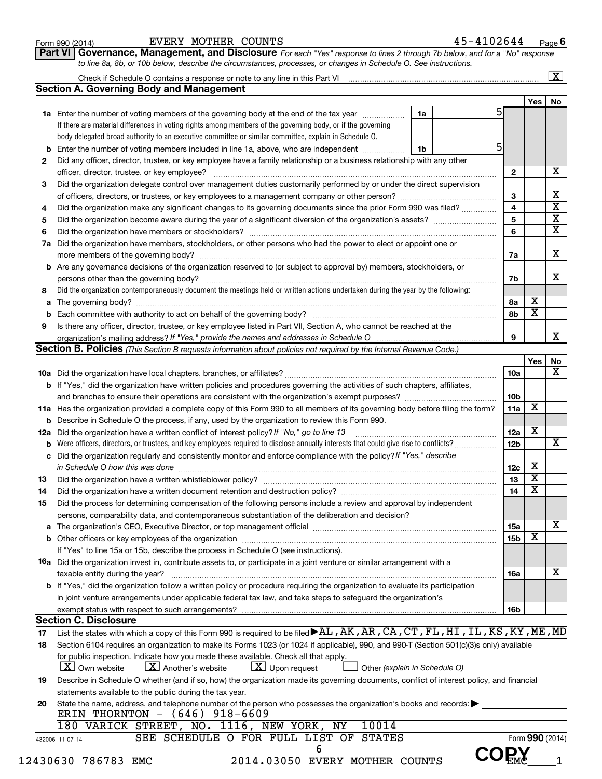| Form 990 (2014) |  |  |
|-----------------|--|--|
|-----------------|--|--|

#### Form 990 (2014)  $EVERY$  MOTHER COUNTS  $45-4102644$  Page

**Part VI** Governance, Management, and Disclosure For each "Yes" response to lines 2 through 7b below, and for a "No" response *to line 8a, 8b, or 10b below, describe the circumstances, processes, or changes in Schedule O. See instructions.*

| <b>Section A. Governing Body and Management</b><br>1a Enter the number of voting members of the governing body at the end of the tax year <i>manumum</i><br>If there are material differences in voting rights among members of the governing body, or if the governing<br>body delegated broad authority to an executive committee or similar committee, explain in Schedule O.<br>Enter the number of voting members included in line 1a, above, who are independent<br>Did any officer, director, trustee, or key employee have a family relationship or a business relationship with any other<br>officer, director, trustee, or key employee?<br>Did the organization delegate control over management duties customarily performed by or under the direct supervision<br>Did the organization have members, stockholders, or other persons who had the power to elect or appoint one or<br>Are any governance decisions of the organization reserved to (or subject to approval by) members, stockholders, or<br>Did the organization contemporaneously document the meetings held or written actions undertaken during the year by the following:<br>Is there any officer, director, trustee, or key employee listed in Part VII, Section A, who cannot be reached at the<br>Section B. Policies (This Section B requests information about policies not required by the Internal Revenue Code.) | 5<br>1a<br>5<br>1b                                                                                                                                                                                                                                                                                                                                                                                                                                                                                                                                                           | $\mathbf{2}$<br>3<br>4<br>5<br>6<br>7a<br>7b<br>8a<br>8b                                                                                                                                                                                                                                                                                                                                                                                                                                                                                                                                                                                                                                                                                                                                                                                                                                                                                                                                                                                                                                                                                                                              | Yes<br>х                                    | No<br>х<br>х<br>$\overline{\mathbf{x}}$<br>$\overline{\mathbf{x}}$<br>$\overline{\mathbf{x}}$<br>X<br>x                                                                                                                                                                                                                                                                                                                 |
|---------------------------------------------------------------------------------------------------------------------------------------------------------------------------------------------------------------------------------------------------------------------------------------------------------------------------------------------------------------------------------------------------------------------------------------------------------------------------------------------------------------------------------------------------------------------------------------------------------------------------------------------------------------------------------------------------------------------------------------------------------------------------------------------------------------------------------------------------------------------------------------------------------------------------------------------------------------------------------------------------------------------------------------------------------------------------------------------------------------------------------------------------------------------------------------------------------------------------------------------------------------------------------------------------------------------------------------------------------------------------------------------------------|------------------------------------------------------------------------------------------------------------------------------------------------------------------------------------------------------------------------------------------------------------------------------------------------------------------------------------------------------------------------------------------------------------------------------------------------------------------------------------------------------------------------------------------------------------------------------|---------------------------------------------------------------------------------------------------------------------------------------------------------------------------------------------------------------------------------------------------------------------------------------------------------------------------------------------------------------------------------------------------------------------------------------------------------------------------------------------------------------------------------------------------------------------------------------------------------------------------------------------------------------------------------------------------------------------------------------------------------------------------------------------------------------------------------------------------------------------------------------------------------------------------------------------------------------------------------------------------------------------------------------------------------------------------------------------------------------------------------------------------------------------------------------|---------------------------------------------|-------------------------------------------------------------------------------------------------------------------------------------------------------------------------------------------------------------------------------------------------------------------------------------------------------------------------------------------------------------------------------------------------------------------------|
|                                                                                                                                                                                                                                                                                                                                                                                                                                                                                                                                                                                                                                                                                                                                                                                                                                                                                                                                                                                                                                                                                                                                                                                                                                                                                                                                                                                                         |                                                                                                                                                                                                                                                                                                                                                                                                                                                                                                                                                                              |                                                                                                                                                                                                                                                                                                                                                                                                                                                                                                                                                                                                                                                                                                                                                                                                                                                                                                                                                                                                                                                                                                                                                                                       |                                             |                                                                                                                                                                                                                                                                                                                                                                                                                         |
|                                                                                                                                                                                                                                                                                                                                                                                                                                                                                                                                                                                                                                                                                                                                                                                                                                                                                                                                                                                                                                                                                                                                                                                                                                                                                                                                                                                                         |                                                                                                                                                                                                                                                                                                                                                                                                                                                                                                                                                                              |                                                                                                                                                                                                                                                                                                                                                                                                                                                                                                                                                                                                                                                                                                                                                                                                                                                                                                                                                                                                                                                                                                                                                                                       |                                             |                                                                                                                                                                                                                                                                                                                                                                                                                         |
|                                                                                                                                                                                                                                                                                                                                                                                                                                                                                                                                                                                                                                                                                                                                                                                                                                                                                                                                                                                                                                                                                                                                                                                                                                                                                                                                                                                                         |                                                                                                                                                                                                                                                                                                                                                                                                                                                                                                                                                                              |                                                                                                                                                                                                                                                                                                                                                                                                                                                                                                                                                                                                                                                                                                                                                                                                                                                                                                                                                                                                                                                                                                                                                                                       |                                             |                                                                                                                                                                                                                                                                                                                                                                                                                         |
|                                                                                                                                                                                                                                                                                                                                                                                                                                                                                                                                                                                                                                                                                                                                                                                                                                                                                                                                                                                                                                                                                                                                                                                                                                                                                                                                                                                                         |                                                                                                                                                                                                                                                                                                                                                                                                                                                                                                                                                                              |                                                                                                                                                                                                                                                                                                                                                                                                                                                                                                                                                                                                                                                                                                                                                                                                                                                                                                                                                                                                                                                                                                                                                                                       |                                             |                                                                                                                                                                                                                                                                                                                                                                                                                         |
|                                                                                                                                                                                                                                                                                                                                                                                                                                                                                                                                                                                                                                                                                                                                                                                                                                                                                                                                                                                                                                                                                                                                                                                                                                                                                                                                                                                                         |                                                                                                                                                                                                                                                                                                                                                                                                                                                                                                                                                                              |                                                                                                                                                                                                                                                                                                                                                                                                                                                                                                                                                                                                                                                                                                                                                                                                                                                                                                                                                                                                                                                                                                                                                                                       |                                             |                                                                                                                                                                                                                                                                                                                                                                                                                         |
|                                                                                                                                                                                                                                                                                                                                                                                                                                                                                                                                                                                                                                                                                                                                                                                                                                                                                                                                                                                                                                                                                                                                                                                                                                                                                                                                                                                                         |                                                                                                                                                                                                                                                                                                                                                                                                                                                                                                                                                                              |                                                                                                                                                                                                                                                                                                                                                                                                                                                                                                                                                                                                                                                                                                                                                                                                                                                                                                                                                                                                                                                                                                                                                                                       |                                             |                                                                                                                                                                                                                                                                                                                                                                                                                         |
|                                                                                                                                                                                                                                                                                                                                                                                                                                                                                                                                                                                                                                                                                                                                                                                                                                                                                                                                                                                                                                                                                                                                                                                                                                                                                                                                                                                                         |                                                                                                                                                                                                                                                                                                                                                                                                                                                                                                                                                                              |                                                                                                                                                                                                                                                                                                                                                                                                                                                                                                                                                                                                                                                                                                                                                                                                                                                                                                                                                                                                                                                                                                                                                                                       |                                             |                                                                                                                                                                                                                                                                                                                                                                                                                         |
|                                                                                                                                                                                                                                                                                                                                                                                                                                                                                                                                                                                                                                                                                                                                                                                                                                                                                                                                                                                                                                                                                                                                                                                                                                                                                                                                                                                                         |                                                                                                                                                                                                                                                                                                                                                                                                                                                                                                                                                                              |                                                                                                                                                                                                                                                                                                                                                                                                                                                                                                                                                                                                                                                                                                                                                                                                                                                                                                                                                                                                                                                                                                                                                                                       |                                             |                                                                                                                                                                                                                                                                                                                                                                                                                         |
|                                                                                                                                                                                                                                                                                                                                                                                                                                                                                                                                                                                                                                                                                                                                                                                                                                                                                                                                                                                                                                                                                                                                                                                                                                                                                                                                                                                                         |                                                                                                                                                                                                                                                                                                                                                                                                                                                                                                                                                                              |                                                                                                                                                                                                                                                                                                                                                                                                                                                                                                                                                                                                                                                                                                                                                                                                                                                                                                                                                                                                                                                                                                                                                                                       |                                             |                                                                                                                                                                                                                                                                                                                                                                                                                         |
|                                                                                                                                                                                                                                                                                                                                                                                                                                                                                                                                                                                                                                                                                                                                                                                                                                                                                                                                                                                                                                                                                                                                                                                                                                                                                                                                                                                                         |                                                                                                                                                                                                                                                                                                                                                                                                                                                                                                                                                                              |                                                                                                                                                                                                                                                                                                                                                                                                                                                                                                                                                                                                                                                                                                                                                                                                                                                                                                                                                                                                                                                                                                                                                                                       |                                             |                                                                                                                                                                                                                                                                                                                                                                                                                         |
|                                                                                                                                                                                                                                                                                                                                                                                                                                                                                                                                                                                                                                                                                                                                                                                                                                                                                                                                                                                                                                                                                                                                                                                                                                                                                                                                                                                                         |                                                                                                                                                                                                                                                                                                                                                                                                                                                                                                                                                                              |                                                                                                                                                                                                                                                                                                                                                                                                                                                                                                                                                                                                                                                                                                                                                                                                                                                                                                                                                                                                                                                                                                                                                                                       |                                             |                                                                                                                                                                                                                                                                                                                                                                                                                         |
|                                                                                                                                                                                                                                                                                                                                                                                                                                                                                                                                                                                                                                                                                                                                                                                                                                                                                                                                                                                                                                                                                                                                                                                                                                                                                                                                                                                                         |                                                                                                                                                                                                                                                                                                                                                                                                                                                                                                                                                                              |                                                                                                                                                                                                                                                                                                                                                                                                                                                                                                                                                                                                                                                                                                                                                                                                                                                                                                                                                                                                                                                                                                                                                                                       |                                             |                                                                                                                                                                                                                                                                                                                                                                                                                         |
|                                                                                                                                                                                                                                                                                                                                                                                                                                                                                                                                                                                                                                                                                                                                                                                                                                                                                                                                                                                                                                                                                                                                                                                                                                                                                                                                                                                                         |                                                                                                                                                                                                                                                                                                                                                                                                                                                                                                                                                                              |                                                                                                                                                                                                                                                                                                                                                                                                                                                                                                                                                                                                                                                                                                                                                                                                                                                                                                                                                                                                                                                                                                                                                                                       |                                             |                                                                                                                                                                                                                                                                                                                                                                                                                         |
|                                                                                                                                                                                                                                                                                                                                                                                                                                                                                                                                                                                                                                                                                                                                                                                                                                                                                                                                                                                                                                                                                                                                                                                                                                                                                                                                                                                                         |                                                                                                                                                                                                                                                                                                                                                                                                                                                                                                                                                                              |                                                                                                                                                                                                                                                                                                                                                                                                                                                                                                                                                                                                                                                                                                                                                                                                                                                                                                                                                                                                                                                                                                                                                                                       |                                             |                                                                                                                                                                                                                                                                                                                                                                                                                         |
|                                                                                                                                                                                                                                                                                                                                                                                                                                                                                                                                                                                                                                                                                                                                                                                                                                                                                                                                                                                                                                                                                                                                                                                                                                                                                                                                                                                                         |                                                                                                                                                                                                                                                                                                                                                                                                                                                                                                                                                                              |                                                                                                                                                                                                                                                                                                                                                                                                                                                                                                                                                                                                                                                                                                                                                                                                                                                                                                                                                                                                                                                                                                                                                                                       |                                             |                                                                                                                                                                                                                                                                                                                                                                                                                         |
|                                                                                                                                                                                                                                                                                                                                                                                                                                                                                                                                                                                                                                                                                                                                                                                                                                                                                                                                                                                                                                                                                                                                                                                                                                                                                                                                                                                                         |                                                                                                                                                                                                                                                                                                                                                                                                                                                                                                                                                                              |                                                                                                                                                                                                                                                                                                                                                                                                                                                                                                                                                                                                                                                                                                                                                                                                                                                                                                                                                                                                                                                                                                                                                                                       |                                             |                                                                                                                                                                                                                                                                                                                                                                                                                         |
|                                                                                                                                                                                                                                                                                                                                                                                                                                                                                                                                                                                                                                                                                                                                                                                                                                                                                                                                                                                                                                                                                                                                                                                                                                                                                                                                                                                                         |                                                                                                                                                                                                                                                                                                                                                                                                                                                                                                                                                                              |                                                                                                                                                                                                                                                                                                                                                                                                                                                                                                                                                                                                                                                                                                                                                                                                                                                                                                                                                                                                                                                                                                                                                                                       |                                             |                                                                                                                                                                                                                                                                                                                                                                                                                         |
|                                                                                                                                                                                                                                                                                                                                                                                                                                                                                                                                                                                                                                                                                                                                                                                                                                                                                                                                                                                                                                                                                                                                                                                                                                                                                                                                                                                                         |                                                                                                                                                                                                                                                                                                                                                                                                                                                                                                                                                                              |                                                                                                                                                                                                                                                                                                                                                                                                                                                                                                                                                                                                                                                                                                                                                                                                                                                                                                                                                                                                                                                                                                                                                                                       |                                             |                                                                                                                                                                                                                                                                                                                                                                                                                         |
|                                                                                                                                                                                                                                                                                                                                                                                                                                                                                                                                                                                                                                                                                                                                                                                                                                                                                                                                                                                                                                                                                                                                                                                                                                                                                                                                                                                                         |                                                                                                                                                                                                                                                                                                                                                                                                                                                                                                                                                                              |                                                                                                                                                                                                                                                                                                                                                                                                                                                                                                                                                                                                                                                                                                                                                                                                                                                                                                                                                                                                                                                                                                                                                                                       |                                             |                                                                                                                                                                                                                                                                                                                                                                                                                         |
|                                                                                                                                                                                                                                                                                                                                                                                                                                                                                                                                                                                                                                                                                                                                                                                                                                                                                                                                                                                                                                                                                                                                                                                                                                                                                                                                                                                                         |                                                                                                                                                                                                                                                                                                                                                                                                                                                                                                                                                                              |                                                                                                                                                                                                                                                                                                                                                                                                                                                                                                                                                                                                                                                                                                                                                                                                                                                                                                                                                                                                                                                                                                                                                                                       | $\overline{\mathbf{x}}$                     |                                                                                                                                                                                                                                                                                                                                                                                                                         |
|                                                                                                                                                                                                                                                                                                                                                                                                                                                                                                                                                                                                                                                                                                                                                                                                                                                                                                                                                                                                                                                                                                                                                                                                                                                                                                                                                                                                         |                                                                                                                                                                                                                                                                                                                                                                                                                                                                                                                                                                              |                                                                                                                                                                                                                                                                                                                                                                                                                                                                                                                                                                                                                                                                                                                                                                                                                                                                                                                                                                                                                                                                                                                                                                                       |                                             |                                                                                                                                                                                                                                                                                                                                                                                                                         |
|                                                                                                                                                                                                                                                                                                                                                                                                                                                                                                                                                                                                                                                                                                                                                                                                                                                                                                                                                                                                                                                                                                                                                                                                                                                                                                                                                                                                         |                                                                                                                                                                                                                                                                                                                                                                                                                                                                                                                                                                              | 9                                                                                                                                                                                                                                                                                                                                                                                                                                                                                                                                                                                                                                                                                                                                                                                                                                                                                                                                                                                                                                                                                                                                                                                     |                                             | х                                                                                                                                                                                                                                                                                                                                                                                                                       |
|                                                                                                                                                                                                                                                                                                                                                                                                                                                                                                                                                                                                                                                                                                                                                                                                                                                                                                                                                                                                                                                                                                                                                                                                                                                                                                                                                                                                         |                                                                                                                                                                                                                                                                                                                                                                                                                                                                                                                                                                              |                                                                                                                                                                                                                                                                                                                                                                                                                                                                                                                                                                                                                                                                                                                                                                                                                                                                                                                                                                                                                                                                                                                                                                                       |                                             |                                                                                                                                                                                                                                                                                                                                                                                                                         |
|                                                                                                                                                                                                                                                                                                                                                                                                                                                                                                                                                                                                                                                                                                                                                                                                                                                                                                                                                                                                                                                                                                                                                                                                                                                                                                                                                                                                         |                                                                                                                                                                                                                                                                                                                                                                                                                                                                                                                                                                              |                                                                                                                                                                                                                                                                                                                                                                                                                                                                                                                                                                                                                                                                                                                                                                                                                                                                                                                                                                                                                                                                                                                                                                                       | Yes                                         | No                                                                                                                                                                                                                                                                                                                                                                                                                      |
|                                                                                                                                                                                                                                                                                                                                                                                                                                                                                                                                                                                                                                                                                                                                                                                                                                                                                                                                                                                                                                                                                                                                                                                                                                                                                                                                                                                                         |                                                                                                                                                                                                                                                                                                                                                                                                                                                                                                                                                                              | 10a                                                                                                                                                                                                                                                                                                                                                                                                                                                                                                                                                                                                                                                                                                                                                                                                                                                                                                                                                                                                                                                                                                                                                                                   |                                             | х                                                                                                                                                                                                                                                                                                                                                                                                                       |
| <b>b</b> If "Yes," did the organization have written policies and procedures governing the activities of such chapters, affiliates,                                                                                                                                                                                                                                                                                                                                                                                                                                                                                                                                                                                                                                                                                                                                                                                                                                                                                                                                                                                                                                                                                                                                                                                                                                                                     |                                                                                                                                                                                                                                                                                                                                                                                                                                                                                                                                                                              |                                                                                                                                                                                                                                                                                                                                                                                                                                                                                                                                                                                                                                                                                                                                                                                                                                                                                                                                                                                                                                                                                                                                                                                       |                                             |                                                                                                                                                                                                                                                                                                                                                                                                                         |
|                                                                                                                                                                                                                                                                                                                                                                                                                                                                                                                                                                                                                                                                                                                                                                                                                                                                                                                                                                                                                                                                                                                                                                                                                                                                                                                                                                                                         |                                                                                                                                                                                                                                                                                                                                                                                                                                                                                                                                                                              | 10b                                                                                                                                                                                                                                                                                                                                                                                                                                                                                                                                                                                                                                                                                                                                                                                                                                                                                                                                                                                                                                                                                                                                                                                   |                                             |                                                                                                                                                                                                                                                                                                                                                                                                                         |
| 11a Has the organization provided a complete copy of this Form 990 to all members of its governing body before filing the form?                                                                                                                                                                                                                                                                                                                                                                                                                                                                                                                                                                                                                                                                                                                                                                                                                                                                                                                                                                                                                                                                                                                                                                                                                                                                         |                                                                                                                                                                                                                                                                                                                                                                                                                                                                                                                                                                              | 11a                                                                                                                                                                                                                                                                                                                                                                                                                                                                                                                                                                                                                                                                                                                                                                                                                                                                                                                                                                                                                                                                                                                                                                                   | X                                           |                                                                                                                                                                                                                                                                                                                                                                                                                         |
| Describe in Schedule O the process, if any, used by the organization to review this Form 990.                                                                                                                                                                                                                                                                                                                                                                                                                                                                                                                                                                                                                                                                                                                                                                                                                                                                                                                                                                                                                                                                                                                                                                                                                                                                                                           |                                                                                                                                                                                                                                                                                                                                                                                                                                                                                                                                                                              |                                                                                                                                                                                                                                                                                                                                                                                                                                                                                                                                                                                                                                                                                                                                                                                                                                                                                                                                                                                                                                                                                                                                                                                       |                                             |                                                                                                                                                                                                                                                                                                                                                                                                                         |
| Did the organization have a written conflict of interest policy? If "No," go to line 13                                                                                                                                                                                                                                                                                                                                                                                                                                                                                                                                                                                                                                                                                                                                                                                                                                                                                                                                                                                                                                                                                                                                                                                                                                                                                                                 |                                                                                                                                                                                                                                                                                                                                                                                                                                                                                                                                                                              | 12a                                                                                                                                                                                                                                                                                                                                                                                                                                                                                                                                                                                                                                                                                                                                                                                                                                                                                                                                                                                                                                                                                                                                                                                   | X                                           |                                                                                                                                                                                                                                                                                                                                                                                                                         |
|                                                                                                                                                                                                                                                                                                                                                                                                                                                                                                                                                                                                                                                                                                                                                                                                                                                                                                                                                                                                                                                                                                                                                                                                                                                                                                                                                                                                         |                                                                                                                                                                                                                                                                                                                                                                                                                                                                                                                                                                              | 12 <sub>b</sub>                                                                                                                                                                                                                                                                                                                                                                                                                                                                                                                                                                                                                                                                                                                                                                                                                                                                                                                                                                                                                                                                                                                                                                       |                                             | х                                                                                                                                                                                                                                                                                                                                                                                                                       |
|                                                                                                                                                                                                                                                                                                                                                                                                                                                                                                                                                                                                                                                                                                                                                                                                                                                                                                                                                                                                                                                                                                                                                                                                                                                                                                                                                                                                         |                                                                                                                                                                                                                                                                                                                                                                                                                                                                                                                                                                              |                                                                                                                                                                                                                                                                                                                                                                                                                                                                                                                                                                                                                                                                                                                                                                                                                                                                                                                                                                                                                                                                                                                                                                                       |                                             |                                                                                                                                                                                                                                                                                                                                                                                                                         |
|                                                                                                                                                                                                                                                                                                                                                                                                                                                                                                                                                                                                                                                                                                                                                                                                                                                                                                                                                                                                                                                                                                                                                                                                                                                                                                                                                                                                         |                                                                                                                                                                                                                                                                                                                                                                                                                                                                                                                                                                              | 12c                                                                                                                                                                                                                                                                                                                                                                                                                                                                                                                                                                                                                                                                                                                                                                                                                                                                                                                                                                                                                                                                                                                                                                                   | X                                           |                                                                                                                                                                                                                                                                                                                                                                                                                         |
|                                                                                                                                                                                                                                                                                                                                                                                                                                                                                                                                                                                                                                                                                                                                                                                                                                                                                                                                                                                                                                                                                                                                                                                                                                                                                                                                                                                                         |                                                                                                                                                                                                                                                                                                                                                                                                                                                                                                                                                                              | 13                                                                                                                                                                                                                                                                                                                                                                                                                                                                                                                                                                                                                                                                                                                                                                                                                                                                                                                                                                                                                                                                                                                                                                                    | X                                           |                                                                                                                                                                                                                                                                                                                                                                                                                         |
|                                                                                                                                                                                                                                                                                                                                                                                                                                                                                                                                                                                                                                                                                                                                                                                                                                                                                                                                                                                                                                                                                                                                                                                                                                                                                                                                                                                                         |                                                                                                                                                                                                                                                                                                                                                                                                                                                                                                                                                                              | 14                                                                                                                                                                                                                                                                                                                                                                                                                                                                                                                                                                                                                                                                                                                                                                                                                                                                                                                                                                                                                                                                                                                                                                                    | X                                           |                                                                                                                                                                                                                                                                                                                                                                                                                         |
|                                                                                                                                                                                                                                                                                                                                                                                                                                                                                                                                                                                                                                                                                                                                                                                                                                                                                                                                                                                                                                                                                                                                                                                                                                                                                                                                                                                                         |                                                                                                                                                                                                                                                                                                                                                                                                                                                                                                                                                                              |                                                                                                                                                                                                                                                                                                                                                                                                                                                                                                                                                                                                                                                                                                                                                                                                                                                                                                                                                                                                                                                                                                                                                                                       |                                             |                                                                                                                                                                                                                                                                                                                                                                                                                         |
|                                                                                                                                                                                                                                                                                                                                                                                                                                                                                                                                                                                                                                                                                                                                                                                                                                                                                                                                                                                                                                                                                                                                                                                                                                                                                                                                                                                                         |                                                                                                                                                                                                                                                                                                                                                                                                                                                                                                                                                                              |                                                                                                                                                                                                                                                                                                                                                                                                                                                                                                                                                                                                                                                                                                                                                                                                                                                                                                                                                                                                                                                                                                                                                                                       |                                             |                                                                                                                                                                                                                                                                                                                                                                                                                         |
|                                                                                                                                                                                                                                                                                                                                                                                                                                                                                                                                                                                                                                                                                                                                                                                                                                                                                                                                                                                                                                                                                                                                                                                                                                                                                                                                                                                                         |                                                                                                                                                                                                                                                                                                                                                                                                                                                                                                                                                                              |                                                                                                                                                                                                                                                                                                                                                                                                                                                                                                                                                                                                                                                                                                                                                                                                                                                                                                                                                                                                                                                                                                                                                                                       |                                             | x                                                                                                                                                                                                                                                                                                                                                                                                                       |
|                                                                                                                                                                                                                                                                                                                                                                                                                                                                                                                                                                                                                                                                                                                                                                                                                                                                                                                                                                                                                                                                                                                                                                                                                                                                                                                                                                                                         |                                                                                                                                                                                                                                                                                                                                                                                                                                                                                                                                                                              |                                                                                                                                                                                                                                                                                                                                                                                                                                                                                                                                                                                                                                                                                                                                                                                                                                                                                                                                                                                                                                                                                                                                                                                       |                                             |                                                                                                                                                                                                                                                                                                                                                                                                                         |
|                                                                                                                                                                                                                                                                                                                                                                                                                                                                                                                                                                                                                                                                                                                                                                                                                                                                                                                                                                                                                                                                                                                                                                                                                                                                                                                                                                                                         |                                                                                                                                                                                                                                                                                                                                                                                                                                                                                                                                                                              |                                                                                                                                                                                                                                                                                                                                                                                                                                                                                                                                                                                                                                                                                                                                                                                                                                                                                                                                                                                                                                                                                                                                                                                       |                                             |                                                                                                                                                                                                                                                                                                                                                                                                                         |
|                                                                                                                                                                                                                                                                                                                                                                                                                                                                                                                                                                                                                                                                                                                                                                                                                                                                                                                                                                                                                                                                                                                                                                                                                                                                                                                                                                                                         |                                                                                                                                                                                                                                                                                                                                                                                                                                                                                                                                                                              |                                                                                                                                                                                                                                                                                                                                                                                                                                                                                                                                                                                                                                                                                                                                                                                                                                                                                                                                                                                                                                                                                                                                                                                       |                                             |                                                                                                                                                                                                                                                                                                                                                                                                                         |
|                                                                                                                                                                                                                                                                                                                                                                                                                                                                                                                                                                                                                                                                                                                                                                                                                                                                                                                                                                                                                                                                                                                                                                                                                                                                                                                                                                                                         |                                                                                                                                                                                                                                                                                                                                                                                                                                                                                                                                                                              |                                                                                                                                                                                                                                                                                                                                                                                                                                                                                                                                                                                                                                                                                                                                                                                                                                                                                                                                                                                                                                                                                                                                                                                       |                                             | x                                                                                                                                                                                                                                                                                                                                                                                                                       |
|                                                                                                                                                                                                                                                                                                                                                                                                                                                                                                                                                                                                                                                                                                                                                                                                                                                                                                                                                                                                                                                                                                                                                                                                                                                                                                                                                                                                         |                                                                                                                                                                                                                                                                                                                                                                                                                                                                                                                                                                              |                                                                                                                                                                                                                                                                                                                                                                                                                                                                                                                                                                                                                                                                                                                                                                                                                                                                                                                                                                                                                                                                                                                                                                                       |                                             |                                                                                                                                                                                                                                                                                                                                                                                                                         |
|                                                                                                                                                                                                                                                                                                                                                                                                                                                                                                                                                                                                                                                                                                                                                                                                                                                                                                                                                                                                                                                                                                                                                                                                                                                                                                                                                                                                         |                                                                                                                                                                                                                                                                                                                                                                                                                                                                                                                                                                              |                                                                                                                                                                                                                                                                                                                                                                                                                                                                                                                                                                                                                                                                                                                                                                                                                                                                                                                                                                                                                                                                                                                                                                                       |                                             |                                                                                                                                                                                                                                                                                                                                                                                                                         |
|                                                                                                                                                                                                                                                                                                                                                                                                                                                                                                                                                                                                                                                                                                                                                                                                                                                                                                                                                                                                                                                                                                                                                                                                                                                                                                                                                                                                         |                                                                                                                                                                                                                                                                                                                                                                                                                                                                                                                                                                              |                                                                                                                                                                                                                                                                                                                                                                                                                                                                                                                                                                                                                                                                                                                                                                                                                                                                                                                                                                                                                                                                                                                                                                                       |                                             |                                                                                                                                                                                                                                                                                                                                                                                                                         |
|                                                                                                                                                                                                                                                                                                                                                                                                                                                                                                                                                                                                                                                                                                                                                                                                                                                                                                                                                                                                                                                                                                                                                                                                                                                                                                                                                                                                         |                                                                                                                                                                                                                                                                                                                                                                                                                                                                                                                                                                              |                                                                                                                                                                                                                                                                                                                                                                                                                                                                                                                                                                                                                                                                                                                                                                                                                                                                                                                                                                                                                                                                                                                                                                                       |                                             |                                                                                                                                                                                                                                                                                                                                                                                                                         |
|                                                                                                                                                                                                                                                                                                                                                                                                                                                                                                                                                                                                                                                                                                                                                                                                                                                                                                                                                                                                                                                                                                                                                                                                                                                                                                                                                                                                         |                                                                                                                                                                                                                                                                                                                                                                                                                                                                                                                                                                              |                                                                                                                                                                                                                                                                                                                                                                                                                                                                                                                                                                                                                                                                                                                                                                                                                                                                                                                                                                                                                                                                                                                                                                                       |                                             |                                                                                                                                                                                                                                                                                                                                                                                                                         |
|                                                                                                                                                                                                                                                                                                                                                                                                                                                                                                                                                                                                                                                                                                                                                                                                                                                                                                                                                                                                                                                                                                                                                                                                                                                                                                                                                                                                         |                                                                                                                                                                                                                                                                                                                                                                                                                                                                                                                                                                              |                                                                                                                                                                                                                                                                                                                                                                                                                                                                                                                                                                                                                                                                                                                                                                                                                                                                                                                                                                                                                                                                                                                                                                                       |                                             |                                                                                                                                                                                                                                                                                                                                                                                                                         |
|                                                                                                                                                                                                                                                                                                                                                                                                                                                                                                                                                                                                                                                                                                                                                                                                                                                                                                                                                                                                                                                                                                                                                                                                                                                                                                                                                                                                         |                                                                                                                                                                                                                                                                                                                                                                                                                                                                                                                                                                              |                                                                                                                                                                                                                                                                                                                                                                                                                                                                                                                                                                                                                                                                                                                                                                                                                                                                                                                                                                                                                                                                                                                                                                                       |                                             |                                                                                                                                                                                                                                                                                                                                                                                                                         |
|                                                                                                                                                                                                                                                                                                                                                                                                                                                                                                                                                                                                                                                                                                                                                                                                                                                                                                                                                                                                                                                                                                                                                                                                                                                                                                                                                                                                         |                                                                                                                                                                                                                                                                                                                                                                                                                                                                                                                                                                              |                                                                                                                                                                                                                                                                                                                                                                                                                                                                                                                                                                                                                                                                                                                                                                                                                                                                                                                                                                                                                                                                                                                                                                                       |                                             |                                                                                                                                                                                                                                                                                                                                                                                                                         |
|                                                                                                                                                                                                                                                                                                                                                                                                                                                                                                                                                                                                                                                                                                                                                                                                                                                                                                                                                                                                                                                                                                                                                                                                                                                                                                                                                                                                         |                                                                                                                                                                                                                                                                                                                                                                                                                                                                                                                                                                              |                                                                                                                                                                                                                                                                                                                                                                                                                                                                                                                                                                                                                                                                                                                                                                                                                                                                                                                                                                                                                                                                                                                                                                                       |                                             |                                                                                                                                                                                                                                                                                                                                                                                                                         |
|                                                                                                                                                                                                                                                                                                                                                                                                                                                                                                                                                                                                                                                                                                                                                                                                                                                                                                                                                                                                                                                                                                                                                                                                                                                                                                                                                                                                         |                                                                                                                                                                                                                                                                                                                                                                                                                                                                                                                                                                              |                                                                                                                                                                                                                                                                                                                                                                                                                                                                                                                                                                                                                                                                                                                                                                                                                                                                                                                                                                                                                                                                                                                                                                                       |                                             |                                                                                                                                                                                                                                                                                                                                                                                                                         |
|                                                                                                                                                                                                                                                                                                                                                                                                                                                                                                                                                                                                                                                                                                                                                                                                                                                                                                                                                                                                                                                                                                                                                                                                                                                                                                                                                                                                         |                                                                                                                                                                                                                                                                                                                                                                                                                                                                                                                                                                              |                                                                                                                                                                                                                                                                                                                                                                                                                                                                                                                                                                                                                                                                                                                                                                                                                                                                                                                                                                                                                                                                                                                                                                                       |                                             |                                                                                                                                                                                                                                                                                                                                                                                                                         |
|                                                                                                                                                                                                                                                                                                                                                                                                                                                                                                                                                                                                                                                                                                                                                                                                                                                                                                                                                                                                                                                                                                                                                                                                                                                                                                                                                                                                         |                                                                                                                                                                                                                                                                                                                                                                                                                                                                                                                                                                              |                                                                                                                                                                                                                                                                                                                                                                                                                                                                                                                                                                                                                                                                                                                                                                                                                                                                                                                                                                                                                                                                                                                                                                                       |                                             |                                                                                                                                                                                                                                                                                                                                                                                                                         |
|                                                                                                                                                                                                                                                                                                                                                                                                                                                                                                                                                                                                                                                                                                                                                                                                                                                                                                                                                                                                                                                                                                                                                                                                                                                                                                                                                                                                         |                                                                                                                                                                                                                                                                                                                                                                                                                                                                                                                                                                              |                                                                                                                                                                                                                                                                                                                                                                                                                                                                                                                                                                                                                                                                                                                                                                                                                                                                                                                                                                                                                                                                                                                                                                                       |                                             |                                                                                                                                                                                                                                                                                                                                                                                                                         |
|                                                                                                                                                                                                                                                                                                                                                                                                                                                                                                                                                                                                                                                                                                                                                                                                                                                                                                                                                                                                                                                                                                                                                                                                                                                                                                                                                                                                         |                                                                                                                                                                                                                                                                                                                                                                                                                                                                                                                                                                              |                                                                                                                                                                                                                                                                                                                                                                                                                                                                                                                                                                                                                                                                                                                                                                                                                                                                                                                                                                                                                                                                                                                                                                                       |                                             |                                                                                                                                                                                                                                                                                                                                                                                                                         |
|                                                                                                                                                                                                                                                                                                                                                                                                                                                                                                                                                                                                                                                                                                                                                                                                                                                                                                                                                                                                                                                                                                                                                                                                                                                                                                                                                                                                         | If "Yes" to line 15a or 15b, describe the process in Schedule O (see instructions).<br>taxable entity during the year?<br>exempt status with respect to such arrangements?<br><b>Section C. Disclosure</b><br>for public inspection. Indicate how you made these available. Check all that apply.<br>$\lfloor x \rfloor$ Upon request<br><b>X</b> Own website<br>$ \mathbf{X} $ Another's website<br>statements available to the public during the tax year.<br>ERIN THORNTON - (646) 918-6609<br>180 VARICK STREET, NO. 1116, NEW YORK, NY<br>10014<br>432006 11-07-14<br>6 | Were officers, directors, or trustees, and key employees required to disclose annually interests that could give rise to conflicts?<br>Did the organization regularly and consistently monitor and enforce compliance with the policy? If "Yes," describe<br>in Schedule O how this was done manufactured and continuum and contact the was done manufactured and contact t<br>Did the process for determining compensation of the following persons include a review and approval by independent<br>persons, comparability data, and contemporaneous substantiation of the deliberation and decision?<br>16a Did the organization invest in, contribute assets to, or participate in a joint venture or similar arrangement with a<br>b If "Yes," did the organization follow a written policy or procedure requiring the organization to evaluate its participation<br>in joint venture arrangements under applicable federal tax law, and take steps to safeguard the organization's<br>Other (explain in Schedule O)<br>State the name, address, and telephone number of the person who possesses the organization's books and records:<br>SEE SCHEDULE O FOR FULL LIST OF STATES | 15a<br>15b<br>16a<br>16b<br>Form 990 (2014) | х<br>List the states with which a copy of this Form 990 is required to be filed AL, AK, AR, CA, CT, FL, HI, IL, KS, KY, ME, MD<br>Section 6104 requires an organization to make its Forms 1023 (or 1024 if applicable), 990, and 990-T (Section 501(c)(3)s only) available<br>Describe in Schedule O whether (and if so, how) the organization made its governing documents, conflict of interest policy, and financial |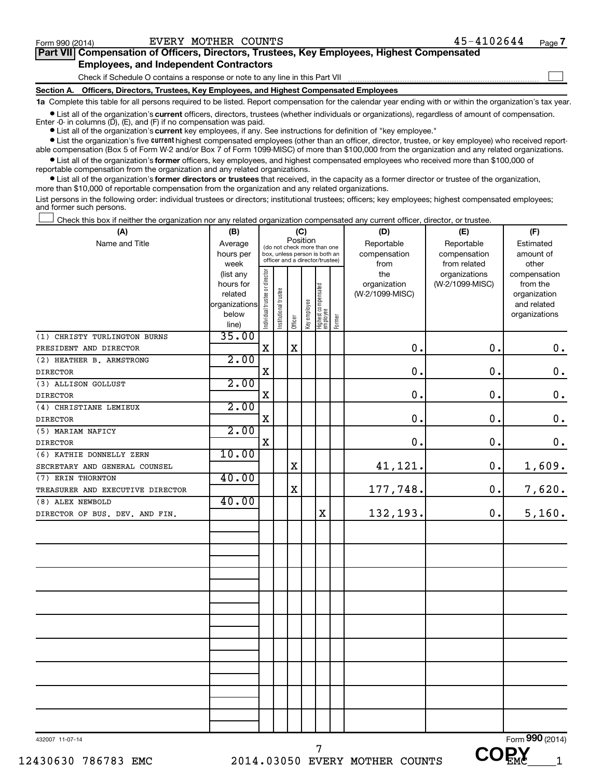$\begin{array}{c} \hline \end{array}$ 

| Part VII Compensation of Officers, Directors, Trustees, Key Employees, Highest Compensated |
|--------------------------------------------------------------------------------------------|
| <b>Employees, and Independent Contractors</b>                                              |

Check if Schedule O contains a response or note to any line in this Part VII

**Section A. Officers, Directors, Trustees, Key Employees, and Highest Compensated Employees**

**1a**  Complete this table for all persons required to be listed. Report compensation for the calendar year ending with or within the organization's tax year.

 $\bullet$  List all of the organization's **current** officers, directors, trustees (whether individuals or organizations), regardless of amount of compensation. Enter  $-0$ - in columns  $(D)$ ,  $(E)$ , and  $(F)$  if no compensation was paid.

● List all of the organization's **current** key employees, if any. See instructions for definition of "key employee."

**•** List the organization's five current highest compensated employees (other than an officer, director, trustee, or key employee) who received reportable compensation (Box 5 of Form W-2 and/or Box 7 of Form 1099-MISC) of more than \$100,000 from the organization and any related organizations.

 $\bullet$  List all of the organization's former officers, key employees, and highest compensated employees who received more than \$100,000 of reportable compensation from the organization and any related organizations.

**•** List all of the organization's former directors or trustees that received, in the capacity as a former director or trustee of the organization, more than \$10,000 of reportable compensation from the organization and any related organizations.

List persons in the following order: individual trustees or directors; institutional trustees; officers; key employees; highest compensated employees; and former such persons.

|  | Check this box if neither the organization nor any related organization compensated any current officer, director, or trustee. |  |  |  |
|--|--------------------------------------------------------------------------------------------------------------------------------|--|--|--|
|  |                                                                                                                                |  |  |  |
|  |                                                                                                                                |  |  |  |

| (A)                              | (B)                      |                                         |                                                                  |             | (C)          |                                 |        | (D)             | (E)             | (F)                         |
|----------------------------------|--------------------------|-----------------------------------------|------------------------------------------------------------------|-------------|--------------|---------------------------------|--------|-----------------|-----------------|-----------------------------|
| Name and Title                   | Average                  | Position<br>(do not check more than one |                                                                  |             |              |                                 |        | Reportable      | Reportable      | Estimated                   |
|                                  | hours per                |                                         | box, unless person is both an<br>officer and a director/trustee) |             |              |                                 |        | compensation    | compensation    | amount of                   |
|                                  | week                     |                                         |                                                                  |             |              |                                 |        | from            | from related    | other                       |
|                                  | (list any                |                                         |                                                                  |             |              |                                 |        | the             | organizations   | compensation                |
|                                  | hours for                |                                         |                                                                  |             |              |                                 |        | organization    | (W-2/1099-MISC) | from the                    |
|                                  | related<br>organizations |                                         |                                                                  |             |              |                                 |        | (W-2/1099-MISC) |                 | organization<br>and related |
|                                  | below                    |                                         |                                                                  |             |              |                                 |        |                 |                 | organizations               |
|                                  | line)                    | ndividual trustee or director           | Institutional trustee                                            | Officer     | Key employee | Highest compensated<br>employee | Former |                 |                 |                             |
| (1) CHRISTY TURLINGTON BURNS     | 35.00                    |                                         |                                                                  |             |              |                                 |        |                 |                 |                             |
| PRESIDENT AND DIRECTOR           |                          | X                                       |                                                                  | $\mathbf X$ |              |                                 |        | $\mathbf 0$ .   | 0.              | 0.                          |
| (2) HEATHER B. ARMSTRONG         | 2.00                     |                                         |                                                                  |             |              |                                 |        |                 |                 |                             |
| <b>DIRECTOR</b>                  |                          | $\mathbf X$                             |                                                                  |             |              |                                 |        | $\mathbf 0$ .   | $\mathbf 0$ .   | $\mathbf 0$ .               |
| (3) ALLISON GOLLUST              | 2.00                     |                                         |                                                                  |             |              |                                 |        |                 |                 |                             |
| <b>DIRECTOR</b>                  |                          | $\mathbf X$                             |                                                                  |             |              |                                 |        | 0.              | 0.              | $\mathbf 0$ .               |
| (4) CHRISTIANE LEMIEUX           | 2.00                     |                                         |                                                                  |             |              |                                 |        |                 |                 |                             |
| <b>DIRECTOR</b>                  |                          | $\mathbf X$                             |                                                                  |             |              |                                 |        | $\mathbf 0$ .   | 0.              | $\mathbf 0$ .               |
| (5) MARIAM NAFICY                | 2.00                     |                                         |                                                                  |             |              |                                 |        |                 |                 |                             |
| <b>DIRECTOR</b>                  |                          | $\mathbf X$                             |                                                                  |             |              |                                 |        | $\mathbf 0$ .   | 0.              | $\mathbf 0$ .               |
| (6) KATHIE DONNELLY ZERN         | 10.00                    |                                         |                                                                  |             |              |                                 |        |                 |                 |                             |
| SECRETARY AND GENERAL COUNSEL    |                          |                                         |                                                                  | $\mathbf X$ |              |                                 |        | 41,121.         | 0.              | 1,609.                      |
| (7) ERIN THORNTON                | 40.00                    |                                         |                                                                  |             |              |                                 |        |                 |                 |                             |
| TREASURER AND EXECUTIVE DIRECTOR |                          |                                         |                                                                  | $\rm X$     |              |                                 |        | 177,748.        | $\mathbf 0$ .   | 7,620.                      |
| (8) ALEX NEWBOLD                 | 40.00                    |                                         |                                                                  |             |              |                                 |        |                 |                 |                             |
| DIRECTOR OF BUS. DEV. AND FIN.   |                          |                                         |                                                                  |             |              | $\mathbf X$                     |        | 132,193.        | 0.              | 5,160.                      |
|                                  |                          |                                         |                                                                  |             |              |                                 |        |                 |                 |                             |
|                                  |                          |                                         |                                                                  |             |              |                                 |        |                 |                 |                             |
|                                  |                          |                                         |                                                                  |             |              |                                 |        |                 |                 |                             |
|                                  |                          |                                         |                                                                  |             |              |                                 |        |                 |                 |                             |
|                                  |                          |                                         |                                                                  |             |              |                                 |        |                 |                 |                             |
|                                  |                          |                                         |                                                                  |             |              |                                 |        |                 |                 |                             |
|                                  |                          |                                         |                                                                  |             |              |                                 |        |                 |                 |                             |
|                                  |                          |                                         |                                                                  |             |              |                                 |        |                 |                 |                             |
|                                  |                          |                                         |                                                                  |             |              |                                 |        |                 |                 |                             |
|                                  |                          |                                         |                                                                  |             |              |                                 |        |                 |                 |                             |
|                                  |                          |                                         |                                                                  |             |              |                                 |        |                 |                 |                             |
|                                  |                          |                                         |                                                                  |             |              |                                 |        |                 |                 |                             |
|                                  |                          |                                         |                                                                  |             |              |                                 |        |                 |                 |                             |
|                                  |                          |                                         |                                                                  |             |              |                                 |        |                 |                 |                             |
|                                  |                          |                                         |                                                                  |             |              |                                 |        |                 |                 |                             |
|                                  |                          |                                         |                                                                  |             |              |                                 |        |                 |                 |                             |
|                                  |                          |                                         |                                                                  |             |              |                                 |        |                 |                 |                             |
|                                  |                          |                                         |                                                                  |             |              |                                 |        |                 |                 |                             |
| 432007 11-07-14                  |                          |                                         |                                                                  |             |              |                                 |        |                 |                 | Form 990 (2014)             |

 **COPY**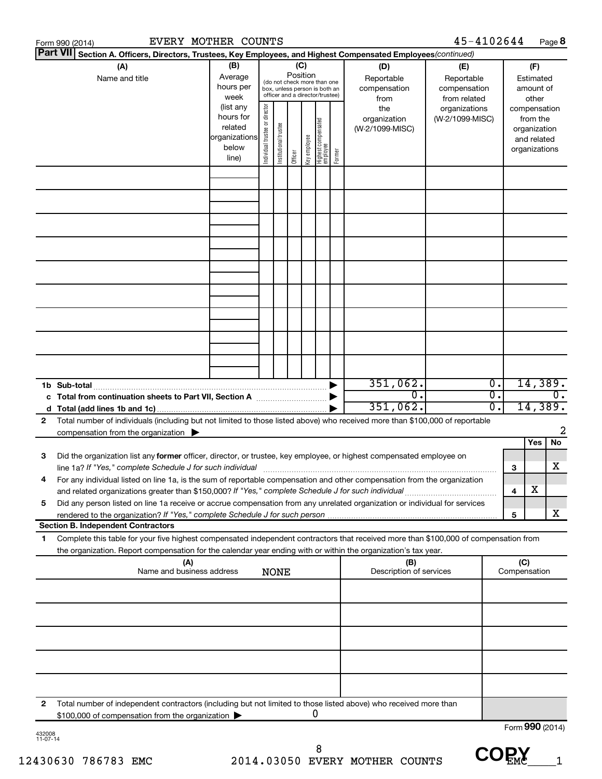|   | EVERY MOTHER COUNTS<br>Form 990 (2014)                                                                                                                                                                                                                 |                                                                      |                                                                                                                    |                       |         |              |                                   |        |                                           | 45-4102644                                        |          |                     | Page 8                                                                   |
|---|--------------------------------------------------------------------------------------------------------------------------------------------------------------------------------------------------------------------------------------------------------|----------------------------------------------------------------------|--------------------------------------------------------------------------------------------------------------------|-----------------------|---------|--------------|-----------------------------------|--------|-------------------------------------------|---------------------------------------------------|----------|---------------------|--------------------------------------------------------------------------|
|   | <b>Part VII</b><br>Section A. Officers, Directors, Trustees, Key Employees, and Highest Compensated Employees(continued)                                                                                                                               |                                                                      |                                                                                                                    |                       |         |              |                                   |        |                                           |                                                   |          |                     |                                                                          |
|   | (A)<br>Name and title                                                                                                                                                                                                                                  | (B)<br>Average<br>hours per<br>week                                  | (C)<br>Position<br>(do not check more than one<br>box, unless person is both an<br>officer and a director/trustee) |                       |         |              |                                   |        | (D)<br>Reportable<br>compensation<br>from | (E)<br>Reportable<br>compensation<br>from related |          |                     | (F)<br>Estimated<br>amount of<br>other                                   |
|   |                                                                                                                                                                                                                                                        | (list any<br>hours for<br>related<br>organizations<br>below<br>line) | director<br>Individual trustee or                                                                                  | Institutional trustee | Officer | Key employee | Highest compensated<br>  employee | Former | the<br>organization<br>(W-2/1099-MISC)    | organizations<br>(W-2/1099-MISC)                  |          |                     | compensation<br>from the<br>organization<br>and related<br>organizations |
|   |                                                                                                                                                                                                                                                        |                                                                      |                                                                                                                    |                       |         |              |                                   |        |                                           |                                                   |          |                     |                                                                          |
|   |                                                                                                                                                                                                                                                        |                                                                      |                                                                                                                    |                       |         |              |                                   |        |                                           |                                                   |          |                     |                                                                          |
|   |                                                                                                                                                                                                                                                        |                                                                      |                                                                                                                    |                       |         |              |                                   |        |                                           |                                                   |          |                     |                                                                          |
|   |                                                                                                                                                                                                                                                        |                                                                      |                                                                                                                    |                       |         |              |                                   |        |                                           |                                                   |          |                     |                                                                          |
|   | 1b Sub-total                                                                                                                                                                                                                                           |                                                                      |                                                                                                                    |                       |         |              |                                   |        | 351,062.                                  |                                                   | Ο.       |                     | 14,389.                                                                  |
| 2 | Total number of individuals (including but not limited to those listed above) who received more than \$100,000 of reportable                                                                                                                           |                                                                      |                                                                                                                    |                       |         |              |                                   |        | $\overline{0}$ .<br>351,062.              |                                                   | σ.<br>0. |                     | $\overline{0}$ .<br>14,389.                                              |
|   | compensation from the organization $\blacktriangleright$                                                                                                                                                                                               |                                                                      |                                                                                                                    |                       |         |              |                                   |        |                                           |                                                   |          |                     | 2<br>Yes<br>No                                                           |
| 3 | Did the organization list any former officer, director, or trustee, key employee, or highest compensated employee on                                                                                                                                   |                                                                      |                                                                                                                    |                       |         |              |                                   |        |                                           |                                                   |          | 3                   | х                                                                        |
|   | For any individual listed on line 1a, is the sum of reportable compensation and other compensation from the organization<br>and related organizations greater than \$150,000? If "Yes," complete Schedule J for such individual                        |                                                                      |                                                                                                                    |                       |         |              |                                   |        |                                           |                                                   |          | 4                   | х                                                                        |
| 5 | Did any person listed on line 1a receive or accrue compensation from any unrelated organization or individual for services                                                                                                                             |                                                                      |                                                                                                                    |                       |         |              |                                   |        |                                           |                                                   |          | 5                   | x                                                                        |
|   | <b>Section B. Independent Contractors</b>                                                                                                                                                                                                              |                                                                      |                                                                                                                    |                       |         |              |                                   |        |                                           |                                                   |          |                     |                                                                          |
| 1 | Complete this table for your five highest compensated independent contractors that received more than \$100,000 of compensation from<br>the organization. Report compensation for the calendar year ending with or within the organization's tax year. |                                                                      |                                                                                                                    |                       |         |              |                                   |        |                                           |                                                   |          |                     |                                                                          |
|   | (A)<br>Name and business address                                                                                                                                                                                                                       |                                                                      |                                                                                                                    | <b>NONE</b>           |         |              |                                   |        | (B)<br>Description of services            |                                                   |          | (C)<br>Compensation |                                                                          |
|   |                                                                                                                                                                                                                                                        |                                                                      |                                                                                                                    |                       |         |              |                                   |        |                                           |                                                   |          |                     |                                                                          |
|   |                                                                                                                                                                                                                                                        |                                                                      |                                                                                                                    |                       |         |              |                                   |        |                                           |                                                   |          |                     |                                                                          |
|   |                                                                                                                                                                                                                                                        |                                                                      |                                                                                                                    |                       |         |              |                                   |        |                                           |                                                   |          |                     |                                                                          |
| 2 | Total number of independent contractors (including but not limited to those listed above) who received more than<br>\$100,000 of compensation from the organization                                                                                    |                                                                      |                                                                                                                    |                       |         |              | 0                                 |        |                                           |                                                   |          |                     |                                                                          |
|   |                                                                                                                                                                                                                                                        |                                                                      |                                                                                                                    |                       |         |              |                                   |        |                                           |                                                   |          |                     | Form 990 (2014)                                                          |

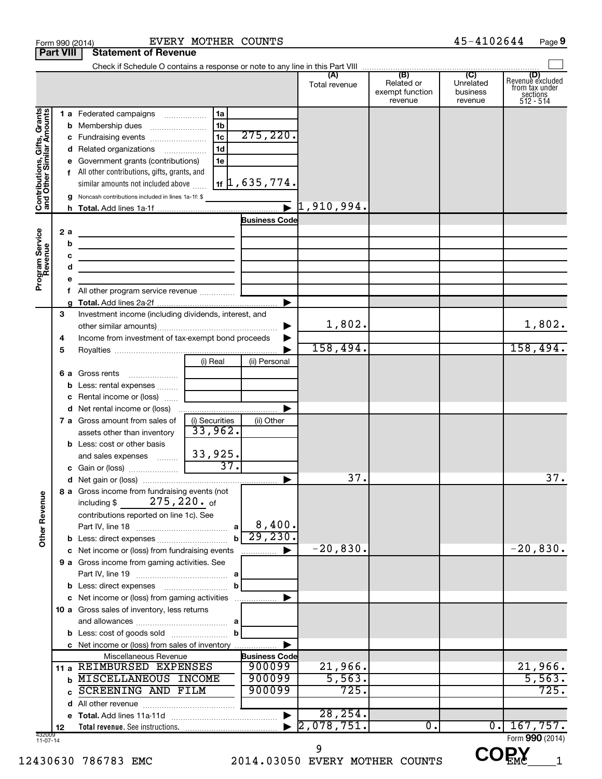|                                                           |                  | Form 990 (2014)                                                            | EVERY MOTHER COUNTS       |                            |                             |                                                 | 45-4102644                              | Page 9                                                      |
|-----------------------------------------------------------|------------------|----------------------------------------------------------------------------|---------------------------|----------------------------|-----------------------------|-------------------------------------------------|-----------------------------------------|-------------------------------------------------------------|
|                                                           | <b>Part VIII</b> | <b>Statement of Revenue</b>                                                |                           |                            |                             |                                                 |                                         |                                                             |
|                                                           |                  |                                                                            |                           |                            |                             |                                                 |                                         |                                                             |
|                                                           |                  |                                                                            |                           |                            | (A)<br>Total revenue        | (B)<br>Related or<br>exempt function<br>revenue | (C)<br>Unrelated<br>business<br>revenue | Revenue excluded<br>from tax under<br>sections<br>512 - 514 |
|                                                           |                  | 1 a Federated campaigns                                                    | 1a                        |                            |                             |                                                 |                                         |                                                             |
| Contributions, Gifts, Grants<br>and Other Similar Amounts |                  |                                                                            | 1 <sub>b</sub>            |                            |                             |                                                 |                                         |                                                             |
|                                                           |                  | c Fundraising events                                                       | $\overline{1c}$           | 275, 220.                  |                             |                                                 |                                         |                                                             |
|                                                           |                  | d Related organizations                                                    | 1 <sub>d</sub>            |                            |                             |                                                 |                                         |                                                             |
|                                                           |                  | e Government grants (contributions)                                        | 1e                        |                            |                             |                                                 |                                         |                                                             |
|                                                           |                  | f All other contributions, gifts, grants, and                              |                           |                            |                             |                                                 |                                         |                                                             |
|                                                           |                  | similar amounts not included above                                         |                           | $1$ if $\mu$ , 635 , 774 . |                             |                                                 |                                         |                                                             |
|                                                           |                  | <b>g</b> Noncash contributions included in lines 1a-1f: \$                 |                           |                            |                             |                                                 |                                         |                                                             |
|                                                           |                  |                                                                            |                           |                            | $\triangleright$ 1,910,994. |                                                 |                                         |                                                             |
|                                                           |                  |                                                                            |                           | <b>Business Code</b>       |                             |                                                 |                                         |                                                             |
|                                                           | 2 a              | the control of the control of the control of the control of the control of |                           |                            |                             |                                                 |                                         |                                                             |
|                                                           | b                | <u> 1989 - Johann Barbara, martxa eta idazlea (h. 1989).</u>               |                           |                            |                             |                                                 |                                         |                                                             |
|                                                           | c                | the control of the control of the control of the control of the control of |                           |                            |                             |                                                 |                                         |                                                             |
|                                                           | d                | the control of the control of the control of the control of the control of |                           |                            |                             |                                                 |                                         |                                                             |
| Program Service                                           | e                |                                                                            |                           |                            |                             |                                                 |                                         |                                                             |
|                                                           | f.               |                                                                            |                           |                            |                             |                                                 |                                         |                                                             |
|                                                           |                  |                                                                            |                           | $\blacktriangleright$      |                             |                                                 |                                         |                                                             |
|                                                           | З                | Investment income (including dividends, interest, and                      |                           |                            |                             |                                                 |                                         |                                                             |
|                                                           |                  |                                                                            |                           | ▶                          | 1,802.                      |                                                 |                                         | 1,802.                                                      |
|                                                           | 4                | Income from investment of tax-exempt bond proceeds                         |                           |                            |                             |                                                 |                                         |                                                             |
|                                                           | 5                |                                                                            |                           |                            | 158,494.                    |                                                 |                                         | 158,494.                                                    |
|                                                           |                  |                                                                            | (i) Real                  | (ii) Personal              |                             |                                                 |                                         |                                                             |
|                                                           |                  | 6 a Gross rents                                                            |                           |                            |                             |                                                 |                                         |                                                             |
|                                                           |                  | <b>b</b> Less: rental expenses                                             |                           |                            |                             |                                                 |                                         |                                                             |
|                                                           |                  | <b>c</b> Rental income or (loss) $\ldots$                                  |                           |                            |                             |                                                 |                                         |                                                             |
|                                                           |                  |                                                                            |                           |                            |                             |                                                 |                                         |                                                             |
|                                                           |                  | 7 a Gross amount from sales of                                             | (i) Securities<br>33,962. | (ii) Other                 |                             |                                                 |                                         |                                                             |
|                                                           |                  | assets other than inventory                                                |                           |                            |                             |                                                 |                                         |                                                             |
|                                                           |                  | <b>b</b> Less: cost or other basis                                         | 33,925.                   |                            |                             |                                                 |                                         |                                                             |
|                                                           |                  | and sales expenses<br>c Gain or (loss)                                     | 37.                       |                            |                             |                                                 |                                         |                                                             |
|                                                           |                  |                                                                            |                           |                            | 37.                         |                                                 |                                         | 37.                                                         |
|                                                           |                  | 8 a Gross income from fundraising events (not                              |                           |                            |                             |                                                 |                                         |                                                             |
| <b>Other Revenue</b>                                      |                  | 275,220. <sub>of</sub><br>including \$                                     |                           |                            |                             |                                                 |                                         |                                                             |
|                                                           |                  | contributions reported on line 1c). See                                    |                           | 8,400.                     |                             |                                                 |                                         |                                                             |
|                                                           |                  |                                                                            |                           | 29, 230.                   |                             |                                                 |                                         |                                                             |
|                                                           |                  |                                                                            | $\mathbf{b}$              |                            | $-20,830.$                  |                                                 |                                         | $-20,830.$                                                  |
|                                                           |                  | c Net income or (loss) from fundraising events                             |                           | ▶<br>.                     |                             |                                                 |                                         |                                                             |
|                                                           |                  | 9 a Gross income from gaming activities. See                               |                           |                            |                             |                                                 |                                         |                                                             |
|                                                           |                  |                                                                            | b                         |                            |                             |                                                 |                                         |                                                             |
|                                                           |                  | c Net income or (loss) from gaming activities                              |                           |                            |                             |                                                 |                                         |                                                             |
|                                                           |                  | 10 a Gross sales of inventory, less returns                                |                           |                            |                             |                                                 |                                         |                                                             |
|                                                           |                  |                                                                            |                           |                            |                             |                                                 |                                         |                                                             |
|                                                           |                  |                                                                            | b                         |                            |                             |                                                 |                                         |                                                             |
|                                                           |                  | c Net income or (loss) from sales of inventory                             |                           |                            |                             |                                                 |                                         |                                                             |
|                                                           |                  | Miscellaneous Revenue                                                      |                           | <b>Business Code</b>       |                             |                                                 |                                         |                                                             |
|                                                           |                  | 11 a REIMBURSED EXPENSES                                                   |                           | 900099                     | 21,966.                     |                                                 |                                         | 21,966.                                                     |
|                                                           | b                | MISCELLANEOUS INCOME                                                       |                           | 900099                     | 5,563.                      |                                                 |                                         | 5,563.                                                      |
|                                                           | c                | SCREENING AND FILM                                                         |                           | 900099                     | 725.                        |                                                 |                                         | 725.                                                        |
|                                                           |                  |                                                                            |                           |                            |                             |                                                 |                                         |                                                             |
|                                                           |                  |                                                                            |                           |                            | 28, 254.                    |                                                 |                                         |                                                             |
|                                                           | 12               |                                                                            |                           |                            | 2,078,751.                  | 0.                                              | $\overline{0}$ .                        | 167,757.                                                    |
| 432009<br>11-07-14                                        |                  |                                                                            |                           |                            |                             |                                                 |                                         | Form 990 (2014)                                             |

 $\text{COEN}_{\rm EMC}_{\rm min}$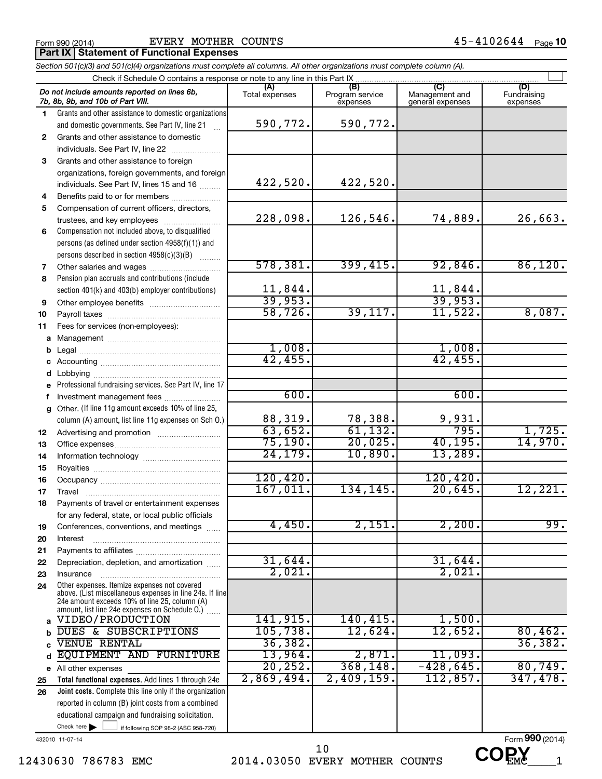Form 990 (2014)  $EVERY$  MOTHER COUNTS  $45-4102644$  Page

**Part IX | Statement of Functional Expenses** 

|              | Section 501(c)(3) and 501(c)(4) organizations must complete all columns. All other organizations must complete column (A).                                                                                  |                         |                                    |                                           |                                |
|--------------|-------------------------------------------------------------------------------------------------------------------------------------------------------------------------------------------------------------|-------------------------|------------------------------------|-------------------------------------------|--------------------------------|
|              | Check if Schedule O contains a response or note to any line in this Part IX                                                                                                                                 |                         |                                    |                                           |                                |
|              | Do not include amounts reported on lines 6b,<br>7b, 8b, 9b, and 10b of Part VIII.                                                                                                                           | (A)<br>Total expenses   | (B)<br>Program service<br>expenses | (C)<br>Management and<br>general expenses | (D)<br>Fundraising<br>expenses |
| 1.           | Grants and other assistance to domestic organizations                                                                                                                                                       |                         |                                    |                                           |                                |
|              | and domestic governments. See Part IV, line 21                                                                                                                                                              | 590,772.                | 590,772.                           |                                           |                                |
| $\mathbf{2}$ | Grants and other assistance to domestic                                                                                                                                                                     |                         |                                    |                                           |                                |
|              | individuals. See Part IV, line 22                                                                                                                                                                           |                         |                                    |                                           |                                |
| 3            | Grants and other assistance to foreign                                                                                                                                                                      |                         |                                    |                                           |                                |
|              | organizations, foreign governments, and foreign                                                                                                                                                             |                         |                                    |                                           |                                |
|              | individuals. See Part IV, lines 15 and 16                                                                                                                                                                   | 422,520.                | 422,520.                           |                                           |                                |
| 4            | Benefits paid to or for members                                                                                                                                                                             |                         |                                    |                                           |                                |
| 5            | Compensation of current officers, directors,                                                                                                                                                                |                         |                                    |                                           |                                |
|              | trustees, and key employees                                                                                                                                                                                 | 228,098.                | 126,546.                           | 74,889.                                   | 26,663.                        |
| 6            | Compensation not included above, to disqualified                                                                                                                                                            |                         |                                    |                                           |                                |
|              | persons (as defined under section 4958(f)(1)) and                                                                                                                                                           |                         |                                    |                                           |                                |
|              | persons described in section 4958(c)(3)(B)                                                                                                                                                                  |                         |                                    |                                           |                                |
| 7            | Other salaries and wages                                                                                                                                                                                    | 578, 381.               | 399,415.                           | 92,846.                                   | 86,120.                        |
| 8            | Pension plan accruals and contributions (include                                                                                                                                                            |                         |                                    |                                           |                                |
|              | section 401(k) and 403(b) employer contributions)                                                                                                                                                           | $\frac{11,844}{39,953}$ |                                    | $\frac{11,844}{39,953}$                   |                                |
| 9            | Other employee benefits                                                                                                                                                                                     |                         |                                    |                                           |                                |
| 10           |                                                                                                                                                                                                             | 58, 726.                | 39,117.                            | 11,522.                                   | 8,087.                         |
| 11           | Fees for services (non-employees):                                                                                                                                                                          |                         |                                    |                                           |                                |
|              |                                                                                                                                                                                                             |                         |                                    |                                           |                                |
| b            |                                                                                                                                                                                                             | 1,008.                  |                                    | 1,008.                                    |                                |
|              |                                                                                                                                                                                                             | 42,455.                 |                                    | 42,455.                                   |                                |
| d            |                                                                                                                                                                                                             |                         |                                    |                                           |                                |
|              | Professional fundraising services. See Part IV, line 17                                                                                                                                                     |                         |                                    |                                           |                                |
| f            | Investment management fees                                                                                                                                                                                  | 600.                    |                                    | 600.                                      |                                |
| a            | Other. (If line 11g amount exceeds 10% of line 25,                                                                                                                                                          |                         |                                    |                                           |                                |
|              | column (A) amount, list line 11g expenses on Sch O.)                                                                                                                                                        | 88,319.                 | 78,388.                            | 9,931.                                    |                                |
| 12           |                                                                                                                                                                                                             | 63,652.                 | 61, 132.                           | 795.                                      | 1,725.                         |
| 13           |                                                                                                                                                                                                             | 75, 190.                | 20,025.                            | 40, 195.                                  | 14,970.                        |
| 14           |                                                                                                                                                                                                             | 24, 179.                | 10,890.                            | 13,289.                                   |                                |
| 15           |                                                                                                                                                                                                             |                         |                                    |                                           |                                |
| 16           |                                                                                                                                                                                                             | 120, 420.               |                                    | 120, 420.                                 |                                |
| 17           |                                                                                                                                                                                                             | 167,011.                | 134,145.                           | 20,645.                                   | 12,221.                        |
| 18           | Payments of travel or entertainment expenses                                                                                                                                                                |                         |                                    |                                           |                                |
|              | for any federal, state, or local public officials                                                                                                                                                           |                         |                                    |                                           |                                |
| 19           | Conferences, conventions, and meetings                                                                                                                                                                      | 4,450.                  | 2,151.                             | 2,200.                                    | 99.                            |
| 20           | Interest                                                                                                                                                                                                    |                         |                                    |                                           |                                |
| 21           |                                                                                                                                                                                                             |                         |                                    |                                           |                                |
| 22           | Depreciation, depletion, and amortization                                                                                                                                                                   | 31,644.                 |                                    | 31,644.                                   |                                |
| 23           | Insurance                                                                                                                                                                                                   | 2,021.                  |                                    | 2,021                                     |                                |
| 24           | Other expenses. Itemize expenses not covered<br>above. (List miscellaneous expenses in line 24e. If line<br>24e amount exceeds 10% of line 25, column (A)<br>amount, list line 24e expenses on Schedule O.) |                         |                                    |                                           |                                |
| a            | VIDEO/PRODUCTION                                                                                                                                                                                            | 141,915.                | 140, 415.                          | 1,500.                                    |                                |
| b            | DUES & SUBSCRIPTIONS                                                                                                                                                                                        | 105, 738.               | 12,624.                            | 12,652.                                   | 80,462.                        |
| C            | <b>VENUE RENTAL</b>                                                                                                                                                                                         | 36, 382.                |                                    |                                           | 36,382.                        |
| d            | EQUIPMENT AND FURNITURE                                                                                                                                                                                     | 13,964.                 | 2,871.                             | 11,093.                                   |                                |
|              | e All other expenses                                                                                                                                                                                        | 20, 252.                | 368, 148.                          | $-428,645$ .                              | 80,749.                        |
| 25           | Total functional expenses. Add lines 1 through 24e                                                                                                                                                          | 2,869,494.              | 2,409,159.                         | 112,857.                                  | 347,478.                       |
| 26           | Joint costs. Complete this line only if the organization                                                                                                                                                    |                         |                                    |                                           |                                |
|              | reported in column (B) joint costs from a combined                                                                                                                                                          |                         |                                    |                                           |                                |
|              | educational campaign and fundraising solicitation.                                                                                                                                                          |                         |                                    |                                           |                                |
|              | Check here $\blacktriangleright$<br>if following SOP 98-2 (ASC 958-720)                                                                                                                                     |                         |                                    |                                           |                                |

432010 11-07-14

12430630 786783 EMC 2014.03050 EVERY MOTHER COUNTS UUEME 1 10

Form (2014) **990**  $CO<sub>EMC</sub>$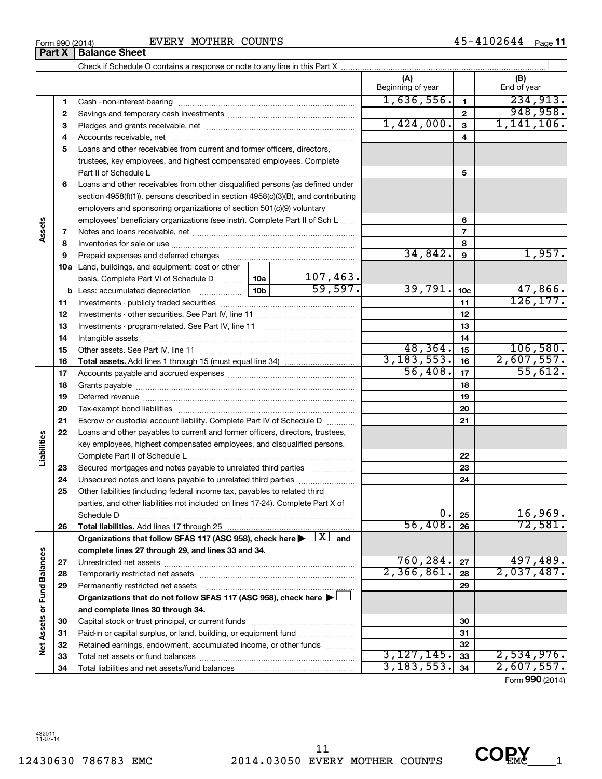Form 990 (2014)  $EVERY$  MOTHER COUNTS  $45-4102644$  Page

45-4102644 Page 11

| <b>Balance Sheet</b><br>Part X                                                                                               |                            |                 |                          |
|------------------------------------------------------------------------------------------------------------------------------|----------------------------|-----------------|--------------------------|
|                                                                                                                              |                            |                 |                          |
|                                                                                                                              | (A)<br>Beginning of year   |                 | (B)<br>End of year       |
| 1                                                                                                                            | 1,636,556.                 | 1               | 234,913.                 |
| 2                                                                                                                            |                            | $\mathbf{2}$    | 948,958.                 |
| З                                                                                                                            | 1,424,000.                 | 3               | 1,141,106.               |
| 4                                                                                                                            |                            | 4               |                          |
| Loans and other receivables from current and former officers, directors,<br>5                                                |                            |                 |                          |
| trustees, key employees, and highest compensated employees. Complete                                                         |                            |                 |                          |
| Part II of Schedule L                                                                                                        |                            | 5               |                          |
| Loans and other receivables from other disqualified persons (as defined under<br>6                                           |                            |                 |                          |
| section $4958(f)(1)$ , persons described in section $4958(c)(3)(B)$ , and contributing                                       |                            |                 |                          |
| employers and sponsoring organizations of section 501(c)(9) voluntary                                                        |                            |                 |                          |
| employees' beneficiary organizations (see instr). Complete Part II of Sch L                                                  |                            | 6               |                          |
| Assets<br>7                                                                                                                  |                            | 7               |                          |
| 8                                                                                                                            |                            | 8               |                          |
| 9<br>Prepaid expenses and deferred charges                                                                                   | 34,842.                    | 9               | 1,957.                   |
| 10a Land, buildings, and equipment: cost or other                                                                            |                            |                 |                          |
| $\frac{107,463}{59,597}$<br>basis. Complete Part VI of Schedule D  10a                                                       |                            |                 |                          |
|                                                                                                                              | 39,791.                    | 10 <sub>c</sub> | 47,866.                  |
| 11                                                                                                                           |                            | 11              | 126, 177.                |
| 12                                                                                                                           |                            | 12              |                          |
| 13                                                                                                                           |                            | 13              |                          |
| 14                                                                                                                           |                            | 14              |                          |
| 15                                                                                                                           | 48, 364.                   | 15              | 106,580.                 |
| 16                                                                                                                           | 3, 183, 553.               | 16              | 2,607,557.               |
| 17                                                                                                                           | 56,408.                    | 17              | 55,612.                  |
| 18                                                                                                                           |                            | 18              |                          |
| 19                                                                                                                           |                            | 19              |                          |
| 20                                                                                                                           |                            | 20              |                          |
| 21<br>Escrow or custodial account liability. Complete Part IV of Schedule D                                                  |                            | 21              |                          |
| 22<br>Loans and other payables to current and former officers, directors, trustees,                                          |                            |                 |                          |
| Liabilities<br>key employees, highest compensated employees, and disqualified persons.                                       |                            |                 |                          |
|                                                                                                                              |                            | 22              |                          |
| Secured mortgages and notes payable to unrelated third parties<br>23                                                         |                            | 23              |                          |
| 24<br>Unsecured notes and loans payable to unrelated third parties                                                           |                            | 24              |                          |
| Other liabilities (including federal income tax, payables to related third<br>25                                             |                            |                 |                          |
| parties, and other liabilities not included on lines 17-24). Complete Part X of                                              |                            |                 |                          |
| Schedule D                                                                                                                   | 0.                         | 25              | 16,969.                  |
| Total liabilities. Add lines 17 through 25<br>26                                                                             | 56,408.                    | 26              | 72,581.                  |
| Organizations that follow SFAS 117 (ASC 958), check here $\blacktriangleright \begin{array}{c} \boxed{X} \\ \end{array}$ and |                            |                 |                          |
| complete lines 27 through 29, and lines 33 and 34.                                                                           |                            |                 |                          |
| 27                                                                                                                           | 760,284.                   | 27              | 497,489.                 |
| <b>Fund Balances</b><br>28                                                                                                   | 2,366,861.                 | 28              | 2,037,487.               |
| 29<br>Permanently restricted net assets                                                                                      |                            | 29              |                          |
| Organizations that do not follow SFAS 117 (ASC 958), check here                                                              |                            |                 |                          |
| and complete lines 30 through 34.                                                                                            |                            |                 |                          |
| 30                                                                                                                           |                            | 30              |                          |
| Paid-in or capital surplus, or land, building, or equipment fund<br>31                                                       |                            | 31              |                          |
| Net Assets or<br>Retained earnings, endowment, accumulated income, or other funds<br>32                                      |                            | 32              |                          |
| 33                                                                                                                           | 3,127,145.<br>3, 183, 553. | 33<br>34        | 2,534,976.<br>2,607,557. |
| 34                                                                                                                           |                            |                 |                          |

Form **990** (2014) **990**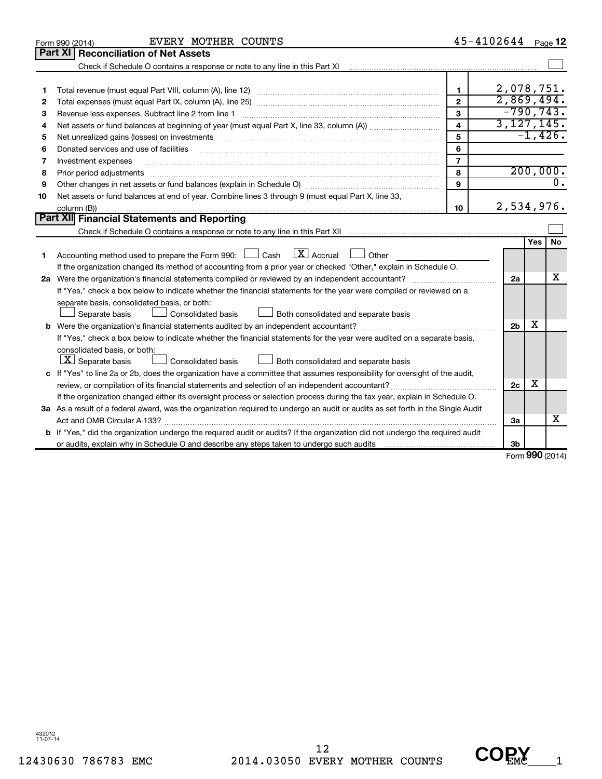|    | EVERY MOTHER COUNTS<br>Form 990 (2014)                                                                                               |                         | 45-4102644     |     | Page 12          |
|----|--------------------------------------------------------------------------------------------------------------------------------------|-------------------------|----------------|-----|------------------|
|    | Part XI<br><b>Reconciliation of Net Assets</b>                                                                                       |                         |                |     |                  |
|    |                                                                                                                                      |                         |                |     |                  |
|    |                                                                                                                                      |                         |                |     |                  |
| 1  |                                                                                                                                      | 1                       | 2,078,751.     |     |                  |
| 2  |                                                                                                                                      | $\overline{2}$          | 2,869,494.     |     |                  |
| 3  |                                                                                                                                      | 3                       | $-790, 743.$   |     |                  |
| 4  |                                                                                                                                      | $\overline{\mathbf{4}}$ | 3,127,145.     |     |                  |
| 5  |                                                                                                                                      | 5                       |                |     | $-1,426.$        |
| 6  | Donated services and use of facilities                                                                                               | 6                       |                |     |                  |
| 7  | Investment expenses                                                                                                                  | $\overline{7}$          |                |     |                  |
| 8  | Prior period adjustments                                                                                                             | 8                       |                |     | 200,000.         |
| 9  |                                                                                                                                      | 9                       |                |     | $\overline{0}$ . |
| 10 | Net assets or fund balances at end of year. Combine lines 3 through 9 (must equal Part X, line 33,                                   |                         |                |     |                  |
|    | column (B))                                                                                                                          | 10                      | 2,534,976.     |     |                  |
|    | Part XII Financial Statements and Reporting                                                                                          |                         |                |     |                  |
|    |                                                                                                                                      |                         |                |     |                  |
|    |                                                                                                                                      |                         |                | Yes | <b>No</b>        |
| 1  | Accounting method used to prepare the Form 990: $\Box$ Cash $\Box X$ Accrual<br><b>Other</b>                                         |                         |                |     |                  |
|    | If the organization changed its method of accounting from a prior year or checked "Other," explain in Schedule O.                    |                         |                |     |                  |
|    | 2a Were the organization's financial statements compiled or reviewed by an independent accountant?                                   |                         | 2a             |     | x                |
|    | If "Yes," check a box below to indicate whether the financial statements for the year were compiled or reviewed on a                 |                         |                |     |                  |
|    | separate basis, consolidated basis, or both:                                                                                         |                         |                |     |                  |
|    | Both consolidated and separate basis<br>Separate basis<br>Consolidated basis                                                         |                         |                |     |                  |
|    |                                                                                                                                      |                         | 2 <sub>b</sub> | х   |                  |
|    | If "Yes," check a box below to indicate whether the financial statements for the year were audited on a separate basis,              |                         |                |     |                  |
|    | consolidated basis, or both:                                                                                                         |                         |                |     |                  |
|    | $\lfloor x \rfloor$ Separate basis<br>Consolidated basis<br>Both consolidated and separate basis                                     |                         |                |     |                  |
|    | c If "Yes" to line 2a or 2b, does the organization have a committee that assumes responsibility for oversight of the audit,          |                         |                |     |                  |
|    |                                                                                                                                      |                         | 2c             | х   |                  |
|    | If the organization changed either its oversight process or selection process during the tax year, explain in Schedule O.            |                         |                |     |                  |
|    | 3a As a result of a federal award, was the organization required to undergo an audit or audits as set forth in the Single Audit      |                         |                |     |                  |
|    |                                                                                                                                      |                         | За             |     | x                |
|    | <b>b</b> If "Yes," did the organization undergo the required audit or audits? If the organization did not undergo the required audit |                         |                |     |                  |
|    |                                                                                                                                      |                         | 3 <sub>b</sub> |     |                  |

Form (2014) **990**

432012 11-07-14

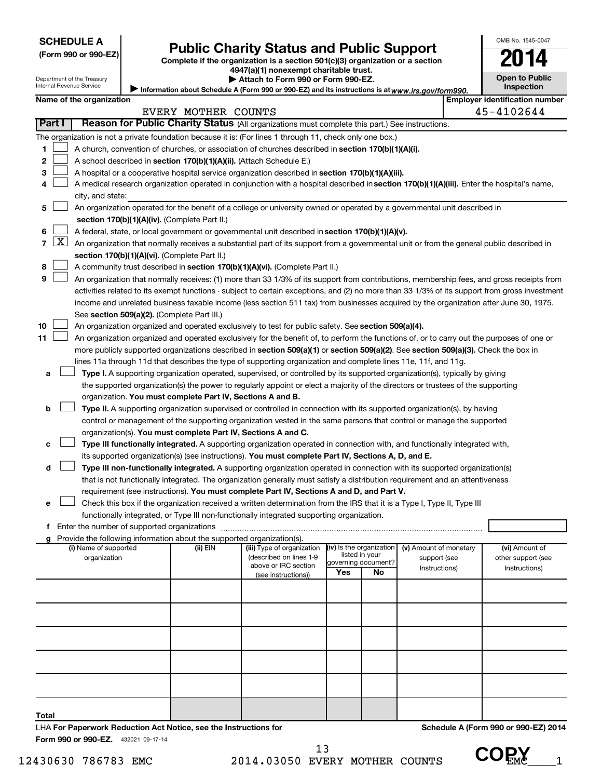### **Public Charity Status and Public Support**

**(Form 990 or 990-EZ) Complete if the organization is a section 501(c)(3) organization or a section**

**4947(a)(1) nonexempt charitable trust.**

| <b>Open to Public</b><br>Inspection |
|-------------------------------------|
| er identification numbe             |

OMB No. 1545-0047

|                |                     | Department of the Treasury<br>Internal Revenue Service |                                                                        | Attach to Form 990 or Form 990-EZ.                                                                                                            |                          |                |                        | <b>Open to Public</b><br>Inspection   |
|----------------|---------------------|--------------------------------------------------------|------------------------------------------------------------------------|-----------------------------------------------------------------------------------------------------------------------------------------------|--------------------------|----------------|------------------------|---------------------------------------|
|                |                     | Name of the organization                               |                                                                        | Information about Schedule A (Form 990 or 990-EZ) and its instructions is at www.irs.gov/form990.                                             |                          |                |                        | <b>Employer identification number</b> |
|                |                     |                                                        | EVERY MOTHER COUNTS                                                    |                                                                                                                                               |                          |                |                        | 45-4102644                            |
|                | Part I              |                                                        |                                                                        | Reason for Public Charity Status (All organizations must complete this part.) See instructions.                                               |                          |                |                        |                                       |
|                |                     |                                                        |                                                                        | The organization is not a private foundation because it is: (For lines 1 through 11, check only one box.)                                     |                          |                |                        |                                       |
| 1              |                     |                                                        |                                                                        | A church, convention of churches, or association of churches described in section 170(b)(1)(A)(i).                                            |                          |                |                        |                                       |
| 2              |                     |                                                        |                                                                        | A school described in section 170(b)(1)(A)(ii). (Attach Schedule E.)                                                                          |                          |                |                        |                                       |
| з              |                     |                                                        |                                                                        | A hospital or a cooperative hospital service organization described in section 170(b)(1)(A)(iii).                                             |                          |                |                        |                                       |
| 4              |                     |                                                        |                                                                        | A medical research organization operated in conjunction with a hospital described in section 170(b)(1)(A)(iii). Enter the hospital's name,    |                          |                |                        |                                       |
|                |                     | city, and state:                                       |                                                                        |                                                                                                                                               |                          |                |                        |                                       |
| 5              |                     |                                                        |                                                                        | An organization operated for the benefit of a college or university owned or operated by a governmental unit described in                     |                          |                |                        |                                       |
|                |                     |                                                        | section 170(b)(1)(A)(iv). (Complete Part II.)                          |                                                                                                                                               |                          |                |                        |                                       |
|                |                     |                                                        |                                                                        | A federal, state, or local government or governmental unit described in section 170(b)(1)(A)(v).                                              |                          |                |                        |                                       |
| $\overline{7}$ | $\lfloor x \rfloor$ |                                                        |                                                                        | An organization that normally receives a substantial part of its support from a governmental unit or from the general public described in     |                          |                |                        |                                       |
|                |                     |                                                        | section 170(b)(1)(A)(vi). (Complete Part II.)                          |                                                                                                                                               |                          |                |                        |                                       |
| 8              |                     |                                                        |                                                                        | A community trust described in section 170(b)(1)(A)(vi). (Complete Part II.)                                                                  |                          |                |                        |                                       |
| 9              |                     |                                                        |                                                                        | An organization that normally receives: (1) more than 33 1/3% of its support from contributions, membership fees, and gross receipts from     |                          |                |                        |                                       |
|                |                     |                                                        |                                                                        | activities related to its exempt functions - subject to certain exceptions, and (2) no more than 33 1/3% of its support from gross investment |                          |                |                        |                                       |
|                |                     |                                                        |                                                                        | income and unrelated business taxable income (less section 511 tax) from businesses acquired by the organization after June 30, 1975.         |                          |                |                        |                                       |
|                |                     |                                                        | See section 509(a)(2). (Complete Part III.)                            |                                                                                                                                               |                          |                |                        |                                       |
| 10             |                     |                                                        |                                                                        | An organization organized and operated exclusively to test for public safety. See section 509(a)(4).                                          |                          |                |                        |                                       |
| 11             |                     |                                                        |                                                                        | An organization organized and operated exclusively for the benefit of, to perform the functions of, or to carry out the purposes of one or    |                          |                |                        |                                       |
|                |                     |                                                        |                                                                        | more publicly supported organizations described in section 509(a)(1) or section 509(a)(2). See section 509(a)(3). Check the box in            |                          |                |                        |                                       |
|                |                     |                                                        |                                                                        | lines 11a through 11d that describes the type of supporting organization and complete lines 11e, 11f, and 11g.                                |                          |                |                        |                                       |
| a              |                     |                                                        |                                                                        | Type I. A supporting organization operated, supervised, or controlled by its supported organization(s), typically by giving                   |                          |                |                        |                                       |
|                |                     |                                                        |                                                                        | the supported organization(s) the power to regularly appoint or elect a majority of the directors or trustees of the supporting               |                          |                |                        |                                       |
|                |                     |                                                        | organization. You must complete Part IV, Sections A and B.             |                                                                                                                                               |                          |                |                        |                                       |
| b              |                     |                                                        |                                                                        | Type II. A supporting organization supervised or controlled in connection with its supported organization(s), by having                       |                          |                |                        |                                       |
|                |                     |                                                        |                                                                        | control or management of the supporting organization vested in the same persons that control or manage the supported                          |                          |                |                        |                                       |
|                |                     |                                                        |                                                                        | organization(s). You must complete Part IV, Sections A and C.                                                                                 |                          |                |                        |                                       |
| с              |                     |                                                        |                                                                        | Type III functionally integrated. A supporting organization operated in connection with, and functionally integrated with,                    |                          |                |                        |                                       |
|                |                     |                                                        |                                                                        | its supported organization(s) (see instructions). You must complete Part IV, Sections A, D, and E.                                            |                          |                |                        |                                       |
| d              |                     |                                                        |                                                                        | Type III non-functionally integrated. A supporting organization operated in connection with its supported organization(s)                     |                          |                |                        |                                       |
|                |                     |                                                        |                                                                        | that is not functionally integrated. The organization generally must satisfy a distribution requirement and an attentiveness                  |                          |                |                        |                                       |
|                |                     |                                                        |                                                                        | requirement (see instructions). You must complete Part IV, Sections A and D, and Part V.                                                      |                          |                |                        |                                       |
| е              |                     |                                                        |                                                                        | Check this box if the organization received a written determination from the IRS that it is a Type I, Type II, Type III                       |                          |                |                        |                                       |
|                |                     |                                                        |                                                                        | functionally integrated, or Type III non-functionally integrated supporting organization.                                                     |                          |                |                        |                                       |
|                |                     |                                                        | Provide the following information about the supported organization(s). |                                                                                                                                               |                          |                |                        |                                       |
|                |                     | (i) Name of supported                                  | (ii) EIN                                                               | (iii) Type of organization                                                                                                                    | (iv) Is the organization |                | (v) Amount of monetary | (vi) Amount of                        |
|                |                     | organization                                           |                                                                        | (described on lines 1-9                                                                                                                       | governing document?      | listed in your | support (see           | other support (see                    |
|                |                     |                                                        |                                                                        | above or IRC section<br>(see instructions))                                                                                                   | Yes                      | No             | Instructions)          | Instructions)                         |
|                |                     |                                                        |                                                                        |                                                                                                                                               |                          |                |                        |                                       |
|                |                     |                                                        |                                                                        |                                                                                                                                               |                          |                |                        |                                       |
|                |                     |                                                        |                                                                        |                                                                                                                                               |                          |                |                        |                                       |
|                |                     |                                                        |                                                                        |                                                                                                                                               |                          |                |                        |                                       |
|                |                     |                                                        |                                                                        |                                                                                                                                               |                          |                |                        |                                       |
|                |                     |                                                        |                                                                        |                                                                                                                                               |                          |                |                        |                                       |

**Total**

432021 09-17-14 **Form 990 or 990-EZ.**

LHA **For Paperwork Reduction Act Notice, see the Instructions for** 

12430630 786783 EMC 2014.03050 EVERY MOTHER COUNTS UUEME 1 13



**Schedule A (Form 990 or 990-EZ) 2014**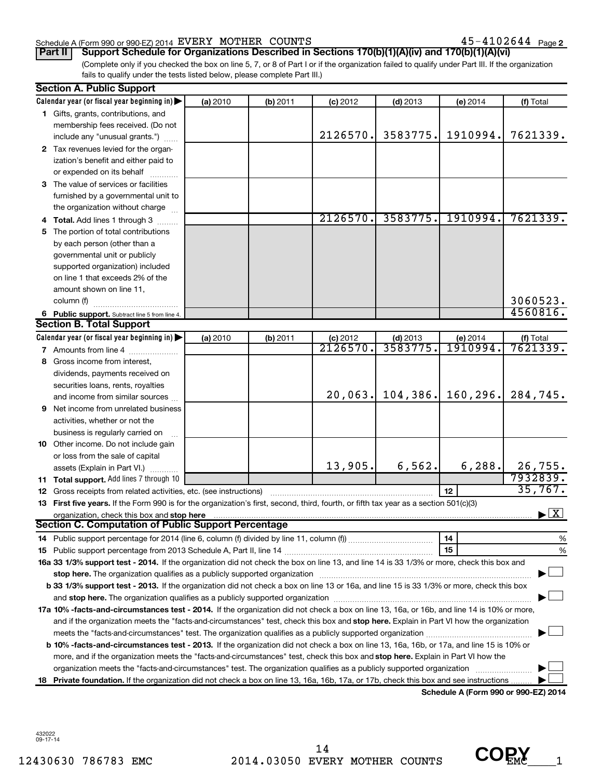#### Schedule A (Form 990 or 990-EZ) 2014  ${\tt EVERY}$   ${\tt MOTHER}$   ${\tt COUNTS}$   ${\tt 45-4102644}$   ${\tt Page}$

 $45 - 4102644$  Page 2

(Complete only if you checked the box on line 5, 7, or 8 of Part I or if the organization failed to qualify under Part III. If the organization fails to qualify under the tests listed below, please complete Part III.) **Part II** | Support Schedule for Organizations Described in Sections 170(b)(1)(A)(iv) and 170(b)(1)(A)(vi)

|   | <b>Section A. Public Support</b>                                                                                                           |          |            |            |            |                 |                                    |
|---|--------------------------------------------------------------------------------------------------------------------------------------------|----------|------------|------------|------------|-----------------|------------------------------------|
|   | Calendar year (or fiscal year beginning in)                                                                                                | (a) 2010 | $(b)$ 2011 | $(c)$ 2012 | $(d)$ 2013 | (e) 2014        | (f) Total                          |
|   | 1 Gifts, grants, contributions, and                                                                                                        |          |            |            |            |                 |                                    |
|   | membership fees received. (Do not                                                                                                          |          |            |            |            |                 |                                    |
|   | include any "unusual grants.")                                                                                                             |          |            | 2126570.   | 3583775.   | 1910994.        | 7621339.                           |
|   | 2 Tax revenues levied for the organ-                                                                                                       |          |            |            |            |                 |                                    |
|   | ization's benefit and either paid to                                                                                                       |          |            |            |            |                 |                                    |
|   | or expended on its behalf                                                                                                                  |          |            |            |            |                 |                                    |
|   | <b>3</b> The value of services or facilities                                                                                               |          |            |            |            |                 |                                    |
|   | furnished by a governmental unit to                                                                                                        |          |            |            |            |                 |                                    |
|   | the organization without charge                                                                                                            |          |            |            |            |                 |                                    |
| 4 | Total. Add lines 1 through 3                                                                                                               |          |            | 2126570.   | 3583775.   | 1910994.        | 7621339.                           |
|   | 5 The portion of total contributions                                                                                                       |          |            |            |            |                 |                                    |
|   | by each person (other than a                                                                                                               |          |            |            |            |                 |                                    |
|   | governmental unit or publicly                                                                                                              |          |            |            |            |                 |                                    |
|   | supported organization) included                                                                                                           |          |            |            |            |                 |                                    |
|   | on line 1 that exceeds 2% of the                                                                                                           |          |            |            |            |                 |                                    |
|   | amount shown on line 11,                                                                                                                   |          |            |            |            |                 |                                    |
|   | column (f)                                                                                                                                 |          |            |            |            |                 | 3060523.                           |
|   | 6 Public support. Subtract line 5 from line 4.                                                                                             |          |            |            |            |                 | 4560816.                           |
|   | <b>Section B. Total Support</b>                                                                                                            |          |            |            |            |                 |                                    |
|   | Calendar year (or fiscal year beginning in)                                                                                                | (a) 2010 | $(b)$ 2011 | $(c)$ 2012 | $(d)$ 2013 | (e) 2014        | (f) Total                          |
|   | 7 Amounts from line 4                                                                                                                      |          |            | 2126570.   | 3583775    | <u>1910994.</u> | 7621339.                           |
| 8 | Gross income from interest,                                                                                                                |          |            |            |            |                 |                                    |
|   | dividends, payments received on                                                                                                            |          |            |            |            |                 |                                    |
|   | securities loans, rents, royalties                                                                                                         |          |            |            |            |                 |                                    |
|   | and income from similar sources                                                                                                            |          |            | 20,063.    | 104, 386.  | 160, 296.       | 284,745.                           |
| 9 | Net income from unrelated business                                                                                                         |          |            |            |            |                 |                                    |
|   | activities, whether or not the                                                                                                             |          |            |            |            |                 |                                    |
|   | business is regularly carried on                                                                                                           |          |            |            |            |                 |                                    |
|   | 10 Other income. Do not include gain                                                                                                       |          |            |            |            |                 |                                    |
|   | or loss from the sale of capital                                                                                                           |          |            |            |            |                 |                                    |
|   | assets (Explain in Part VI.)                                                                                                               |          |            | 13,905.    | 6,562.     | 6,288.          | 26,755.                            |
|   | 11 Total support. Add lines 7 through 10                                                                                                   |          |            |            |            |                 | 7932839.                           |
|   | 12 Gross receipts from related activities, etc. (see instructions)                                                                         |          |            |            |            | 12              | 35,767.                            |
|   | 13 First five years. If the Form 990 is for the organization's first, second, third, fourth, or fifth tax year as a section 501(c)(3)      |          |            |            |            |                 |                                    |
|   |                                                                                                                                            |          |            |            |            |                 | $\blacktriangleright$ $\mathbf{X}$ |
|   | Section C. Computation of Public Support Percentage                                                                                        |          |            |            |            |                 |                                    |
|   |                                                                                                                                            |          |            |            |            | 14              | %                                  |
|   |                                                                                                                                            |          |            |            |            | 15              | %                                  |
|   | 16a 33 1/3% support test - 2014. If the organization did not check the box on line 13, and line 14 is 33 1/3% or more, check this box and  |          |            |            |            |                 |                                    |
|   |                                                                                                                                            |          |            |            |            |                 |                                    |
|   | b 33 1/3% support test - 2013. If the organization did not check a box on line 13 or 16a, and line 15 is 33 1/3% or more, check this box   |          |            |            |            |                 |                                    |
|   |                                                                                                                                            |          |            |            |            |                 |                                    |
|   | 17a 10% -facts-and-circumstances test - 2014. If the organization did not check a box on line 13, 16a, or 16b, and line 14 is 10% or more, |          |            |            |            |                 |                                    |
|   | and if the organization meets the "facts-and-circumstances" test, check this box and stop here. Explain in Part VI how the organization    |          |            |            |            |                 |                                    |
|   |                                                                                                                                            |          |            |            |            |                 |                                    |
|   | b 10% -facts-and-circumstances test - 2013. If the organization did not check a box on line 13, 16a, 16b, or 17a, and line 15 is 10% or    |          |            |            |            |                 |                                    |
|   | more, and if the organization meets the "facts-and-circumstances" test, check this box and stop here. Explain in Part VI how the           |          |            |            |            |                 |                                    |
|   |                                                                                                                                            |          |            |            |            |                 |                                    |
|   | 18 Private foundation. If the organization did not check a box on line 13, 16a, 16b, 17a, or 17b, check this box and see instructions.     |          |            |            |            |                 |                                    |

**Schedule A (Form 990 or 990-EZ) 2014**

432022 09-17-14

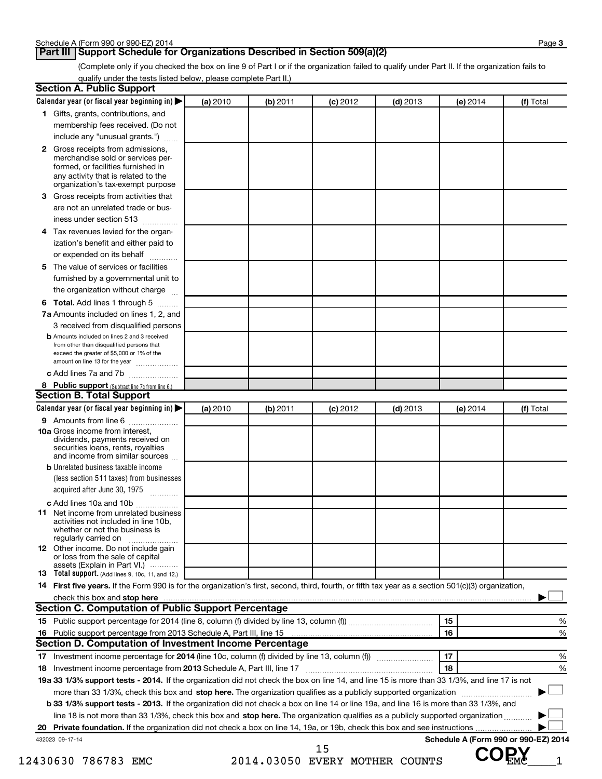#### **Part III | Support Schedule for Organizations Described in Section 509(a)(2)**

(Complete only if you checked the box on line 9 of Part I or if the organization failed to qualify under Part II. If the organization fails to qualify under the tests listed below, please complete Part II.)

|   | Calendar year (or fiscal year beginning in)                                                                                                         | (a) 2010 | (b) 2011 | $(c)$ 2012 | $(d)$ 2013 | $(e)$ 2014 | (f) Total |
|---|-----------------------------------------------------------------------------------------------------------------------------------------------------|----------|----------|------------|------------|------------|-----------|
|   | 1 Gifts, grants, contributions, and                                                                                                                 |          |          |            |            |            |           |
|   | membership fees received. (Do not                                                                                                                   |          |          |            |            |            |           |
|   | include any "unusual grants.")                                                                                                                      |          |          |            |            |            |           |
|   | 2 Gross receipts from admissions,<br>merchandise sold or services per-<br>formed, or facilities furnished in<br>any activity that is related to the |          |          |            |            |            |           |
|   | organization's tax-exempt purpose                                                                                                                   |          |          |            |            |            |           |
| З | Gross receipts from activities that                                                                                                                 |          |          |            |            |            |           |
|   | are not an unrelated trade or bus-<br>iness under section 513                                                                                       |          |          |            |            |            |           |
|   | 4 Tax revenues levied for the organ-                                                                                                                |          |          |            |            |            |           |
|   | ization's benefit and either paid to<br>or expended on its behalf<br>.                                                                              |          |          |            |            |            |           |
| 5 | The value of services or facilities                                                                                                                 |          |          |            |            |            |           |
|   | furnished by a governmental unit to<br>the organization without charge                                                                              |          |          |            |            |            |           |
|   | 6 Total. Add lines 1 through 5                                                                                                                      |          |          |            |            |            |           |
|   | 7a Amounts included on lines 1, 2, and                                                                                                              |          |          |            |            |            |           |
|   | 3 received from disqualified persons                                                                                                                |          |          |            |            |            |           |
|   | <b>b</b> Amounts included on lines 2 and 3 received                                                                                                 |          |          |            |            |            |           |
|   | from other than disqualified persons that<br>exceed the greater of \$5,000 or 1% of the<br>amount on line 13 for the year                           |          |          |            |            |            |           |
|   | c Add lines 7a and 7b                                                                                                                               |          |          |            |            |            |           |
|   | 8 Public support (Subtract line 7c from line 6.)                                                                                                    |          |          |            |            |            |           |
|   | <b>Section B. Total Support</b>                                                                                                                     |          |          |            |            |            |           |
|   | Calendar year (or fiscal year beginning in)                                                                                                         | (a) 2010 | (b) 2011 | $(c)$ 2012 | $(d)$ 2013 | (e) 2014   | (f) Total |
|   | 9 Amounts from line 6                                                                                                                               |          |          |            |            |            |           |
|   | 10a Gross income from interest,<br>dividends, payments received on<br>securities loans, rents, royalties<br>and income from similar sources         |          |          |            |            |            |           |
|   | <b>b</b> Unrelated business taxable income<br>(less section 511 taxes) from businesses                                                              |          |          |            |            |            |           |
|   | acquired after June 30, 1975                                                                                                                        |          |          |            |            |            |           |
|   | c Add lines 10a and 10b                                                                                                                             |          |          |            |            |            |           |
|   | <b>11</b> Net income from unrelated business<br>activities not included in line 10b.<br>whether or not the business is<br>regularly carried on      |          |          |            |            |            |           |
|   | 12 Other income. Do not include gain<br>or loss from the sale of capital<br>assets (Explain in Part VI.)                                            |          |          |            |            |            |           |
|   | <b>13</b> Total support. (Add lines 9, 10c, 11, and 12.)                                                                                            |          |          |            |            |            |           |
|   | 14 First five years. If the Form 990 is for the organization's first, second, third, fourth, or fifth tax year as a section 501(c)(3) organization, |          |          |            |            |            |           |
|   |                                                                                                                                                     |          |          |            |            |            |           |
|   | Section C. Computation of Public Support Percentage                                                                                                 |          |          |            |            |            |           |
|   |                                                                                                                                                     |          |          |            |            | 15         |           |
|   |                                                                                                                                                     |          |          |            |            | 16         |           |
|   | Section D. Computation of Investment Income Percentage                                                                                              |          |          |            |            |            |           |
|   |                                                                                                                                                     |          |          |            |            | 17         |           |
|   | 18 Investment income percentage from 2013 Schedule A, Part III, line 17                                                                             |          |          |            |            | 18         |           |
|   | 19a 33 1/3% support tests - 2014. If the organization did not check the box on line 14, and line 15 is more than 33 1/3%, and line 17 is not        |          |          |            |            |            |           |
|   | more than 33 1/3%, check this box and stop here. The organization qualifies as a publicly supported organization <i>marroummanness</i>              |          |          |            |            |            |           |
|   | <b>b 33 1/3% support tests - 2013.</b> If the organization did not check a box on line 14 or line 19a, and line 16 is more than 33 1/3%, and        |          |          |            |            |            |           |
|   |                                                                                                                                                     |          |          |            |            |            |           |
|   | line 18 is not more than 33 1/3%, check this box and stop here. The organization qualifies as a publicly supported organization                     |          |          |            |            |            |           |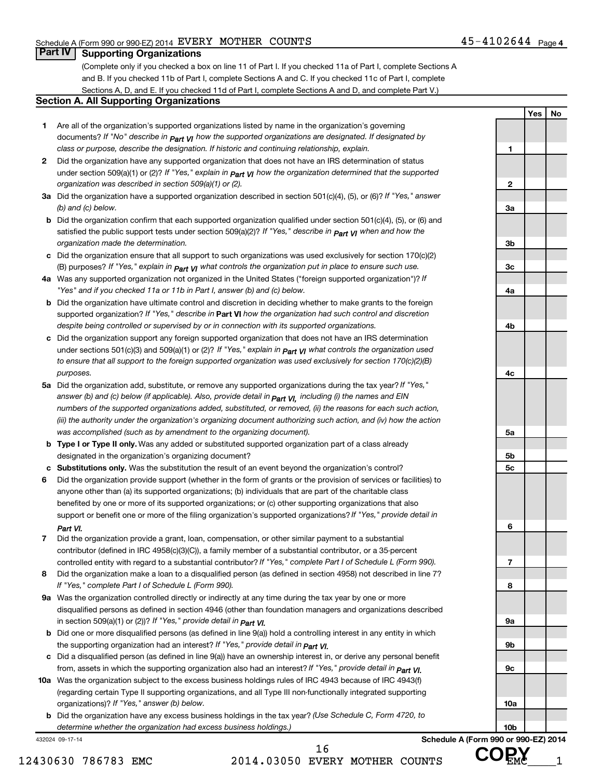**Yes No**

#### **Part IV Supporting Organizations**

(Complete only if you checked a box on line 11 of Part I. If you checked 11a of Part I, complete Sections A and B. If you checked 11b of Part I, complete Sections A and C. If you checked 11c of Part I, complete Sections A, D, and E. If you checked 11d of Part I, complete Sections A and D, and complete Part V.)

#### **Section A. All Supporting Organizations**

- **1** Are all of the organization's supported organizations listed by name in the organization's governing documents? If "No" describe in  $_{\mathsf{Part}}$   $_{\mathsf{V}}$  how the supported organizations are designated. If designated by *class or purpose, describe the designation. If historic and continuing relationship, explain.*
- **2** Did the organization have any supported organization that does not have an IRS determination of status under section 509(a)(1) or (2)? If "Yes," explain in  $_{\sf Part}$  **y** how the organization determined that the supported *organization was described in section 509(a)(1) or (2).*
- **3a** Did the organization have a supported organization described in section 501(c)(4), (5), or (6)? If "Yes," answer *(b) and (c) below.*
- **b** Did the organization confirm that each supported organization qualified under section 501(c)(4), (5), or (6) and satisfied the public support tests under section 509(a)(2)? If "Yes," describe in  $\bm{\rho_{art}}$  **y**I when and how the *organization made the determination.*
- **c** Did the organization ensure that all support to such organizations was used exclusively for section 170(c)(2) (B) purposes? If "Yes," explain in  $p_{att}$   $_{VI}$  what controls the organization put in place to ensure such use.
- **4 a** *If* Was any supported organization not organized in the United States ("foreign supported organization")? *"Yes" and if you checked 11a or 11b in Part I, answer (b) and (c) below.*
- **b** Did the organization have ultimate control and discretion in deciding whether to make grants to the foreign supported organization? If "Yes," describe in Part VI how the organization had such control and discretion *despite being controlled or supervised by or in connection with its supported organizations.*
- **c** Did the organization support any foreign supported organization that does not have an IRS determination under sections 501(c)(3) and 509(a)(1) or (2)? If "Yes," explain in  $_{\sf Part}$   $_{\sf VI}$  what controls the organization used *to ensure that all support to the foreign supported organization was used exclusively for section 170(c)(2)(B) purposes.*
- **5a** Did the organization add, substitute, or remove any supported organizations during the tax year? If "Yes," answer (b) and (c) below (if applicable). Also, provide detail in  $_{\mathsf{Part}}$   $_{\mathsf{V{\mathsf{I}}}}$ , including (i) the names and EIN *numbers of the supported organizations added, substituted, or removed, (ii) the reasons for each such action, (iii) the authority under the organization's organizing document authorizing such action, and (iv) how the action was accomplished (such as by amendment to the organizing document).*
- **b** Type I or Type II only. Was any added or substituted supported organization part of a class already designated in the organization's organizing document?
- **c Substitutions only.**  Was the substitution the result of an event beyond the organization's control?
- **6** Did the organization provide support (whether in the form of grants or the provision of services or facilities) to support or benefit one or more of the filing organization's supported organizations? If "Yes," provide detail in anyone other than (a) its supported organizations; (b) individuals that are part of the charitable class benefited by one or more of its supported organizations; or (c) other supporting organizations that also *Part VI.*
- **7** Did the organization provide a grant, loan, compensation, or other similar payment to a substantial controlled entity with regard to a substantial contributor? If "Yes," complete Part I of Schedule L (Form 990). contributor (defined in IRC 4958(c)(3)(C)), a family member of a substantial contributor, or a 35-percent
- **8** Did the organization make a loan to a disqualified person (as defined in section 4958) not described in line 7? *If "Yes," complete Part I of Schedule L (Form 990).*
- **9 a** Was the organization controlled directly or indirectly at any time during the tax year by one or more *If "Yes," provide detail in*  in section 509(a)(1) or (2))? *Part VI.* disqualified persons as defined in section 4946 (other than foundation managers and organizations described
- **b** Did one or more disqualified persons (as defined in line 9(a)) hold a controlling interest in any entity in which the supporting organization had an interest? If "Yes," *provide detail in Part VI.*
- **c** Did a disqualified person (as defined in line 9(a)) have an ownership interest in, or derive any personal benefit from, assets in which the supporting organization also had an interest? If "Yes," *provide detail in Part VI.*
- **10 a** Was the organization subject to the excess business holdings rules of IRC 4943 because of IRC 4943(f)  *If "Yes," answer (b) below.* organizations)? (regarding certain Type II supporting organizations, and all Type III non-functionally integrated supporting
- **b** Did the organization have any excess business holdings in the tax year? (Use Schedule C, Form 4720, to *determine whether the organization had excess business holdings.)*

432024 09-17-14

12430630 786783 EMC 2014.03050 EVERY MOTHER COUNTS VUEMC 1 16

**1 2 3a 3b 3c 4a 4b 4c 5a 5b 5c 6 7 8 9a 9b 9c 10a 10b Schedule A (Form 990 or 990-EZ) 2014**

 **COPY**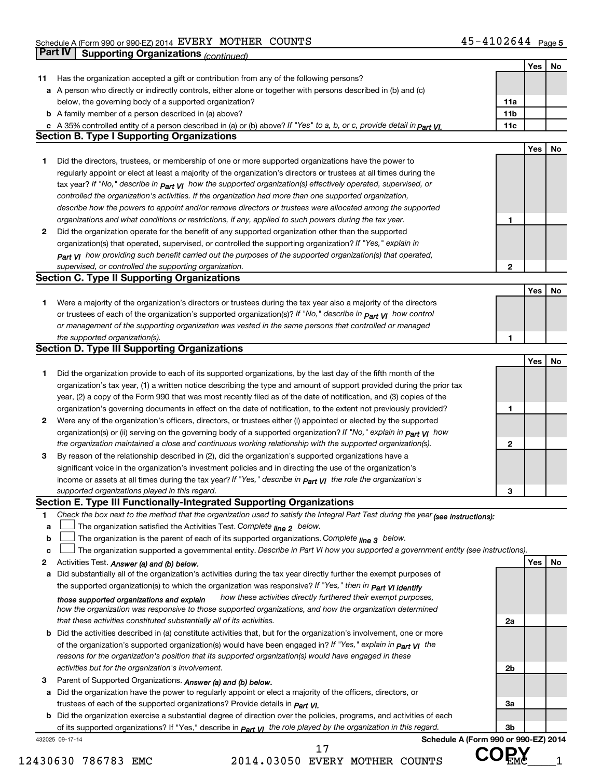|    | Part IV         | <b>Supporting Organizations (continued)</b>                                                                                       |                 |     |    |
|----|-----------------|-----------------------------------------------------------------------------------------------------------------------------------|-----------------|-----|----|
|    |                 |                                                                                                                                   |                 | Yes | No |
| 11 |                 | Has the organization accepted a gift or contribution from any of the following persons?                                           |                 |     |    |
|    |                 | a A person who directly or indirectly controls, either alone or together with persons described in (b) and (c)                    |                 |     |    |
|    |                 | below, the governing body of a supported organization?                                                                            | 11a             |     |    |
|    |                 | <b>b</b> A family member of a person described in (a) above?                                                                      | 11 <sub>b</sub> |     |    |
|    |                 | c A 35% controlled entity of a person described in (a) or (b) above? If "Yes" to a, b, or c, provide detail in part VI.           | 11c             |     |    |
|    |                 | <b>Section B. Type I Supporting Organizations</b>                                                                                 |                 |     |    |
|    |                 |                                                                                                                                   |                 | Yes | No |
| 1  |                 | Did the directors, trustees, or membership of one or more supported organizations have the power to                               |                 |     |    |
|    |                 | regularly appoint or elect at least a majority of the organization's directors or trustees at all times during the                |                 |     |    |
|    |                 | tax year? If "No," describe in $P_{\text{art}}$ VI how the supported organization(s) effectively operated, supervised, or         |                 |     |    |
|    |                 | controlled the organization's activities. If the organization had more than one supported organization,                           |                 |     |    |
|    |                 | describe how the powers to appoint and/or remove directors or trustees were allocated among the supported                         |                 |     |    |
|    |                 | organizations and what conditions or restrictions, if any, applied to such powers during the tax year.                            | 1               |     |    |
| 2  |                 | Did the organization operate for the benefit of any supported organization other than the supported                               |                 |     |    |
|    |                 | organization(s) that operated, supervised, or controlled the supporting organization? If "Yes," explain in                        |                 |     |    |
|    |                 | $_{Part}$ v <sub>I</sub> how providing such benefit carried out the purposes of the supported organization(s) that operated,      |                 |     |    |
|    |                 | supervised, or controlled the supporting organization.                                                                            | $\mathbf{2}$    |     |    |
|    |                 | <b>Section C. Type II Supporting Organizations</b>                                                                                |                 |     |    |
|    |                 |                                                                                                                                   |                 | Yes | No |
| 1  |                 | Were a majority of the organization's directors or trustees during the tax year also a majority of the directors                  |                 |     |    |
|    |                 | or trustees of each of the organization's supported organization(s)? If "No," describe in <b>Part VI</b> how control              |                 |     |    |
|    |                 | or management of the supporting organization was vested in the same persons that controlled or managed                            |                 |     |    |
|    |                 | the supported organization(s).                                                                                                    | 1               |     |    |
|    |                 | <b>Section D. Type III Supporting Organizations</b>                                                                               |                 |     |    |
|    |                 |                                                                                                                                   |                 | Yes | No |
|    |                 |                                                                                                                                   |                 |     |    |
| 1  |                 | Did the organization provide to each of its supported organizations, by the last day of the fifth month of the                    |                 |     |    |
|    |                 | organization's tax year, (1) a written notice describing the type and amount of support provided during the prior tax             |                 |     |    |
|    |                 | year, (2) a copy of the Form 990 that was most recently filed as of the date of notification, and (3) copies of the               |                 |     |    |
|    |                 | organization's governing documents in effect on the date of notification, to the extent not previously provided?                  | 1               |     |    |
| 2  |                 | Were any of the organization's officers, directors, or trustees either (i) appointed or elected by the supported                  |                 |     |    |
|    |                 | organization(s) or (ii) serving on the governing body of a supported organization? If "No," explain in part VI how                |                 |     |    |
|    |                 | the organization maintained a close and continuous working relationship with the supported organization(s).                       | $\mathbf{2}$    |     |    |
| 3  |                 | By reason of the relationship described in (2), did the organization's supported organizations have a                             |                 |     |    |
|    |                 | significant voice in the organization's investment policies and in directing the use of the organization's                        |                 |     |    |
|    |                 | income or assets at all times during the tax year? If "Yes," describe in $_{Part}$ y the role the organization's                  |                 |     |    |
|    |                 | supported organizations played in this regard.                                                                                    | з               |     |    |
|    |                 | Section E. Type III Functionally-Integrated Supporting Organizations                                                              |                 |     |    |
| 1  |                 | Check the box next to the method that the organization used to satisfy the Integral Part Test during the year (see instructions): |                 |     |    |
| a  |                 | The organization satisfied the Activities Test. Complete line 2 below.                                                            |                 |     |    |
| b  |                 | The organization is the parent of each of its supported organizations. Complete $_{\text{line 3}}$ below.                         |                 |     |    |
| c  |                 | The organization supported a governmental entity. Describe in Part VI how you supported a government entity (see instructions).   |                 |     |    |
| 2  |                 | Activities Test. Answer (a) and (b) below.                                                                                        |                 | Yes | No |
| а  |                 | Did substantially all of the organization's activities during the tax year directly further the exempt purposes of                |                 |     |    |
|    |                 | the supported organization(s) to which the organization was responsive? If "Yes," then in Part VI identify                        |                 |     |    |
|    |                 | how these activities directly furthered their exempt purposes,<br>those supported organizations and explain                       |                 |     |    |
|    |                 | how the organization was responsive to those supported organizations, and how the organization determined                         |                 |     |    |
|    |                 | that these activities constituted substantially all of its activities.                                                            | 2a              |     |    |
| b  |                 | Did the activities described in (a) constitute activities that, but for the organization's involvement, one or more               |                 |     |    |
|    |                 | of the organization's supported organization(s) would have been engaged in? If "Yes," explain in part VI the                      |                 |     |    |
|    |                 | reasons for the organization's position that its supported organization(s) would have engaged in these                            |                 |     |    |
|    |                 | activities but for the organization's involvement.                                                                                | 2 <sub>b</sub>  |     |    |
| З  |                 | Parent of Supported Organizations. Answer (a) and (b) below.                                                                      |                 |     |    |
| а  |                 | Did the organization have the power to regularly appoint or elect a majority of the officers, directors, or                       |                 |     |    |
|    |                 | trustees of each of the supported organizations? Provide details in <i>Part VI.</i>                                               | За              |     |    |
|    |                 | <b>b</b> Did the organization exercise a substantial degree of direction over the policies, programs, and activities of each      |                 |     |    |
|    |                 | of its supported organizations? If "Yes," describe in $P_{\text{art}}$ VI the role played by the organization in this regard.     | 3b              |     |    |
|    | 432025 09-17-14 | Schedule A (Form 990 or 990-EZ) 2014                                                                                              |                 |     |    |
|    |                 | 17                                                                                                                                |                 |     |    |
|    |                 | 2014.03050 EVERY MOTHER COUNTS<br>430630 786783 EMC                                                                               |                 |     |    |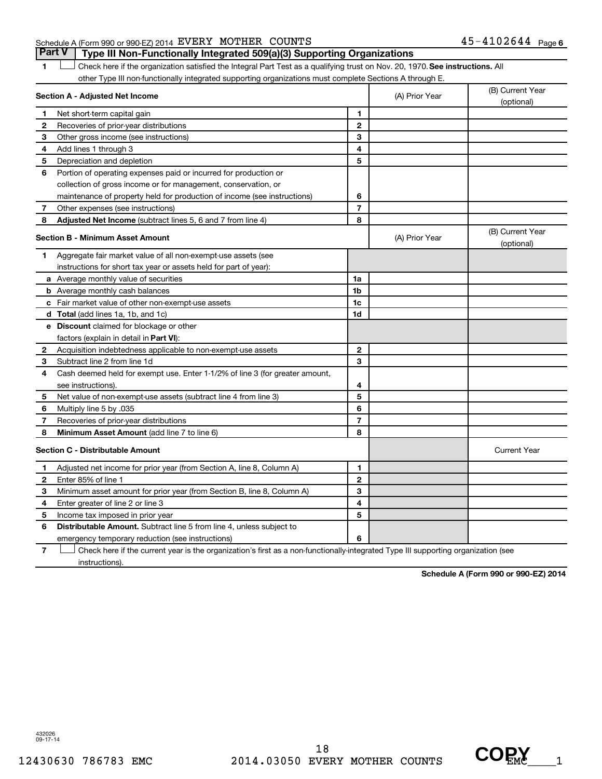#### Schedule A (Form 990 or 990-EZ) 2014  ${\tt EVERY}$   ${\tt MOTHER}$   ${\tt COUNTS}$   ${\tt 45-4102644}$   ${\tt Page}$

1 **Letter on See instructions.** All Check here if the organization satisfied the Integral Part Test as a qualifying trust on Nov. 20, 1970. See instructions. All other Type III non-functionally integrated supporting organizations must complete Sections A through E. **Part V Type III Non-Functionally Integrated 509(a)(3) Supporting Organizations** 

|                | Section A - Adjusted Net Income                                                                                                   | (A) Prior Year | (B) Current Year<br>(optional) |                                |  |
|----------------|-----------------------------------------------------------------------------------------------------------------------------------|----------------|--------------------------------|--------------------------------|--|
| 1.             | Net short-term capital gain                                                                                                       | 1              |                                |                                |  |
| $\mathbf{2}$   | Recoveries of prior-year distributions                                                                                            | $\overline{2}$ |                                |                                |  |
| 3              | Other gross income (see instructions)                                                                                             | 3              |                                |                                |  |
| 4              | Add lines 1 through 3                                                                                                             | 4              |                                |                                |  |
| 5              | Depreciation and depletion                                                                                                        | 5              |                                |                                |  |
| 6              | Portion of operating expenses paid or incurred for production or                                                                  |                |                                |                                |  |
|                | collection of gross income or for management, conservation, or                                                                    |                |                                |                                |  |
|                | maintenance of property held for production of income (see instructions)                                                          | 6              |                                |                                |  |
| $\overline{7}$ | Other expenses (see instructions)                                                                                                 | $\overline{7}$ |                                |                                |  |
| 8              | Adjusted Net Income (subtract lines 5, 6 and 7 from line 4)                                                                       | 8              |                                |                                |  |
|                | <b>Section B - Minimum Asset Amount</b>                                                                                           |                | (A) Prior Year                 | (B) Current Year<br>(optional) |  |
| 1.             | Aggregate fair market value of all non-exempt-use assets (see                                                                     |                |                                |                                |  |
|                | instructions for short tax year or assets held for part of year):                                                                 |                |                                |                                |  |
|                | <b>a</b> Average monthly value of securities                                                                                      | 1a             |                                |                                |  |
|                | <b>b</b> Average monthly cash balances                                                                                            | 1 <sub>b</sub> |                                |                                |  |
|                | c Fair market value of other non-exempt-use assets                                                                                | 1c             |                                |                                |  |
|                | d Total (add lines 1a, 1b, and 1c)                                                                                                | 1d             |                                |                                |  |
|                | e Discount claimed for blockage or other                                                                                          |                |                                |                                |  |
|                | factors (explain in detail in Part VI):                                                                                           |                |                                |                                |  |
| 2              | Acquisition indebtedness applicable to non-exempt-use assets                                                                      | $\mathbf{2}$   |                                |                                |  |
| З              | Subtract line 2 from line 1d                                                                                                      | 3              |                                |                                |  |
| 4              | Cash deemed held for exempt use. Enter 1-1/2% of line 3 (for greater amount,                                                      |                |                                |                                |  |
|                | see instructions).                                                                                                                | 4              |                                |                                |  |
| 5              | Net value of non-exempt-use assets (subtract line 4 from line 3)                                                                  | 5              |                                |                                |  |
| 6              | Multiply line 5 by .035                                                                                                           | 6              |                                |                                |  |
| 7              | Recoveries of prior-year distributions                                                                                            | 7              |                                |                                |  |
| 8              | Minimum Asset Amount (add line 7 to line 6)                                                                                       | 8              |                                |                                |  |
|                | <b>Section C - Distributable Amount</b>                                                                                           |                |                                | <b>Current Year</b>            |  |
| 1.             | Adjusted net income for prior year (from Section A, line 8, Column A)                                                             | 1              |                                |                                |  |
| $\mathbf{2}$   | Enter 85% of line 1                                                                                                               | $\overline{2}$ |                                |                                |  |
| З              | Minimum asset amount for prior year (from Section B, line 8, Column A)                                                            | 3              |                                |                                |  |
| 4              | Enter greater of line 2 or line 3                                                                                                 | 4              |                                |                                |  |
| 5              | Income tax imposed in prior year                                                                                                  | 5              |                                |                                |  |
| 6              | <b>Distributable Amount.</b> Subtract line 5 from line 4, unless subject to                                                       |                |                                |                                |  |
|                | emergency temporary reduction (see instructions)                                                                                  | 6              |                                |                                |  |
| $\overline{7}$ | Check here if the current year is the organization's first as a non-functionally-integrated Type III supporting organization (see |                |                                |                                |  |

instructions).

**Schedule A (Form 990 or 990-EZ) 2014**

432026 09-17-14

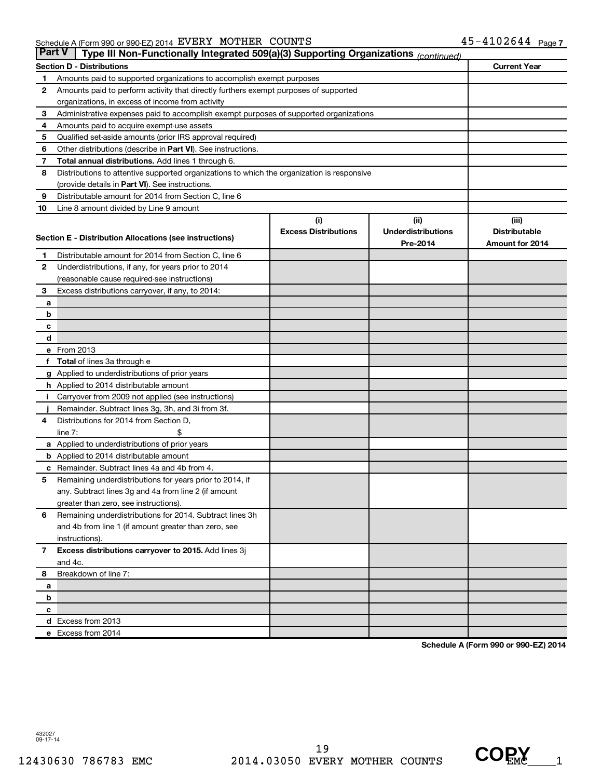| <b>Part V</b>  | Type III Non-Functionally Integrated 509(a)(3) Supporting Organizations (continued)        |                             |                           |                      |  |  |  |
|----------------|--------------------------------------------------------------------------------------------|-----------------------------|---------------------------|----------------------|--|--|--|
|                | <b>Section D - Distributions</b>                                                           |                             |                           | <b>Current Year</b>  |  |  |  |
| 1              | Amounts paid to supported organizations to accomplish exempt purposes                      |                             |                           |                      |  |  |  |
| 2              | Amounts paid to perform activity that directly furthers exempt purposes of supported       |                             |                           |                      |  |  |  |
|                | organizations, in excess of income from activity                                           |                             |                           |                      |  |  |  |
| 3              | Administrative expenses paid to accomplish exempt purposes of supported organizations      |                             |                           |                      |  |  |  |
| 4              | Amounts paid to acquire exempt-use assets                                                  |                             |                           |                      |  |  |  |
| 5              | Qualified set-aside amounts (prior IRS approval required)                                  |                             |                           |                      |  |  |  |
| 6              | Other distributions (describe in Part VI). See instructions.                               |                             |                           |                      |  |  |  |
| 7              | Total annual distributions. Add lines 1 through 6.                                         |                             |                           |                      |  |  |  |
| 8              | Distributions to attentive supported organizations to which the organization is responsive |                             |                           |                      |  |  |  |
|                | (provide details in Part VI). See instructions.                                            |                             |                           |                      |  |  |  |
| 9              | Distributable amount for 2014 from Section C, line 6                                       |                             |                           |                      |  |  |  |
| 10             | Line 8 amount divided by Line 9 amount                                                     |                             |                           |                      |  |  |  |
|                |                                                                                            | (i)                         | (i)                       | (iii)                |  |  |  |
|                | Section E - Distribution Allocations (see instructions)                                    | <b>Excess Distributions</b> | <b>Underdistributions</b> | <b>Distributable</b> |  |  |  |
|                |                                                                                            |                             | Pre-2014                  | Amount for 2014      |  |  |  |
| 1              | Distributable amount for 2014 from Section C, line 6                                       |                             |                           |                      |  |  |  |
| $\mathbf{2}$   | Underdistributions, if any, for years prior to 2014                                        |                             |                           |                      |  |  |  |
|                | (reasonable cause required-see instructions)                                               |                             |                           |                      |  |  |  |
| 3              | Excess distributions carryover, if any, to 2014:                                           |                             |                           |                      |  |  |  |
| a              |                                                                                            |                             |                           |                      |  |  |  |
| b              |                                                                                            |                             |                           |                      |  |  |  |
| с              |                                                                                            |                             |                           |                      |  |  |  |
| d              | e From 2013                                                                                |                             |                           |                      |  |  |  |
| f              | <b>Total</b> of lines 3a through e                                                         |                             |                           |                      |  |  |  |
|                | g Applied to underdistributions of prior years                                             |                             |                           |                      |  |  |  |
|                | <b>h</b> Applied to 2014 distributable amount                                              |                             |                           |                      |  |  |  |
|                | Carryover from 2009 not applied (see instructions)                                         |                             |                           |                      |  |  |  |
|                | Remainder. Subtract lines 3g, 3h, and 3i from 3f.                                          |                             |                           |                      |  |  |  |
| 4              | Distributions for 2014 from Section D,                                                     |                             |                           |                      |  |  |  |
|                | $line 7$ :                                                                                 |                             |                           |                      |  |  |  |
|                | a Applied to underdistributions of prior years                                             |                             |                           |                      |  |  |  |
|                | <b>b</b> Applied to 2014 distributable amount                                              |                             |                           |                      |  |  |  |
| с              | Remainder. Subtract lines 4a and 4b from 4.                                                |                             |                           |                      |  |  |  |
| 5              | Remaining underdistributions for years prior to 2014, if                                   |                             |                           |                      |  |  |  |
|                | any. Subtract lines 3g and 4a from line 2 (if amount                                       |                             |                           |                      |  |  |  |
|                | greater than zero, see instructions).                                                      |                             |                           |                      |  |  |  |
| 6              | Remaining underdistributions for 2014. Subtract lines 3h                                   |                             |                           |                      |  |  |  |
|                | and 4b from line 1 (if amount greater than zero, see                                       |                             |                           |                      |  |  |  |
|                | instructions).                                                                             |                             |                           |                      |  |  |  |
| $\overline{7}$ | Excess distributions carryover to 2015. Add lines 3j                                       |                             |                           |                      |  |  |  |
|                | and 4c.                                                                                    |                             |                           |                      |  |  |  |
| 8              | Breakdown of line 7:                                                                       |                             |                           |                      |  |  |  |
| a              |                                                                                            |                             |                           |                      |  |  |  |
| b              |                                                                                            |                             |                           |                      |  |  |  |
| с              |                                                                                            |                             |                           |                      |  |  |  |
|                | d Excess from 2013                                                                         |                             |                           |                      |  |  |  |
|                | e Excess from 2014                                                                         |                             |                           |                      |  |  |  |

**Schedule A (Form 990 or 990-EZ) 2014**

432027 09-17-14

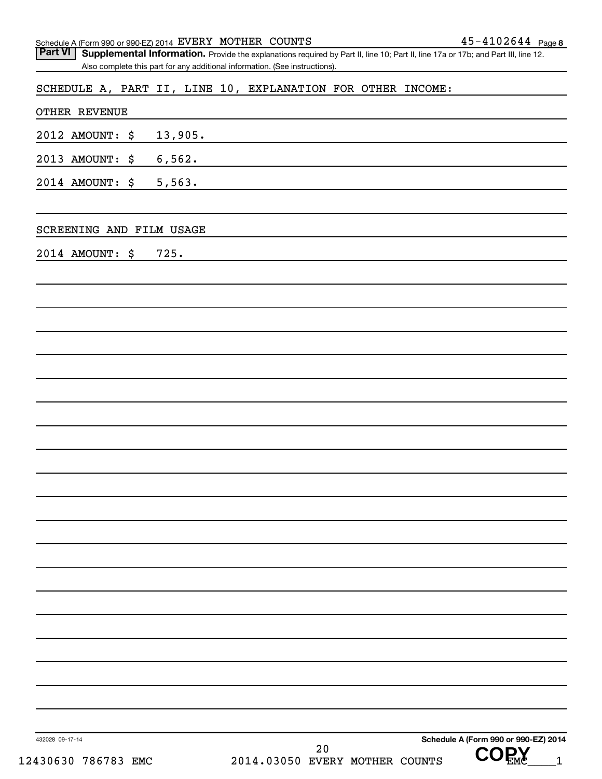| Schedule A (Form 990 or 990-EZ) 2014 EVERY MOTHER COUNTS<br><b>Part VI</b>  | Supplemental Information. Provide the explanations required by Part II, line 10; Part II, line 17a or 17b; and Part III, line 12. | $45 - 4102644$ Page 8                |
|-----------------------------------------------------------------------------|-----------------------------------------------------------------------------------------------------------------------------------|--------------------------------------|
| Also complete this part for any additional information. (See instructions). |                                                                                                                                   |                                      |
|                                                                             | SCHEDULE A, PART II, LINE 10, EXPLANATION FOR OTHER INCOME:                                                                       |                                      |
| <b>OTHER REVENUE</b>                                                        |                                                                                                                                   |                                      |
| 2012 AMOUNT: \$<br>13,905.                                                  |                                                                                                                                   |                                      |
| 6,562.<br>2013 AMOUNT:<br>\$                                                |                                                                                                                                   |                                      |
| 5,563.<br>2014 AMOUNT:<br>\$                                                |                                                                                                                                   |                                      |
| SCREENING AND FILM USAGE                                                    |                                                                                                                                   |                                      |
| 2014 AMOUNT: \$<br>725.                                                     |                                                                                                                                   |                                      |
|                                                                             |                                                                                                                                   |                                      |
|                                                                             |                                                                                                                                   |                                      |
|                                                                             |                                                                                                                                   |                                      |
|                                                                             |                                                                                                                                   |                                      |
|                                                                             |                                                                                                                                   |                                      |
|                                                                             |                                                                                                                                   |                                      |
|                                                                             |                                                                                                                                   |                                      |
|                                                                             |                                                                                                                                   |                                      |
|                                                                             |                                                                                                                                   |                                      |
|                                                                             |                                                                                                                                   |                                      |
|                                                                             |                                                                                                                                   |                                      |
|                                                                             |                                                                                                                                   |                                      |
|                                                                             |                                                                                                                                   |                                      |
|                                                                             |                                                                                                                                   |                                      |
|                                                                             |                                                                                                                                   |                                      |
|                                                                             |                                                                                                                                   |                                      |
| 432028 09-17-14                                                             |                                                                                                                                   | Schedule A (Form 990 or 990-EZ) 2014 |
| 12430630 786783 EMC                                                         | 20<br>2014.03050 EVERY MOTHER COUNTS                                                                                              | COPY                                 |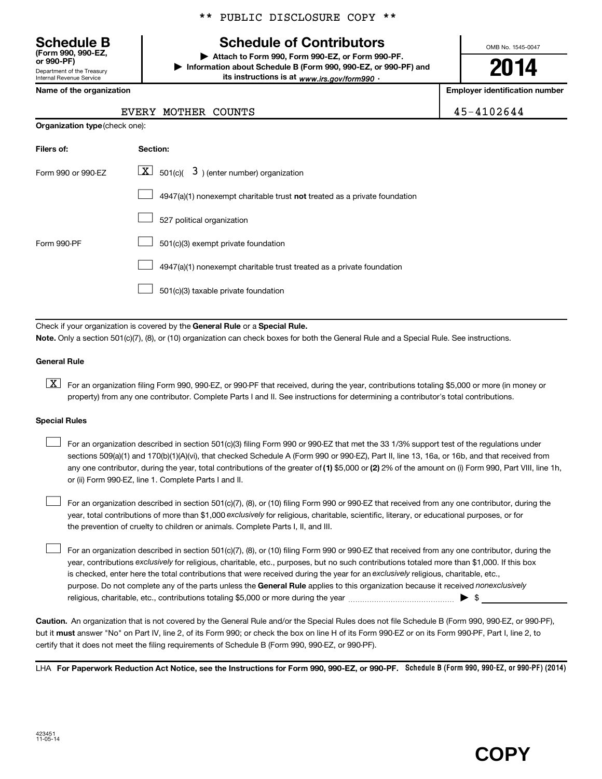Department of the Treasury Internal Revenue Service **(Form 990, 990-EZ,**

**Organization type** (check one):

## **Schedule B Schedule of Contributors**

**or 990-PF) | Attach to Form 990, Form 990-EZ, or Form 990-PF. | Information about Schedule B (Form 990, 990-EZ, or 990-PF) and** its instructions is at <sub>www.irs.gov/form990  $\cdot$ </sub>

OMB No. 1545-0047

# **2014**

**Name of the organization Employer identification number**

#### EVERY MOTHER COUNTS 45-4102644

| Filers of:         | Section:                                                                           |
|--------------------|------------------------------------------------------------------------------------|
| Form 990 or 990-FZ | $ \mathbf{X} $ 501(c)( 3) (enter number) organization                              |
|                    | $4947(a)(1)$ nonexempt charitable trust <b>not</b> treated as a private foundation |
|                    | 527 political organization                                                         |
| Form 990-PF        | 501(c)(3) exempt private foundation                                                |
|                    | 4947(a)(1) nonexempt charitable trust treated as a private foundation              |
|                    | 501(c)(3) taxable private foundation                                               |

Check if your organization is covered by the General Rule or a Special Rule.

**Note.**  Only a section 501(c)(7), (8), or (10) organization can check boxes for both the General Rule and a Special Rule. See instructions.

#### **General Rule**

**K** For an organization filing Form 990, 990-EZ, or 990-PF that received, during the year, contributions totaling \$5,000 or more (in money or property) from any one contributor. Complete Parts I and II. See instructions for determining a contributor's total contributions.

#### **Special Rules**

 $\overline{\phantom{a}}$ 

any one contributor, during the year, total contributions of the greater of (1) \$5,000 or (2) 2% of the amount on (i) Form 990, Part VIII, line 1h, For an organization described in section 501(c)(3) filing Form 990 or 990-EZ that met the 33 1/3% support test of the regulations under sections 509(a)(1) and 170(b)(1)(A)(vi), that checked Schedule A (Form 990 or 990-EZ), Part II, line 13, 16a, or 16b, and that received from or (ii) Form 990-EZ, line 1. Complete Parts I and II.  $\overline{\phantom{a}}$ 

year, total contributions of more than \$1,000 exclusively for religious, charitable, scientific, literary, or educational purposes, or for For an organization described in section 501(c)(7), (8), or (10) filing Form 990 or 990-EZ that received from any one contributor, during the the prevention of cruelty to children or animals. Complete Parts I, II, and III.  $\overline{\phantom{a}}$ 

purpose. Do not complete any of the parts unless the General Rule applies to this organization because it received nonexclusively year, contributions exclusively for religious, charitable, etc., purposes, but no such contributions totaled more than \$1,000. If this box is checked, enter here the total contributions that were received during the year for an exclusively religious, charitable, etc., For an organization described in section 501(c)(7), (8), or (10) filing Form 990 or 990-EZ that received from any one contributor, during the religious, charitable, etc., contributions totaling \$5,000 or more during the year  $\ldots$  $\ldots$  $\ldots$  $\ldots$  $\ldots$  $\ldots$ 

**Caution.** An organization that is not covered by the General Rule and/or the Special Rules does not file Schedule B (Form 990, 990-EZ, or 990-PF),  **must** but it answer "No" on Part IV, line 2, of its Form 990; or check the box on line H of its Form 990-EZ or on its Form 990-PF, Part I, line 2, to certify that it does not meet the filing requirements of Schedule B (Form 990, 990-EZ, or 990-PF).

LHA For Paperwork Reduction Act Notice, see the Instructions for Form 990, 990-EZ, or 990-PF. Schedule B (Form 990, 990-EZ, or 990-PF) (2014)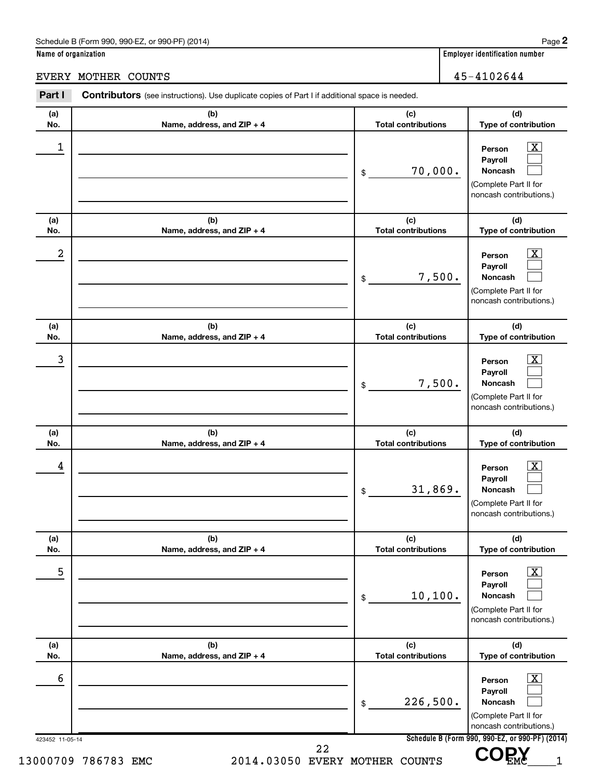**Name of organization Employer identification number**

EVERY MOTHER COUNTS 45-4102644

#### 423452 11-05-14 **Schedule B (Form 990, 990-EZ, or 990-PF) (2014) (a) No. (b) Name, address, and ZIP + 4 (c) Total contributions (d) Type of contribution Person Payroll Noncash (a) No. (b) Name, address, and ZIP + 4 (c) Total contributions (d) Type of contribution Person Payroll Noncash (a) No. (b) Name, address, and ZIP + 4 (c) Total contributions (d) Type of contribution Person Payroll Noncash (a) No. (b) Name, address, and ZIP + 4 (c) Total contributions (d) Type of contribution Person Payroll Noncash (a) No. (b) Name, address, and ZIP + 4 (c) Total contributions (d) Type of contribution Person Payroll Noncash (a) No. (b) Name, address, and ZIP + 4 (c) Total contributions (d) Type of contribution Person Payroll Noncash** Part I Contributors (see instructions). Use duplicate copies of Part I if additional space is needed. \$ (Complete Part II for noncash contributions.) \$ (Complete Part II for noncash contributions.) \$ (Complete Part II for noncash contributions.) \$ (Complete Part II for noncash contributions.) \$ (Complete Part II for noncash contributions.) \$ (Complete Part II for noncash contributions.)  $\lfloor x \rfloor$  $\mathcal{L}^{\text{max}}$  $\mathcal{L}^{\text{max}}$  $\overline{\mathbf{x}}$  $\mathcal{L}^{\text{max}}$  $\mathcal{L}^{\text{max}}$  $\boxed{\textbf{X}}$  $\mathcal{L}^{\text{max}}$  $\mathcal{L}^{\text{max}}$  $\boxed{\textbf{X}}$  $\mathcal{L}^{\text{max}}$  $\mathcal{L}^{\text{max}}$  $\boxed{\text{X}}$  $\mathcal{L}^{\text{max}}$  $\mathcal{L}^{\text{max}}$  $\boxed{\textbf{X}}$  $\mathcal{L}^{\text{max}}$  $\mathcal{L}^{\text{max}}$  $\begin{array}{|c|c|c|c|c|}\hline \ \text{1} & \text{Person} & \text{X} \ \hline \end{array}$ 70,000.  $2$  Person  $\overline{\text{X}}$ 7,500. 3 X 7,500.  $\begin{array}{|c|c|c|c|c|}\hline \text{4} & \text{Person} & \text{\textbf{X}}\ \hline \end{array}$ 31,869.  $\overline{5}$  Person  $\overline{X}$ 10,100.  $\overline{6}$  Person  $\overline{X}$ 226,500. 13000709 786783 EMC 2014.03050 EVERY MOTHER COUNTS VUEMC 1 22  **COPY**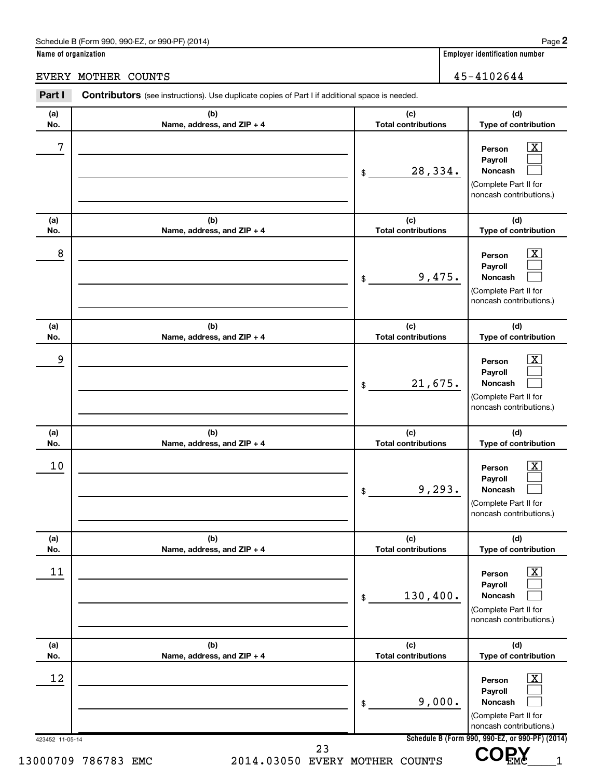# EVERY MOTHER COUNTS 45-4102644

| (a)<br>No.      | (b)<br>Name, address, and ZIP + 4 | (c)<br><b>Total contributions</b> | (d)<br>Type of contribution                                                                                        |
|-----------------|-----------------------------------|-----------------------------------|--------------------------------------------------------------------------------------------------------------------|
| 7               |                                   | 28,334.<br>\$                     | $\overline{\mathbf{X}}$<br>Person<br>Payroll<br><b>Noncash</b><br>(Complete Part II for<br>noncash contributions.) |
| (a)<br>No.      | (b)<br>Name, address, and ZIP + 4 | (c)<br><b>Total contributions</b> | (d)<br>Type of contribution                                                                                        |
| 8               |                                   | 9,475.<br>\$                      | $\overline{\text{X}}$<br>Person<br>Payroll<br><b>Noncash</b><br>(Complete Part II for<br>noncash contributions.)   |
| (a)<br>No.      | (b)<br>Name, address, and ZIP + 4 | (c)<br><b>Total contributions</b> | (d)<br>Type of contribution                                                                                        |
| 9               |                                   | 21,675.<br>\$                     | $\overline{\text{X}}$<br>Person<br>Payroll<br><b>Noncash</b><br>(Complete Part II for<br>noncash contributions.)   |
| (a)<br>No.      | (b)<br>Name, address, and ZIP + 4 | (c)<br><b>Total contributions</b> | (d)<br>Type of contribution                                                                                        |
| 10              |                                   | 9, 293.<br>\$                     | $\overline{\text{X}}$<br>Person<br>Payroll<br><b>Noncash</b><br>(Complete Part II for<br>noncash contributions.)   |
| (a)<br>No.      | (b)<br>Name, address, and ZIP + 4 | (c)<br><b>Total contributions</b> | (d)<br>Type of contribution                                                                                        |
| 11              |                                   | 130,400.<br>\$                    | $\overline{\text{X}}$<br>Person<br>Payroll<br>Noncash<br>(Complete Part II for<br>noncash contributions.)          |
| (a)<br>No.      | (b)<br>Name, address, and ZIP + 4 | (c)<br><b>Total contributions</b> | (d)<br>Type of contribution                                                                                        |
| 12              |                                   | 9,000.<br>\$                      | $\overline{\text{X}}$<br>Person<br>Payroll<br>Noncash<br>(Complete Part II for<br>noncash contributions.)          |
| 423452 11-05-14 |                                   | 23                                | Schedule B (Form 990, 990-EZ, or 990-PF) (2014)                                                                    |

**2**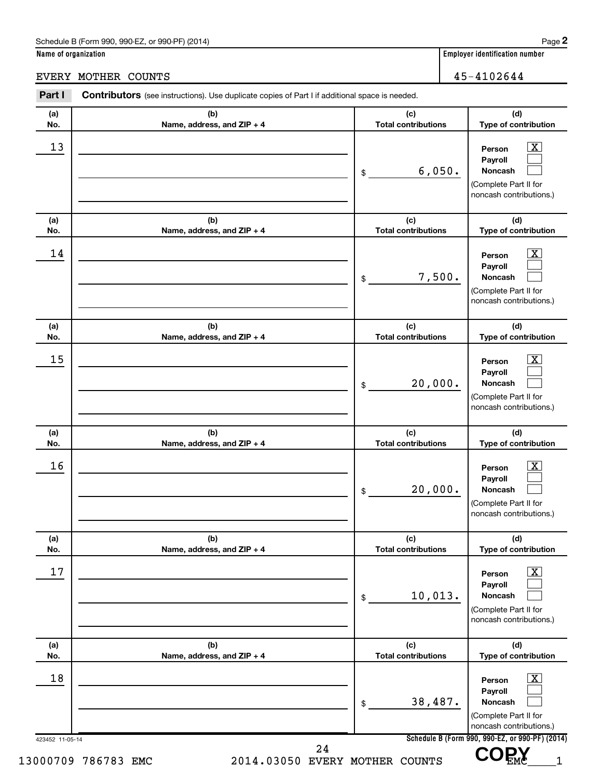**Name of organization Employer identification number**

EVERY MOTHER COUNTS 45-4102644

| No. | (b)                        | (c)                        | (d)                                                                                                                |
|-----|----------------------------|----------------------------|--------------------------------------------------------------------------------------------------------------------|
|     | Name, address, and ZIP + 4 | <b>Total contributions</b> | Type of contribution                                                                                               |
| 13  |                            | 6,050.<br>\$               | $\boxed{\textbf{X}}$<br>Person<br>Payroll<br><b>Noncash</b><br>(Complete Part II for<br>noncash contributions.)    |
| (a) | (b)                        | (c)                        | (d)                                                                                                                |
| No. | Name, address, and ZIP + 4 | <b>Total contributions</b> | Type of contribution                                                                                               |
| 14  |                            | 7,500.<br>\$               | $\boxed{\textbf{X}}$<br>Person<br>Payroll<br><b>Noncash</b><br>(Complete Part II for<br>noncash contributions.)    |
| (a) | (b)                        | (c)                        | (d)                                                                                                                |
| No. | Name, address, and ZIP + 4 | <b>Total contributions</b> | Type of contribution                                                                                               |
| 15  |                            | 20,000.<br>\$              | $\overline{\text{X}}$<br>Person<br>Payroll<br><b>Noncash</b><br>(Complete Part II for<br>noncash contributions.)   |
| (a) | (b)                        | (c)                        | (d)                                                                                                                |
| No. | Name, address, and ZIP + 4 | <b>Total contributions</b> | Type of contribution                                                                                               |
| 16  |                            | 20,000.<br>\$              | $\overline{\text{X}}$<br>Person<br>Payroll<br>Noncash<br>(Complete Part II for<br>noncash contributions.)          |
| (a) | (b)                        | (c)                        | (d)                                                                                                                |
| No. | Name, address, and ZIP + 4 | <b>Total contributions</b> | Type of contribution                                                                                               |
| 17  |                            | 10,013.<br>\$              | $\overline{\mathbf{X}}$<br>Person<br>Payroll<br><b>Noncash</b><br>(Complete Part II for<br>noncash contributions.) |
| (a) | (b)                        | (c)                        | (d)                                                                                                                |
| No. | Name, address, and ZIP + 4 | <b>Total contributions</b> | Type of contribution                                                                                               |
| 18  |                            | 38,487.<br>\$              | $\overline{\mathbf{X}}$<br>Person<br>Payroll<br><b>Noncash</b><br>(Complete Part II for                            |

**2**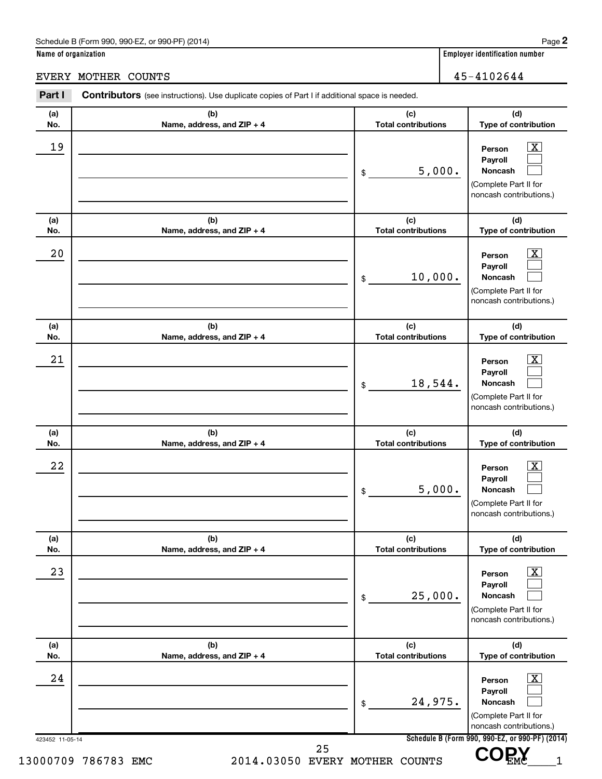**Name of organization Employer identification number**

EVERY MOTHER COUNTS 45-4102644

| (a)<br>No.      | (b)<br>Name, address, and ZIP + 4 | (c)<br><b>Total contributions</b> | (d)<br>Type of contribution                                                                                     |
|-----------------|-----------------------------------|-----------------------------------|-----------------------------------------------------------------------------------------------------------------|
| 19              |                                   | 5,000.<br>\$                      | $\boxed{\text{X}}$<br>Person<br>Payroll<br><b>Noncash</b><br>(Complete Part II for<br>noncash contributions.)   |
| (a)<br>No.      | (b)<br>Name, address, and ZIP + 4 | (c)<br><b>Total contributions</b> | (d)<br>Type of contribution                                                                                     |
| 20              |                                   | 10,000.<br>\$                     | $\boxed{\textbf{X}}$<br>Person<br>Payroll<br><b>Noncash</b><br>(Complete Part II for<br>noncash contributions.) |
| (a)<br>No.      | (b)<br>Name, address, and ZIP + 4 | (c)<br><b>Total contributions</b> | (d)<br>Type of contribution                                                                                     |
| 21              |                                   | 18,544.<br>\$                     | $\mathbf{X}$<br>Person<br>Payroll<br><b>Noncash</b><br>(Complete Part II for<br>noncash contributions.)         |
| (a)<br>No.      | (b)<br>Name, address, and ZIP + 4 | (c)<br><b>Total contributions</b> | (d)<br>Type of contribution                                                                                     |
| 22              |                                   | 5,000.<br>\$                      | $\mathbf{X}$<br>Person<br>Payroll<br><b>Noncash</b><br>(Complete Part II for<br>noncash contributions.)         |
| (a)<br>No.      | (b)<br>Name, address, and ZIP + 4 | (c)<br><b>Total contributions</b> | (d)<br>Type of contribution                                                                                     |
| 23              |                                   | 25,000.<br>\$                     | $\boxed{\textbf{X}}$<br>Person<br>Payroll<br><b>Noncash</b><br>(Complete Part II for<br>noncash contributions.) |
| (a)<br>No.      | (b)<br>Name, address, and ZIP + 4 | (c)<br><b>Total contributions</b> | (d)<br>Type of contribution                                                                                     |
| 24              |                                   | 24,975.<br>\$                     | $\boxed{\textbf{X}}$<br>Person<br>Payroll<br><b>Noncash</b><br>(Complete Part II for<br>noncash contributions.) |
| 423452 11-05-14 |                                   |                                   | Schedule B (Form 990, 990-EZ, or 990-PF) (2014)                                                                 |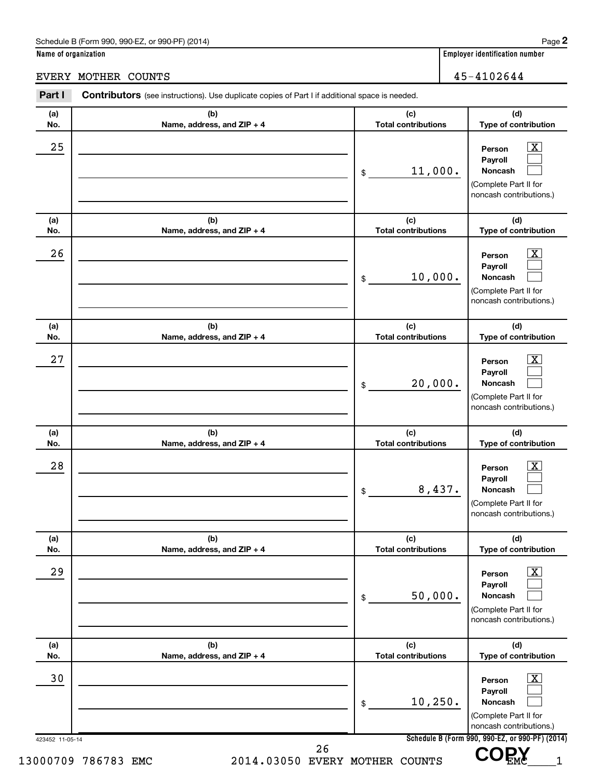**Name of organization Employer identification number**

EVERY MOTHER COUNTS 45-4102644

|                                   | 11,000.<br>\$                     | $\overline{\mathbf{X}}$<br>Person                                                                                  |
|-----------------------------------|-----------------------------------|--------------------------------------------------------------------------------------------------------------------|
|                                   |                                   | Payroll<br><b>Noncash</b><br>(Complete Part II for<br>noncash contributions.)                                      |
| (b)<br>Name, address, and ZIP + 4 | (c)<br><b>Total contributions</b> | (d)<br>Type of contribution                                                                                        |
|                                   | 10,000.<br>\$                     | $\overline{\mathbf{X}}$<br>Person<br>Payroll<br><b>Noncash</b><br>(Complete Part II for<br>noncash contributions.) |
| (b)<br>Name, address, and ZIP + 4 | (c)<br><b>Total contributions</b> | (d)<br>Type of contribution                                                                                        |
|                                   | 20,000.<br>\$                     | $\overline{\mathbf{X}}$<br>Person<br>Payroll<br><b>Noncash</b><br>(Complete Part II for<br>noncash contributions.) |
| (b)<br>Name, address, and ZIP + 4 | (c)<br><b>Total contributions</b> | (d)<br>Type of contribution                                                                                        |
|                                   | 8,437.<br>\$                      | $\overline{\mathbf{X}}$<br>Person<br>Payroll<br>Noncash<br>(Complete Part II for<br>noncash contributions.)        |
| (b)<br>Name, address, and ZIP + 4 | (c)<br><b>Total contributions</b> | (d)<br>Type of contribution                                                                                        |
|                                   | 50,000.<br>\$                     | $\overline{\mathbf{X}}$<br>Person<br>Payroll<br><b>Noncash</b><br>(Complete Part II for<br>noncash contributions.) |
| (b)<br>Name, address, and ZIP + 4 | (c)<br><b>Total contributions</b> | (d)<br>Type of contribution                                                                                        |
|                                   | 10, 250.<br>\$                    | $\overline{\mathbf{X}}$<br>Person<br>Payroll<br><b>Noncash</b><br>(Complete Part II for<br>noncash contributions.) |
| 423452 11-05-14                   | 13000709 786783 EMC               | Schedule B (Form 990, 990-EZ, or 990-PF) (2014)<br>26<br>2014.03050 EVERY MOTHER COUNTS                            |

**2**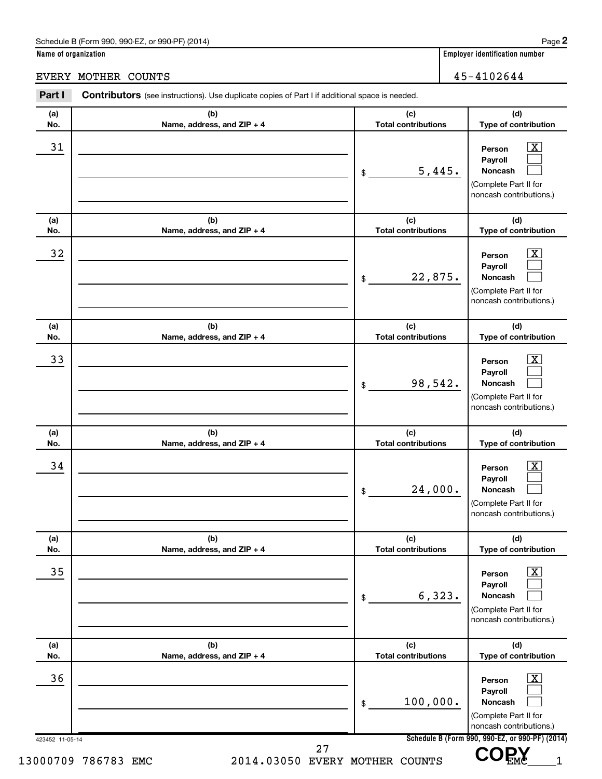**Name of organization Employer identification number**

EVERY MOTHER COUNTS 45-4102644

| (a)<br>No.      | (b)<br>Name, address, and ZIP + 4 | (c)<br><b>Total contributions</b> | (d)<br>Type of contribution                                                                                     |
|-----------------|-----------------------------------|-----------------------------------|-----------------------------------------------------------------------------------------------------------------|
| 31              |                                   | 5,445.<br>\$                      | $\boxed{\mathbf{X}}$<br>Person<br>Payroll<br><b>Noncash</b><br>(Complete Part II for<br>noncash contributions.) |
| (a)<br>No.      | (b)<br>Name, address, and ZIP + 4 | (c)<br><b>Total contributions</b> | (d)<br>Type of contribution                                                                                     |
| 32              |                                   | 22,875.<br>\$                     | $\boxed{\mathbf{X}}$<br>Person<br>Payroll<br>Noncash<br>(Complete Part II for<br>noncash contributions.)        |
| (a)<br>No.      | (b)<br>Name, address, and ZIP + 4 | (c)<br><b>Total contributions</b> | (d)<br>Type of contribution                                                                                     |
| 33              |                                   | 98,542.<br>\$                     | $\mathbf{X}$<br>Person<br>Payroll<br>Noncash<br>(Complete Part II for<br>noncash contributions.)                |
| (a)<br>No.      | (b)<br>Name, address, and ZIP + 4 | (c)<br><b>Total contributions</b> | (d)<br>Type of contribution                                                                                     |
| 34              |                                   | 24,000.<br>\$                     | $\overline{\text{X}}$<br>Person<br>Payroll<br>Noncash<br>(Complete Part II for<br>noncash contributions.)       |
| (a)<br>No.      | (b)<br>Name, address, and ZIP + 4 | (c)<br><b>Total contributions</b> | (d)<br>Type of contribution                                                                                     |
| 35              |                                   | 6,323.<br>\$                      | $\overline{\text{X}}$<br>Person<br>Payroll<br>Noncash<br>(Complete Part II for<br>noncash contributions.)       |
| (a)<br>No.      | (b)<br>Name, address, and ZIP + 4 | (c)<br><b>Total contributions</b> | (d)<br>Type of contribution                                                                                     |
| 36              |                                   | 100,000.<br>\$                    | $\overline{\text{X}}$<br>Person<br>Payroll<br>Noncash<br>(Complete Part II for<br>noncash contributions.)       |
| 423452 11-05-14 |                                   | 27                                | Schedule B (Form 990, 990-EZ, or 990-PF) (2014)                                                                 |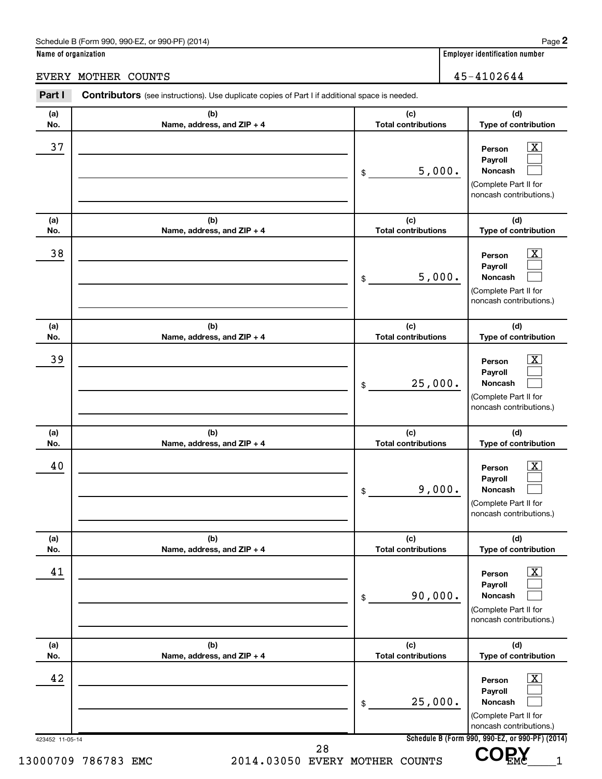**Name of organization Employer identification number**

EVERY MOTHER COUNTS 45-4102644

#### 423452 11-05-14 **Schedule B (Form 990, 990-EZ, or 990-PF) (2014) (a) No. (b) Name, address, and ZIP + 4 (c) Total contributions (d) Type of contribution Person Payroll Noncash (a) No. (b) Name, address, and ZIP + 4 (c) Total contributions (d) Type of contribution Person Payroll Noncash (a) No. (b) Name, address, and ZIP + 4 (c) Total contributions (d) Type of contribution Person Payroll Noncash (a) No. (b) Name, address, and ZIP + 4 (c) Total contributions (d) Type of contribution Person Payroll Noncash (a) No. (b) Name, address, and ZIP + 4 (c) Total contributions (d) Type of contribution Person Payroll Noncash (a) No. (b) Name, address, and ZIP + 4 (c) Total contributions (d) Type of contribution Person Payroll Noncash** Part I Contributors (see instructions). Use duplicate copies of Part I if additional space is needed. \$ (Complete Part II for noncash contributions.) \$ (Complete Part II for noncash contributions.) \$ (Complete Part II for noncash contributions.) \$ (Complete Part II for noncash contributions.) \$ (Complete Part II for noncash contributions.) \$ (Complete Part II for noncash contributions.)  $\lfloor x \rfloor$  $\mathcal{L}^{\text{max}}$  $\mathcal{L}^{\text{max}}$  $\overline{\mathbf{x}}$  $\mathcal{L}^{\text{max}}$  $\mathcal{L}^{\text{max}}$  $\boxed{\textbf{X}}$  $\mathcal{L}^{\text{max}}$  $\mathcal{L}^{\text{max}}$  $\boxed{\textbf{X}}$  $\mathcal{L}^{\text{max}}$  $\mathcal{L}^{\text{max}}$  $\boxed{\text{X}}$  $\mathcal{L}^{\text{max}}$  $\mathcal{L}^{\text{max}}$  $\boxed{\textbf{X}}$  $\mathcal{L}^{\text{max}}$  $\mathcal{L}^{\text{max}}$  $\overline{37}$  Person  $\overline{\text{X}}$ 5,000.  $\overline{38}$  Person  $\overline{\text{X}}$ 5,000.  $\overline{39}$  Person  $\overline{\text{X}}$ 25,000.  $40$  Person  $\overline{\text{X}}$ 9,000.  $41$  Person  $\overline{\text{X}}$ 90,000.  $42$  Person  $\overline{\text{X}}$ 25,000. 13000709 786783 EMC 2014.03050 EVERY MOTHER COUNTS VUEMC 1 28  **COPY**

**2**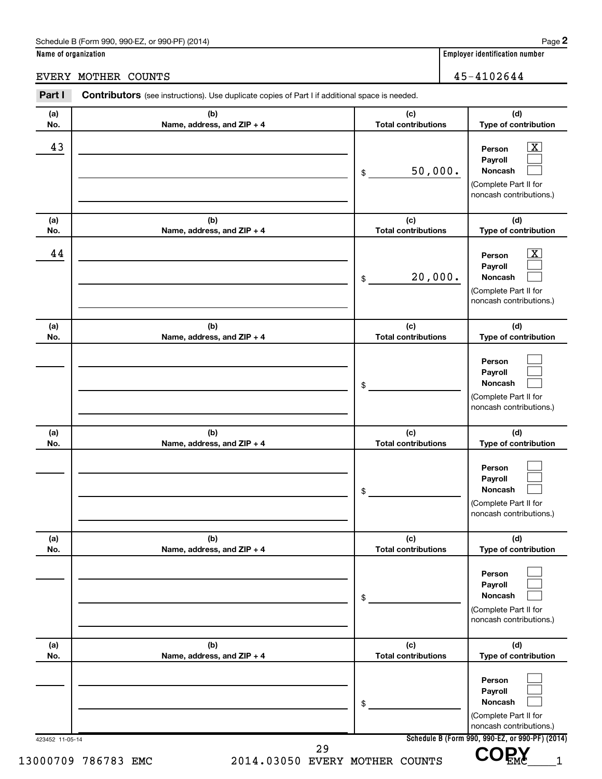**Name of organization Employer identification number**

EVERY MOTHER COUNTS 45-4102644

|                                   | 50,000.<br>\$                     | $\overline{\mathbf{X}}$<br>Person<br>Payroll<br><b>Noncash</b><br>(Complete Part II for<br>noncash contributions.) |
|-----------------------------------|-----------------------------------|--------------------------------------------------------------------------------------------------------------------|
| (b)<br>Name, address, and ZIP + 4 | (c)<br><b>Total contributions</b> | (d)<br>Type of contribution                                                                                        |
|                                   | 20,000.<br>\$                     | $\overline{\mathbf{X}}$<br>Person<br>Payroll<br><b>Noncash</b><br>(Complete Part II for<br>noncash contributions.) |
| (b)<br>Name, address, and ZIP + 4 | (c)<br><b>Total contributions</b> | (d)<br>Type of contribution                                                                                        |
|                                   | \$                                | Person<br>Payroll<br>Noncash<br>(Complete Part II for<br>noncash contributions.)                                   |
| (b)<br>Name, address, and ZIP + 4 | (c)<br><b>Total contributions</b> | (d)<br>Type of contribution                                                                                        |
|                                   | \$                                | Person<br>Payroll<br>Noncash<br>(Complete Part II for<br>noncash contributions.)                                   |
| (b)<br>Name, address, and ZIP + 4 | (c)<br><b>Total contributions</b> | (d)<br>Type of contribution                                                                                        |
|                                   | \$                                | Person<br>Payroll<br><b>Noncash</b><br>(Complete Part II for<br>noncash contributions.)                            |
| (b)<br>Name, address, and ZIP + 4 | (c)<br><b>Total contributions</b> | (d)<br>Type of contribution                                                                                        |
|                                   | \$                                | Person<br>Payroll<br><b>Noncash</b><br>(Complete Part II for<br>noncash contributions.)                            |
|                                   | 423452 11-05-14<br>29             | Schedule B (Form 990, 990-EZ, or 990-PF) (2014)                                                                    |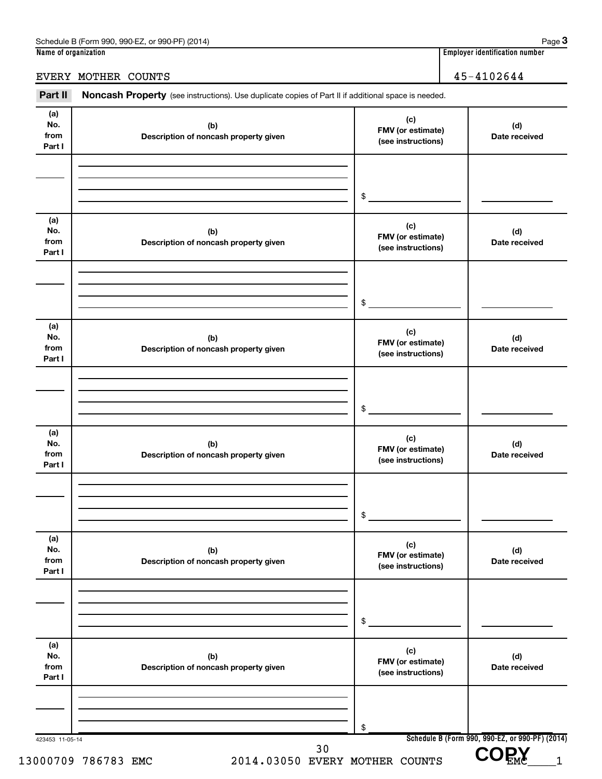EVERY MOTHER COUNTS 45-4102644

Part II Noncash Property (see instructions). Use duplicate copies of Part II if additional space is needed.

| (a)<br>No.<br>from<br>Part I | (b)<br>Description of noncash property given | (c)<br>FMV (or estimate)<br>(see instructions) | (d)<br>Date received                                    |
|------------------------------|----------------------------------------------|------------------------------------------------|---------------------------------------------------------|
|                              |                                              | \$                                             |                                                         |
|                              |                                              |                                                |                                                         |
| (a)<br>No.<br>from<br>Part I | (b)<br>Description of noncash property given | (c)<br>FMV (or estimate)<br>(see instructions) | (d)<br>Date received                                    |
|                              |                                              | \$                                             |                                                         |
| (a)<br>No.<br>from<br>Part I | (b)<br>Description of noncash property given | (c)<br>FMV (or estimate)<br>(see instructions) | (d)<br>Date received                                    |
|                              |                                              | \$                                             |                                                         |
| (a)<br>No.<br>from<br>Part I | (b)<br>Description of noncash property given | (c)<br>FMV (or estimate)<br>(see instructions) | (d)<br>Date received                                    |
|                              |                                              | \$                                             |                                                         |
| (a)<br>No.<br>from<br>Part I | (b)<br>Description of noncash property given | (c)<br>FMV (or estimate)<br>(see instructions) | (d)<br>Date received                                    |
|                              |                                              | \$                                             |                                                         |
| (a)<br>No.<br>from<br>Part I | (b)<br>Description of noncash property given | (c)<br>FMV (or estimate)<br>(see instructions) | (d)<br>Date received                                    |
|                              |                                              | \$                                             |                                                         |
| 423453 11-05-14              | 30                                           |                                                | Schedule B (Form 990, 990-EZ, or 990-PF) (2014)<br>COPY |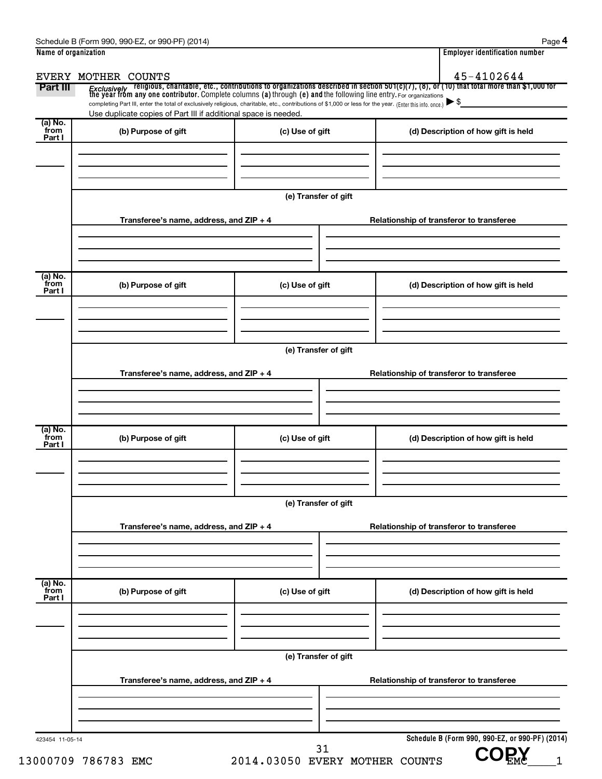| <i>Exclusively</i> religious, charitable, etc., contributions to organizations described in section 501(c)(7), (8), or (10) that total more than \$1,000 for<br>the year from any one contributor. Complete columns (a) through (e) and<br>completing Part III, enter the total of exclusively religious, charitable, etc., contributions of \$1,000 or less for the year. (Enter this info. once.) $\blacktriangleright$ \$<br>Use duplicate copies of Part III if additional space is needed.<br>(b) Purpose of gift<br>(c) Use of gift<br>(d) Description of how gift is held<br>(e) Transfer of gift<br>Transferee's name, address, and ZIP + 4<br>Relationship of transferor to transferee<br>(b) Purpose of gift<br>(c) Use of gift<br>(d) Description of how gift is held<br>(e) Transfer of gift<br>Transferee's name, address, and ZIP + 4<br>Relationship of transferor to transferee<br>(b) Purpose of gift<br>(c) Use of gift<br>(d) Description of how gift is held<br>(e) Transfer of gift<br>Transferee's name, address, and ZIP + 4<br>Relationship of transferor to transferee<br>(b) Purpose of gift<br>(c) Use of gift<br>(d) Description of how gift is held |  |
|----------------------------------------------------------------------------------------------------------------------------------------------------------------------------------------------------------------------------------------------------------------------------------------------------------------------------------------------------------------------------------------------------------------------------------------------------------------------------------------------------------------------------------------------------------------------------------------------------------------------------------------------------------------------------------------------------------------------------------------------------------------------------------------------------------------------------------------------------------------------------------------------------------------------------------------------------------------------------------------------------------------------------------------------------------------------------------------------------------------------------------------------------------------------------------|--|
| (a) No.                                                                                                                                                                                                                                                                                                                                                                                                                                                                                                                                                                                                                                                                                                                                                                                                                                                                                                                                                                                                                                                                                                                                                                          |  |
| from<br>Part I                                                                                                                                                                                                                                                                                                                                                                                                                                                                                                                                                                                                                                                                                                                                                                                                                                                                                                                                                                                                                                                                                                                                                                   |  |
|                                                                                                                                                                                                                                                                                                                                                                                                                                                                                                                                                                                                                                                                                                                                                                                                                                                                                                                                                                                                                                                                                                                                                                                  |  |
|                                                                                                                                                                                                                                                                                                                                                                                                                                                                                                                                                                                                                                                                                                                                                                                                                                                                                                                                                                                                                                                                                                                                                                                  |  |
|                                                                                                                                                                                                                                                                                                                                                                                                                                                                                                                                                                                                                                                                                                                                                                                                                                                                                                                                                                                                                                                                                                                                                                                  |  |
|                                                                                                                                                                                                                                                                                                                                                                                                                                                                                                                                                                                                                                                                                                                                                                                                                                                                                                                                                                                                                                                                                                                                                                                  |  |
| (a) No.<br>from<br>Part I                                                                                                                                                                                                                                                                                                                                                                                                                                                                                                                                                                                                                                                                                                                                                                                                                                                                                                                                                                                                                                                                                                                                                        |  |
|                                                                                                                                                                                                                                                                                                                                                                                                                                                                                                                                                                                                                                                                                                                                                                                                                                                                                                                                                                                                                                                                                                                                                                                  |  |
| (a) No.<br>from<br>Part I                                                                                                                                                                                                                                                                                                                                                                                                                                                                                                                                                                                                                                                                                                                                                                                                                                                                                                                                                                                                                                                                                                                                                        |  |
|                                                                                                                                                                                                                                                                                                                                                                                                                                                                                                                                                                                                                                                                                                                                                                                                                                                                                                                                                                                                                                                                                                                                                                                  |  |
|                                                                                                                                                                                                                                                                                                                                                                                                                                                                                                                                                                                                                                                                                                                                                                                                                                                                                                                                                                                                                                                                                                                                                                                  |  |
|                                                                                                                                                                                                                                                                                                                                                                                                                                                                                                                                                                                                                                                                                                                                                                                                                                                                                                                                                                                                                                                                                                                                                                                  |  |
|                                                                                                                                                                                                                                                                                                                                                                                                                                                                                                                                                                                                                                                                                                                                                                                                                                                                                                                                                                                                                                                                                                                                                                                  |  |
|                                                                                                                                                                                                                                                                                                                                                                                                                                                                                                                                                                                                                                                                                                                                                                                                                                                                                                                                                                                                                                                                                                                                                                                  |  |
|                                                                                                                                                                                                                                                                                                                                                                                                                                                                                                                                                                                                                                                                                                                                                                                                                                                                                                                                                                                                                                                                                                                                                                                  |  |
|                                                                                                                                                                                                                                                                                                                                                                                                                                                                                                                                                                                                                                                                                                                                                                                                                                                                                                                                                                                                                                                                                                                                                                                  |  |
| (a) No.<br>from                                                                                                                                                                                                                                                                                                                                                                                                                                                                                                                                                                                                                                                                                                                                                                                                                                                                                                                                                                                                                                                                                                                                                                  |  |
| Part I                                                                                                                                                                                                                                                                                                                                                                                                                                                                                                                                                                                                                                                                                                                                                                                                                                                                                                                                                                                                                                                                                                                                                                           |  |
|                                                                                                                                                                                                                                                                                                                                                                                                                                                                                                                                                                                                                                                                                                                                                                                                                                                                                                                                                                                                                                                                                                                                                                                  |  |
| (e) Transfer of gift                                                                                                                                                                                                                                                                                                                                                                                                                                                                                                                                                                                                                                                                                                                                                                                                                                                                                                                                                                                                                                                                                                                                                             |  |
| Transferee's name, address, and ZIP + 4<br>Relationship of transferor to transferee                                                                                                                                                                                                                                                                                                                                                                                                                                                                                                                                                                                                                                                                                                                                                                                                                                                                                                                                                                                                                                                                                              |  |
|                                                                                                                                                                                                                                                                                                                                                                                                                                                                                                                                                                                                                                                                                                                                                                                                                                                                                                                                                                                                                                                                                                                                                                                  |  |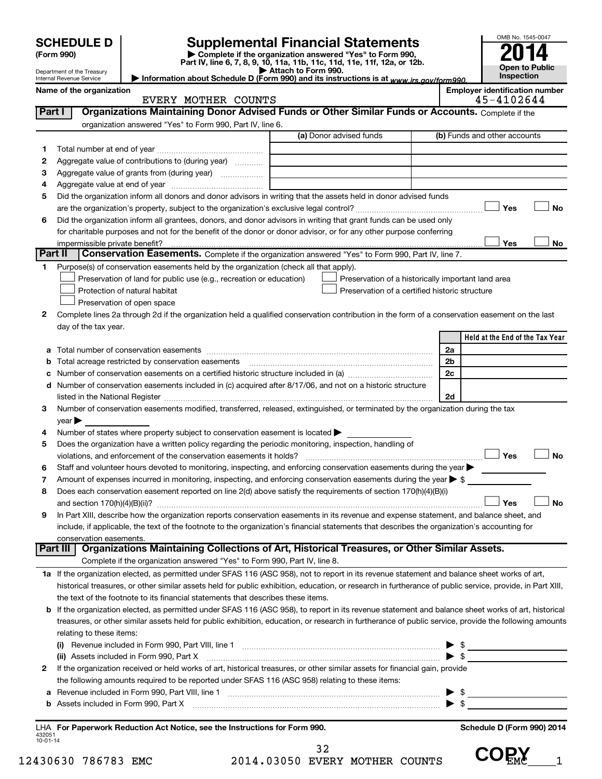|                    | <b>SCHEDULE D</b>                                      | <b>Supplemental Financial Statements</b>                                                                                                                                                                                                |                     |                                                    |                | OMB No. 1545-0047                                   |
|--------------------|--------------------------------------------------------|-----------------------------------------------------------------------------------------------------------------------------------------------------------------------------------------------------------------------------------------|---------------------|----------------------------------------------------|----------------|-----------------------------------------------------|
|                    | (Form 990)                                             | Complete if the organization answered "Yes" to Form 990,<br>Part IV, line 6, 7, 8, 9, 10, 11a, 11b, 11c, 11d, 11e, 11f, 12a, or 12b.                                                                                                    |                     |                                                    |                |                                                     |
|                    | Department of the Treasury<br>Internal Revenue Service | Information about Schedule D (Form 990) and its instructions is at www.irs.gov/form990.                                                                                                                                                 | Attach to Form 990. |                                                    |                | Open to Public<br>Inspection                        |
|                    | Name of the organization                               | EVERY MOTHER COUNTS                                                                                                                                                                                                                     |                     |                                                    |                | <b>Employer identification number</b><br>45-4102644 |
| Part I             |                                                        | Organizations Maintaining Donor Advised Funds or Other Similar Funds or Accounts. Complete if the                                                                                                                                       |                     |                                                    |                |                                                     |
|                    |                                                        | organization answered "Yes" to Form 990, Part IV, line 6.                                                                                                                                                                               |                     |                                                    |                |                                                     |
|                    |                                                        |                                                                                                                                                                                                                                         |                     | (a) Donor advised funds                            |                | (b) Funds and other accounts                        |
| 1                  |                                                        |                                                                                                                                                                                                                                         |                     |                                                    |                |                                                     |
| 2                  |                                                        | Aggregate value of contributions to (during year)                                                                                                                                                                                       |                     |                                                    |                |                                                     |
| 3                  |                                                        | Aggregate value of grants from (during year)                                                                                                                                                                                            |                     |                                                    |                |                                                     |
| 4                  |                                                        |                                                                                                                                                                                                                                         |                     |                                                    |                |                                                     |
| 5                  |                                                        | Did the organization inform all donors and donor advisors in writing that the assets held in donor advised funds                                                                                                                        |                     |                                                    |                |                                                     |
|                    |                                                        |                                                                                                                                                                                                                                         |                     |                                                    |                | <b>No</b><br>Yes                                    |
| 6                  |                                                        | Did the organization inform all grantees, donors, and donor advisors in writing that grant funds can be used only<br>for charitable purposes and not for the benefit of the donor or donor advisor, or for any other purpose conferring |                     |                                                    |                |                                                     |
|                    | impermissible private benefit?                         |                                                                                                                                                                                                                                         |                     |                                                    |                | Yes<br>No                                           |
| Part II            |                                                        | Conservation Easements. Complete if the organization answered "Yes" to Form 990, Part IV, line 7.                                                                                                                                       |                     |                                                    |                |                                                     |
| 1.                 |                                                        | Purpose(s) of conservation easements held by the organization (check all that apply).                                                                                                                                                   |                     |                                                    |                |                                                     |
|                    |                                                        | Preservation of land for public use (e.g., recreation or education)                                                                                                                                                                     |                     | Preservation of a historically important land area |                |                                                     |
|                    |                                                        | Protection of natural habitat                                                                                                                                                                                                           |                     | Preservation of a certified historic structure     |                |                                                     |
|                    |                                                        | Preservation of open space                                                                                                                                                                                                              |                     |                                                    |                |                                                     |
| 2                  |                                                        | Complete lines 2a through 2d if the organization held a qualified conservation contribution in the form of a conservation easement on the last                                                                                          |                     |                                                    |                |                                                     |
|                    | day of the tax year.                                   |                                                                                                                                                                                                                                         |                     |                                                    |                |                                                     |
|                    |                                                        |                                                                                                                                                                                                                                         |                     |                                                    |                | Held at the End of the Tax Year                     |
| а                  |                                                        |                                                                                                                                                                                                                                         |                     |                                                    | 2a             |                                                     |
| b                  |                                                        |                                                                                                                                                                                                                                         |                     |                                                    | 2 <sub>b</sub> |                                                     |
| с                  |                                                        |                                                                                                                                                                                                                                         |                     |                                                    | 2c             |                                                     |
| d                  |                                                        | Number of conservation easements included in (c) acquired after 8/17/06, and not on a historic structure                                                                                                                                |                     |                                                    |                |                                                     |
|                    |                                                        |                                                                                                                                                                                                                                         |                     |                                                    | 2d             |                                                     |
| 3                  |                                                        | Number of conservation easements modified, transferred, released, extinguished, or terminated by the organization during the tax                                                                                                        |                     |                                                    |                |                                                     |
|                    | $year \blacktriangleright$                             |                                                                                                                                                                                                                                         |                     |                                                    |                |                                                     |
| 4<br>5             |                                                        | Number of states where property subject to conservation easement is located ><br>Does the organization have a written policy regarding the periodic monitoring, inspection, handling of                                                 |                     |                                                    |                |                                                     |
|                    |                                                        |                                                                                                                                                                                                                                         |                     |                                                    |                | Yes<br><b>No</b>                                    |
|                    |                                                        | Staff and volunteer hours devoted to monitoring, inspecting, and enforcing conservation easements during the year $\blacktriangleright$                                                                                                 |                     |                                                    |                |                                                     |
| 7                  |                                                        | Amount of expenses incurred in monitoring, inspecting, and enforcing conservation easements during the year $\blacktriangleright$ \$                                                                                                    |                     |                                                    |                |                                                     |
| 8                  |                                                        | Does each conservation easement reported on line 2(d) above satisfy the requirements of section 170(h)(4)(B)(i)                                                                                                                         |                     |                                                    |                |                                                     |
|                    |                                                        |                                                                                                                                                                                                                                         |                     |                                                    |                | Yes<br>No                                           |
| 9                  |                                                        | In Part XIII, describe how the organization reports conservation easements in its revenue and expense statement, and balance sheet, and                                                                                                 |                     |                                                    |                |                                                     |
|                    |                                                        | include, if applicable, the text of the footnote to the organization's financial statements that describes the organization's accounting for                                                                                            |                     |                                                    |                |                                                     |
|                    | conservation easements.                                |                                                                                                                                                                                                                                         |                     |                                                    |                |                                                     |
|                    |                                                        | Part III   Organizations Maintaining Collections of Art, Historical Treasures, or Other Similar Assets.                                                                                                                                 |                     |                                                    |                |                                                     |
|                    |                                                        | Complete if the organization answered "Yes" to Form 990, Part IV, line 8.                                                                                                                                                               |                     |                                                    |                |                                                     |
|                    |                                                        | 1a If the organization elected, as permitted under SFAS 116 (ASC 958), not to report in its revenue statement and balance sheet works of art,                                                                                           |                     |                                                    |                |                                                     |
|                    |                                                        | historical treasures, or other similar assets held for public exhibition, education, or research in furtherance of public service, provide, in Part XIII,                                                                               |                     |                                                    |                |                                                     |
|                    |                                                        | the text of the footnote to its financial statements that describes these items.                                                                                                                                                        |                     |                                                    |                |                                                     |
| b                  |                                                        | If the organization elected, as permitted under SFAS 116 (ASC 958), to report in its revenue statement and balance sheet works of art, historical                                                                                       |                     |                                                    |                |                                                     |
|                    |                                                        | treasures, or other similar assets held for public exhibition, education, or research in furtherance of public service, provide the following amounts                                                                                   |                     |                                                    |                |                                                     |
|                    | relating to these items:                               |                                                                                                                                                                                                                                         |                     |                                                    |                |                                                     |
|                    |                                                        |                                                                                                                                                                                                                                         |                     |                                                    | - \$           |                                                     |
|                    |                                                        |                                                                                                                                                                                                                                         |                     |                                                    |                |                                                     |
| 2                  |                                                        | If the organization received or held works of art, historical treasures, or other similar assets for financial gain, provide                                                                                                            |                     |                                                    |                |                                                     |
|                    |                                                        | the following amounts required to be reported under SFAS 116 (ASC 958) relating to these items:                                                                                                                                         |                     |                                                    |                |                                                     |
| а                  |                                                        |                                                                                                                                                                                                                                         |                     |                                                    | -\$            |                                                     |
|                    |                                                        |                                                                                                                                                                                                                                         |                     |                                                    |                |                                                     |
|                    |                                                        | LHA For Paperwork Reduction Act Notice, see the Instructions for Form 990.                                                                                                                                                              |                     |                                                    |                | Schedule D (Form 990) 2014                          |
| 432051<br>10-01-14 |                                                        |                                                                                                                                                                                                                                         |                     |                                                    |                |                                                     |

12430630 786783 EMC 2014.03050 EVERY MOTHER COUNTS EMC\_\_\_\_1 32

 $\mathbf{COR}_{\mathbb{M}\ell_{\text{max}}^{2}}$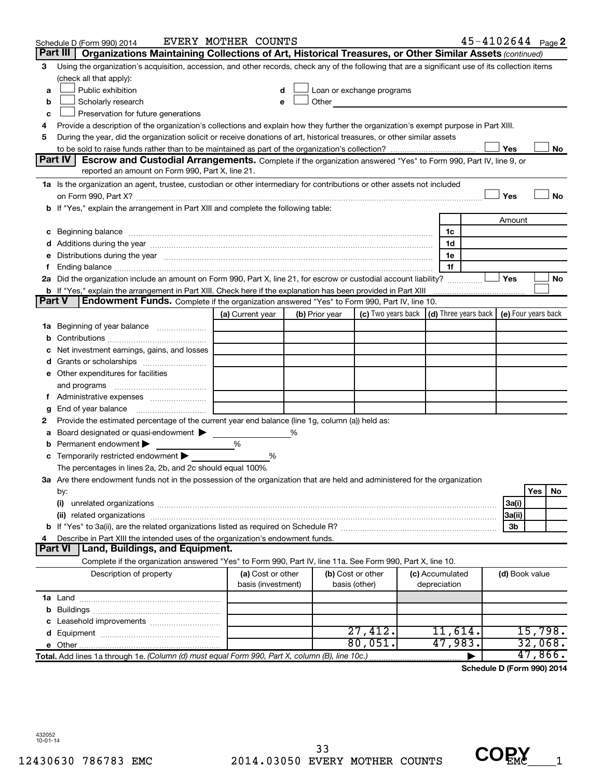|               | Schedule D (Form 990) 2014                                                                                                                                                                                                     | EVERY MOTHER COUNTS                     |   |                |                                                                                                                                                                                                                                |                                 | $45 - 4102644$ Page 2 |                |         |    |
|---------------|--------------------------------------------------------------------------------------------------------------------------------------------------------------------------------------------------------------------------------|-----------------------------------------|---|----------------|--------------------------------------------------------------------------------------------------------------------------------------------------------------------------------------------------------------------------------|---------------------------------|-----------------------|----------------|---------|----|
|               | Part III<br>Organizations Maintaining Collections of Art, Historical Treasures, or Other Similar Assets (continued)                                                                                                            |                                         |   |                |                                                                                                                                                                                                                                |                                 |                       |                |         |    |
| 3             | Using the organization's acquisition, accession, and other records, check any of the following that are a significant use of its collection items                                                                              |                                         |   |                |                                                                                                                                                                                                                                |                                 |                       |                |         |    |
|               | (check all that apply):                                                                                                                                                                                                        |                                         |   |                |                                                                                                                                                                                                                                |                                 |                       |                |         |    |
| a             | Public exhibition                                                                                                                                                                                                              | d                                       |   |                | Loan or exchange programs                                                                                                                                                                                                      |                                 |                       |                |         |    |
| b             | Scholarly research                                                                                                                                                                                                             |                                         |   |                | Other and the control of the control of the control of the control of the control of the control of the control of the control of the control of the control of the control of the control of the control of the control of th |                                 |                       |                |         |    |
| c             | Preservation for future generations                                                                                                                                                                                            |                                         |   |                |                                                                                                                                                                                                                                |                                 |                       |                |         |    |
| 4             | Provide a description of the organization's collections and explain how they further the organization's exempt purpose in Part XIII.                                                                                           |                                         |   |                |                                                                                                                                                                                                                                |                                 |                       |                |         |    |
| 5             | During the year, did the organization solicit or receive donations of art, historical treasures, or other similar assets                                                                                                       |                                         |   |                |                                                                                                                                                                                                                                |                                 |                       |                |         |    |
|               |                                                                                                                                                                                                                                |                                         |   |                |                                                                                                                                                                                                                                |                                 |                       | Yes            |         | No |
|               | <b>Part IV</b><br><b>Escrow and Custodial Arrangements.</b> Complete if the organization answered "Yes" to Form 990, Part IV, line 9, or                                                                                       |                                         |   |                |                                                                                                                                                                                                                                |                                 |                       |                |         |    |
|               | reported an amount on Form 990, Part X, line 21.                                                                                                                                                                               |                                         |   |                |                                                                                                                                                                                                                                |                                 |                       |                |         |    |
|               | 1a Is the organization an agent, trustee, custodian or other intermediary for contributions or other assets not included                                                                                                       |                                         |   |                |                                                                                                                                                                                                                                |                                 |                       |                |         |    |
|               |                                                                                                                                                                                                                                |                                         |   |                |                                                                                                                                                                                                                                |                                 |                       | Yes            |         | No |
| b             | If "Yes," explain the arrangement in Part XIII and complete the following table:                                                                                                                                               |                                         |   |                |                                                                                                                                                                                                                                |                                 |                       |                |         |    |
|               |                                                                                                                                                                                                                                |                                         |   |                |                                                                                                                                                                                                                                |                                 |                       | Amount         |         |    |
| c             | Beginning balance manufacture contracts and contracts and contracts and contracts and contracts and contracts and contracts and contracts and contracts and contracts and contracts and contracts and contracts and contracts  |                                         |   |                |                                                                                                                                                                                                                                | 1c                              |                       |                |         |    |
|               |                                                                                                                                                                                                                                |                                         |   |                |                                                                                                                                                                                                                                | 1d                              |                       |                |         |    |
|               | Distributions during the year measurement contains and all the year measurement of the state of the state of the state of the state of the state of the state of the state of the state of the state of the state of the state |                                         |   |                |                                                                                                                                                                                                                                | 1e                              |                       |                |         |    |
|               | 2a Did the organization include an amount on Form 990, Part X, line 21, for escrow or custodial account liability?                                                                                                             |                                         |   |                |                                                                                                                                                                                                                                | 1f                              |                       | Yes            |         | No |
|               | <b>b</b> If "Yes," explain the arrangement in Part XIII. Check here if the explanation has been provided in Part XIII                                                                                                          |                                         |   |                |                                                                                                                                                                                                                                |                                 |                       |                |         |    |
| <b>Part V</b> | Endowment Funds. Complete if the organization answered "Yes" to Form 990, Part IV, line 10.                                                                                                                                    |                                         |   |                |                                                                                                                                                                                                                                |                                 |                       |                |         |    |
|               |                                                                                                                                                                                                                                | (a) Current year                        |   | (b) Prior year | (c) Two years back $\vert$ (d) Three years back $\vert$ (e) Four years back                                                                                                                                                    |                                 |                       |                |         |    |
| ٦а            | Beginning of year balance                                                                                                                                                                                                      |                                         |   |                |                                                                                                                                                                                                                                |                                 |                       |                |         |    |
|               |                                                                                                                                                                                                                                |                                         |   |                |                                                                                                                                                                                                                                |                                 |                       |                |         |    |
|               | Net investment earnings, gains, and losses                                                                                                                                                                                     |                                         |   |                |                                                                                                                                                                                                                                |                                 |                       |                |         |    |
|               | Grants or scholarships                                                                                                                                                                                                         |                                         |   |                |                                                                                                                                                                                                                                |                                 |                       |                |         |    |
|               | e Other expenditures for facilities                                                                                                                                                                                            |                                         |   |                |                                                                                                                                                                                                                                |                                 |                       |                |         |    |
|               | and programs                                                                                                                                                                                                                   |                                         |   |                |                                                                                                                                                                                                                                |                                 |                       |                |         |    |
|               |                                                                                                                                                                                                                                |                                         |   |                |                                                                                                                                                                                                                                |                                 |                       |                |         |    |
|               | End of year balance                                                                                                                                                                                                            |                                         |   |                |                                                                                                                                                                                                                                |                                 |                       |                |         |    |
| 2             | Provide the estimated percentage of the current year end balance (line 1g, column (a)) held as:                                                                                                                                |                                         |   |                |                                                                                                                                                                                                                                |                                 |                       |                |         |    |
|               | Board designated or quasi-endowment                                                                                                                                                                                            |                                         | % |                |                                                                                                                                                                                                                                |                                 |                       |                |         |    |
|               | Permanent endowment                                                                                                                                                                                                            | %                                       |   |                |                                                                                                                                                                                                                                |                                 |                       |                |         |    |
| с             | Temporarily restricted endowment                                                                                                                                                                                               | %                                       |   |                |                                                                                                                                                                                                                                |                                 |                       |                |         |    |
|               | The percentages in lines 2a, 2b, and 2c should equal 100%.                                                                                                                                                                     |                                         |   |                |                                                                                                                                                                                                                                |                                 |                       |                |         |    |
|               | 3a Are there endowment funds not in the possession of the organization that are held and administered for the organization                                                                                                     |                                         |   |                |                                                                                                                                                                                                                                |                                 |                       |                |         |    |
|               | by:                                                                                                                                                                                                                            |                                         |   |                |                                                                                                                                                                                                                                |                                 |                       |                | Yes     | No |
|               | (i)                                                                                                                                                                                                                            |                                         |   |                |                                                                                                                                                                                                                                |                                 |                       | 3a(i)          |         |    |
|               | (ii) related organizations                                                                                                                                                                                                     |                                         |   |                |                                                                                                                                                                                                                                |                                 |                       | 3a(ii)         |         |    |
|               |                                                                                                                                                                                                                                |                                         |   |                |                                                                                                                                                                                                                                |                                 |                       | 3b             |         |    |
|               | Describe in Part XIII the intended uses of the organization's endowment funds.                                                                                                                                                 |                                         |   |                |                                                                                                                                                                                                                                |                                 |                       |                |         |    |
|               | Land, Buildings, and Equipment.<br>Part VI                                                                                                                                                                                     |                                         |   |                |                                                                                                                                                                                                                                |                                 |                       |                |         |    |
|               | Complete if the organization answered "Yes" to Form 990, Part IV, line 11a. See Form 990, Part X, line 10.                                                                                                                     |                                         |   |                |                                                                                                                                                                                                                                |                                 |                       |                |         |    |
|               | Description of property                                                                                                                                                                                                        | (a) Cost or other<br>basis (investment) |   |                | (b) Cost or other<br>basis (other)                                                                                                                                                                                             | (c) Accumulated<br>depreciation |                       | (d) Book value |         |    |
|               |                                                                                                                                                                                                                                |                                         |   |                |                                                                                                                                                                                                                                |                                 |                       |                |         |    |
| b             |                                                                                                                                                                                                                                |                                         |   |                |                                                                                                                                                                                                                                |                                 |                       |                |         |    |
|               |                                                                                                                                                                                                                                |                                         |   |                |                                                                                                                                                                                                                                |                                 |                       |                |         |    |
|               |                                                                                                                                                                                                                                |                                         |   |                | 27,412.                                                                                                                                                                                                                        | 11,614.                         |                       |                | 15,798. |    |
|               |                                                                                                                                                                                                                                |                                         |   |                | 80,051.                                                                                                                                                                                                                        | 47,983.                         |                       |                | 32,068. |    |
|               | Total. Add lines 1a through 1e. (Column (d) must equal Form 990, Part X, column (B), line 10c.)                                                                                                                                |                                         |   |                |                                                                                                                                                                                                                                |                                 |                       |                | 47,866. |    |

**Schedule D (Form 990) 2014**

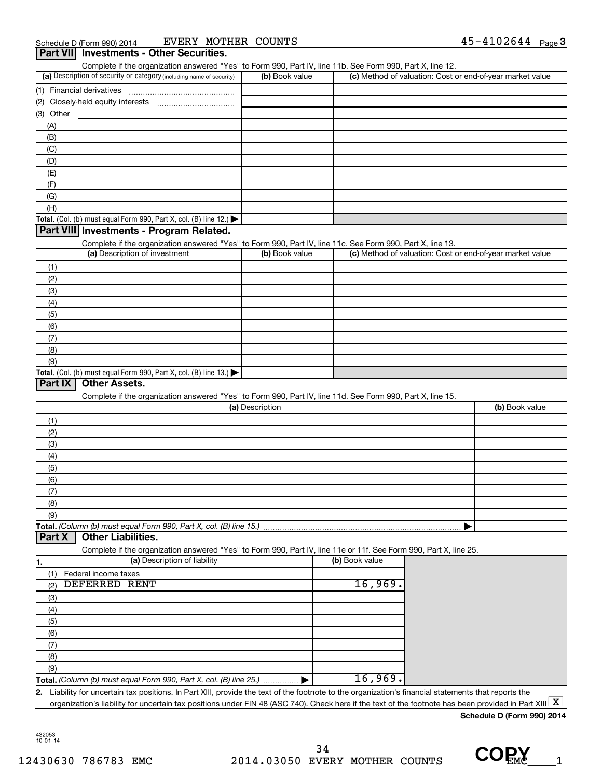| Complete if the organization answered "Yes" to Form 990, Part IV, line 11b. See Form 990, Part X, line 12.        |                 |                |                                                           |
|-------------------------------------------------------------------------------------------------------------------|-----------------|----------------|-----------------------------------------------------------|
| (a) Description of security or category (including name of security)                                              | (b) Book value  |                | (c) Method of valuation: Cost or end-of-year market value |
| (1) Financial derivatives                                                                                         |                 |                |                                                           |
| (2)                                                                                                               |                 |                |                                                           |
| (3) Other                                                                                                         |                 |                |                                                           |
| (A)                                                                                                               |                 |                |                                                           |
| (B)                                                                                                               |                 |                |                                                           |
| (C)                                                                                                               |                 |                |                                                           |
| (D)                                                                                                               |                 |                |                                                           |
| (E)                                                                                                               |                 |                |                                                           |
| (F)                                                                                                               |                 |                |                                                           |
| (G)                                                                                                               |                 |                |                                                           |
| (H)                                                                                                               |                 |                |                                                           |
|                                                                                                                   |                 |                |                                                           |
| Total. (Col. (b) must equal Form 990, Part X, col. (B) line 12.)                                                  |                 |                |                                                           |
| Part VIII Investments - Program Related.                                                                          |                 |                |                                                           |
| Complete if the organization answered "Yes" to Form 990, Part IV, line 11c. See Form 990, Part X, line 13.        |                 |                |                                                           |
| (a) Description of investment                                                                                     | (b) Book value  |                | (c) Method of valuation: Cost or end-of-year market value |
| (1)                                                                                                               |                 |                |                                                           |
| (2)                                                                                                               |                 |                |                                                           |
| (3)                                                                                                               |                 |                |                                                           |
| (4)                                                                                                               |                 |                |                                                           |
| (5)                                                                                                               |                 |                |                                                           |
| (6)                                                                                                               |                 |                |                                                           |
|                                                                                                                   |                 |                |                                                           |
|                                                                                                                   |                 |                |                                                           |
| (7)                                                                                                               |                 |                |                                                           |
| (8)<br>(9)<br><b>Other Assets.</b>                                                                                |                 |                |                                                           |
| Complete if the organization answered "Yes" to Form 990, Part IV, line 11d. See Form 990, Part X, line 15.        | (a) Description |                | (b) Book value                                            |
| Total. (Col. (b) must equal Form 990, Part X, col. (B) line 13.) $\blacktriangleright$<br>Part IX<br>(1)          |                 |                |                                                           |
| (2)                                                                                                               |                 |                |                                                           |
| (3)                                                                                                               |                 |                |                                                           |
|                                                                                                                   |                 |                |                                                           |
| (4)                                                                                                               |                 |                |                                                           |
| (5)                                                                                                               |                 |                |                                                           |
| (6)                                                                                                               |                 |                |                                                           |
| (7)                                                                                                               |                 |                |                                                           |
| (8)                                                                                                               |                 |                |                                                           |
| (9)<br><b>Other Liabilities.</b>                                                                                  |                 |                |                                                           |
| Complete if the organization answered "Yes" to Form 990, Part IV, line 11e or 11f. See Form 990, Part X, line 25. |                 |                |                                                           |
| (a) Description of liability                                                                                      |                 | (b) Book value |                                                           |
| Federal income taxes<br>(1)                                                                                       |                 |                |                                                           |
| <b>DEFERRED RENT</b><br>(2)                                                                                       |                 | 16,969.        |                                                           |
|                                                                                                                   |                 |                |                                                           |
| (3)                                                                                                               |                 |                |                                                           |
| (4)                                                                                                               |                 |                |                                                           |
| Total. (Column (b) must equal Form 990, Part X, col. (B) line 15.)<br>Part X<br>(5)                               |                 |                |                                                           |
| (6)                                                                                                               |                 |                |                                                           |
| (7)                                                                                                               |                 |                |                                                           |
| (8)                                                                                                               |                 |                |                                                           |
| (9)<br>Total. (Column (b) must equal Form 990, Part X, col. (B) line 25.)                                         |                 | 16,969.        |                                                           |

**Schedule D (Form 990) 2014**

432053 10-01-14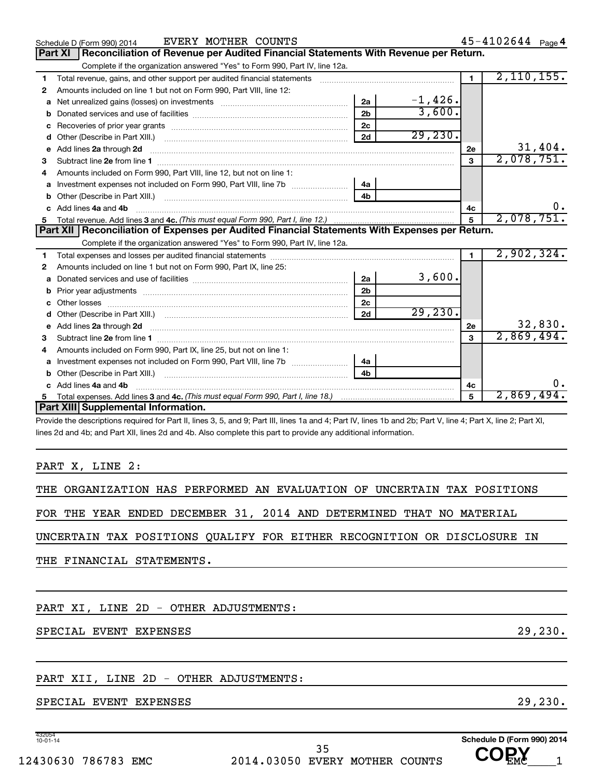|                | Schedule D (Form 990) 2014                                                                                                                                   | EVERY MOTHER COUNTS |                |           |                | $45 - 4102644$ Page 4 |
|----------------|--------------------------------------------------------------------------------------------------------------------------------------------------------------|---------------------|----------------|-----------|----------------|-----------------------|
| <b>Part XI</b> | Reconciliation of Revenue per Audited Financial Statements With Revenue per Return.                                                                          |                     |                |           |                |                       |
|                | Complete if the organization answered "Yes" to Form 990, Part IV, line 12a.                                                                                  |                     |                |           |                |                       |
| 1              | Total revenue, gains, and other support per audited financial statements [111] [11] Total revenue, gains, and other support per audited financial statements |                     |                |           | $\blacksquare$ | 2,110,155.            |
| 2              | Amounts included on line 1 but not on Form 990, Part VIII, line 12:                                                                                          |                     |                |           |                |                       |
| a              |                                                                                                                                                              |                     | 2a             | $-1,426.$ |                |                       |
|                |                                                                                                                                                              |                     | 2 <sub>b</sub> | 3,600.    |                |                       |
|                |                                                                                                                                                              |                     | 2c             |           |                |                       |
|                |                                                                                                                                                              |                     | 2d             | 29, 230.  |                |                       |
| е              | Add lines 2a through 2d                                                                                                                                      |                     |                |           | 2e             | 31,404.               |
| З              |                                                                                                                                                              |                     |                |           | 3              | 2,078,751.            |
| 4              | Amounts included on Form 990. Part VIII. line 12, but not on line 1:                                                                                         |                     |                |           |                |                       |
|                | Investment expenses not included on Form 990, Part VIII, line 7b [[[[[[[[[[[[[[[[[[[[[[]]]]]]]]                                                              |                     | 4a             |           |                |                       |
|                |                                                                                                                                                              |                     | 4 <sub>h</sub> |           |                |                       |
| C.             | Add lines 4a and 4b                                                                                                                                          |                     |                |           | 4c             |                       |
|                |                                                                                                                                                              |                     |                |           | $\mathbf{5}$   | 2,078,751.            |
|                |                                                                                                                                                              |                     |                |           |                |                       |
|                | Part XII   Reconciliation of Expenses per Audited Financial Statements With Expenses per Return.                                                             |                     |                |           |                |                       |
|                | Complete if the organization answered "Yes" to Form 990, Part IV, line 12a.                                                                                  |                     |                |           |                |                       |
| 1.             |                                                                                                                                                              |                     |                |           |                | 2,902,324.            |
| 2              | Amounts included on line 1 but not on Form 990, Part IX, line 25:                                                                                            |                     |                |           |                |                       |
| a              |                                                                                                                                                              |                     | 2a             | 3,600.    |                |                       |
| b              |                                                                                                                                                              |                     | 2 <sub>b</sub> |           |                |                       |
|                |                                                                                                                                                              |                     | 2c             |           |                |                       |
| d              |                                                                                                                                                              |                     | 2d             | 29, 230.  |                |                       |
|                | e Add lines 2a through 2d                                                                                                                                    |                     |                |           | 2e             | 32,830.               |
| з              |                                                                                                                                                              |                     |                |           | 3              | 2,869,494.            |
| 4              | Amounts included on Form 990, Part IX, line 25, but not on line 1:                                                                                           |                     |                |           |                |                       |
| a              |                                                                                                                                                              |                     | 4a             |           |                |                       |
| b              | Other (Describe in Part XIII.)                                                                                                                               |                     | 4 <sub>b</sub> |           |                |                       |
|                | c Add lines 4a and 4b                                                                                                                                        |                     |                |           | 4c             | υ.                    |
| 5              | Part XIII Supplemental Information.                                                                                                                          |                     |                |           | 5              | 2,869,494.            |

Provide the descriptions required for Part II, lines 3, 5, and 9; Part III, lines 1a and 4; Part IV, lines 1b and 2b; Part V, line 4; Part X, line 2; Part XI, lines 2d and 4b; and Part XII, lines 2d and 4b. Also complete this part to provide any additional information.

#### PART X, LINE 2:

|  | THE ORGANIZATION HAS PERFORMED AN EVALUATION OF UNCERTAIN TAX POSITIONS |  |  |  |  |  |  |  |  |
|--|-------------------------------------------------------------------------|--|--|--|--|--|--|--|--|
|--|-------------------------------------------------------------------------|--|--|--|--|--|--|--|--|

FOR THE YEAR ENDED DECEMBER 31, 2014 AND DETERMINED THAT NO MATERIAL

UNCERTAIN TAX POSITIONS QUALIFY FOR EITHER RECOGNITION OR DISCLOSURE IN

THE FINANCIAL STATEMENTS.

PART XI, LINE 2D - OTHER ADJUSTMENTS:

#### SPECIAL EVENT EXPENSES 29, 230.

### PART XII, LINE 2D - OTHER ADJUSTMENTS:

SPECIAL EVENT EXPENSES 29, 230.

432054 10-01-14

12430630 786783 EMC 2014.03050 EVERY MOTHER COUNTS UUEMC 1 35

**Schedule D (Form 990) 2014**

 **COPY**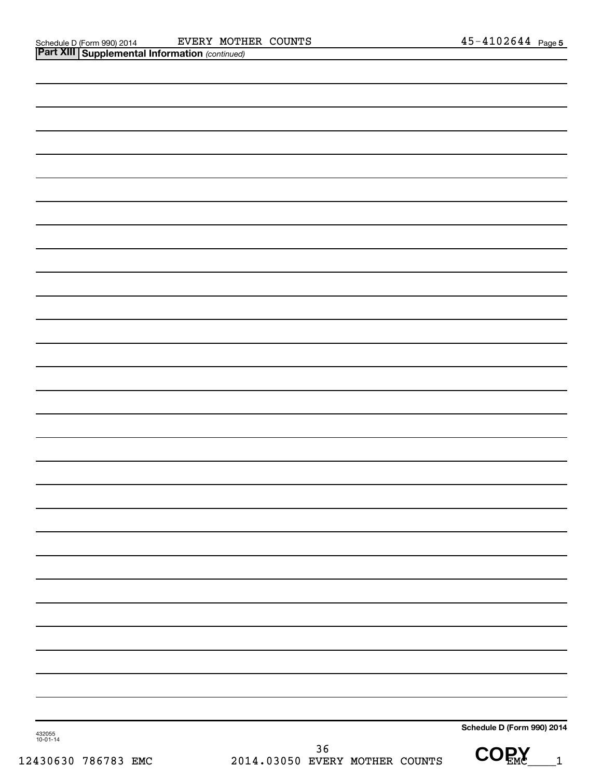| 432055<br>10-01-14 |                                        | Schedule D (Form 990) 2014 |
|--------------------|----------------------------------------|----------------------------|
| 430630 786783 EMC  | $36$<br>2014.03050 EVERY MOTHER COUNTS | $\text{COR}_{\text{EM}}$   |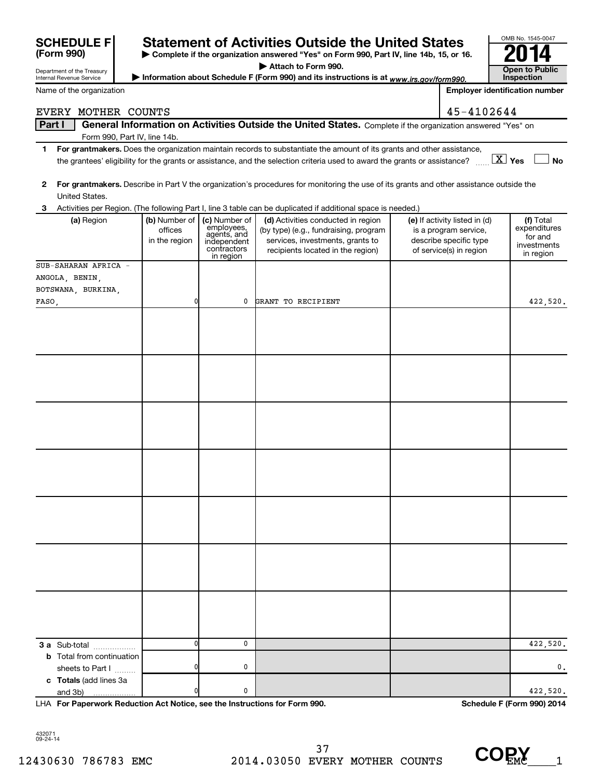| 432071<br>$09 - 24 - 14$ |  |
|--------------------------|--|
| 12430630 786783 EN       |  |

**SCHEDULE F** Statement of Activities Outside the United States  $\frac{6001845}{2014}$ 

**| Complete if the organization answered "Yes" on Form 990, Part IV, line 14b, 15, or 16. | Attach to Form 990.**

|       | United States.                                               |                                           |                                                                                       | 2 For grantmakers. Describe in Part V the organization's procedures for monitoring the use of its grants and other assistance outside the            |                                                                                                             |                                                                  |
|-------|--------------------------------------------------------------|-------------------------------------------|---------------------------------------------------------------------------------------|------------------------------------------------------------------------------------------------------------------------------------------------------|-------------------------------------------------------------------------------------------------------------|------------------------------------------------------------------|
| 3     |                                                              |                                           |                                                                                       | Activities per Region. (The following Part I, line 3 table can be duplicated if additional space is needed.)                                         |                                                                                                             |                                                                  |
|       | (a) Region                                                   | (b) Number of<br>offices<br>in the region | (c) Number of<br>employees,<br>agents, and<br>independent<br>contractors<br>in region | (d) Activities conducted in region<br>(by type) (e.g., fundraising, program<br>services, investments, grants to<br>recipients located in the region) | (e) If activity listed in (d)<br>is a program service,<br>describe specific type<br>of service(s) in region | (f) Total<br>expenditures<br>for and<br>investments<br>in region |
|       | SUB-SAHARAN AFRICA -<br>ANGOLA, BENIN,<br>BOTSWANA, BURKINA, | 0                                         | 0                                                                                     | GRANT TO RECIPIENT                                                                                                                                   |                                                                                                             |                                                                  |
| FASO, |                                                              |                                           |                                                                                       |                                                                                                                                                      |                                                                                                             | 422,520.                                                         |
|       |                                                              |                                           |                                                                                       |                                                                                                                                                      |                                                                                                             |                                                                  |
|       |                                                              |                                           |                                                                                       |                                                                                                                                                      |                                                                                                             |                                                                  |
|       |                                                              |                                           |                                                                                       |                                                                                                                                                      |                                                                                                             |                                                                  |
|       |                                                              |                                           |                                                                                       |                                                                                                                                                      |                                                                                                             |                                                                  |
|       |                                                              |                                           |                                                                                       |                                                                                                                                                      |                                                                                                             |                                                                  |
|       |                                                              |                                           |                                                                                       |                                                                                                                                                      |                                                                                                             |                                                                  |
|       | 3 a Sub-total                                                | 0                                         | 0                                                                                     |                                                                                                                                                      |                                                                                                             | 422,520.                                                         |
|       | <b>b</b> Total from continuation                             |                                           |                                                                                       |                                                                                                                                                      |                                                                                                             |                                                                  |
|       | sheets to Part I                                             | 0                                         | 0                                                                                     |                                                                                                                                                      |                                                                                                             | $\mathbf{0}$ .                                                   |
|       | c Totals (add lines 3a                                       |                                           |                                                                                       |                                                                                                                                                      |                                                                                                             |                                                                  |
|       | and 3b)<br>.                                                 | 0                                         | 0                                                                                     |                                                                                                                                                      |                                                                                                             | 422,520.                                                         |

| Department of the Treasury<br><b>Internal Revenue Service</b> | <b>P</b> Allach to Form 990.<br>► Information about Schedule F (Form 990) and its instructions is at www.irs.gov/form990.  |                |                                                            |  |
|---------------------------------------------------------------|----------------------------------------------------------------------------------------------------------------------------|----------------|------------------------------------------------------------|--|
| Name of the organization                                      |                                                                                                                            |                | <b>Inspection</b><br><b>Employer identification number</b> |  |
| <b>F.VERY</b>                                                 | MOTHER COUNTS                                                                                                              | $45 - 4102644$ |                                                            |  |
| Part I                                                        | General Information on Activities Outside the United States. Complete if the organization answered "Yes" on                |                |                                                            |  |
|                                                               | Form 990, Part IV, line 14b.                                                                                               |                |                                                            |  |
|                                                               | For grantmakers. Does the organization maintain records to substantiate the amount of its grants and other assistance,     |                |                                                            |  |
|                                                               | the grantees' eligibility for the grants or assistance, and the selection criteria used to award the grants or assistance? |                | $\boxed{\text{X}}$ Yes<br>No                               |  |



OMB No. 1545-0047





 **COPY**

| (Form 990) |  |  |
|------------|--|--|
|            |  |  |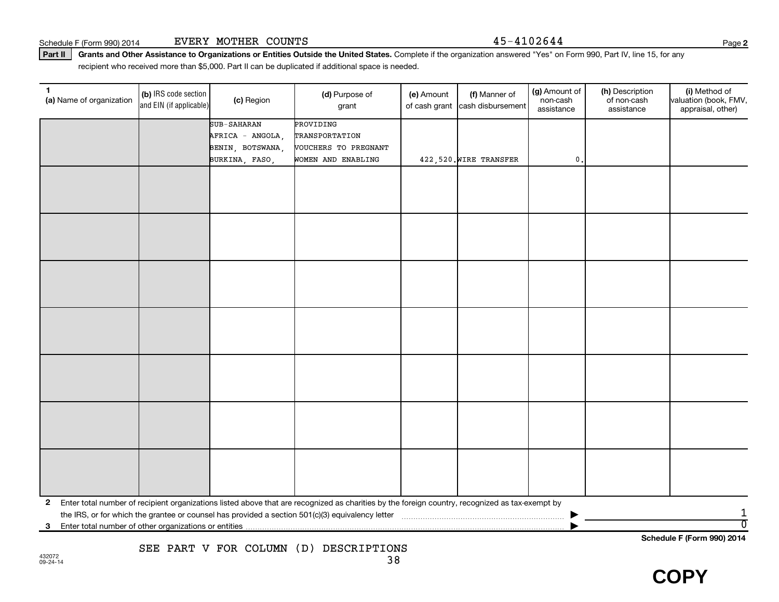Schedule F (Form 990) 2014 Page EVERY MOTHER COUNTS 45-4102644

Part II | Grants and Other Assistance to Organizations or Entities Outside the United States. Complete if the organization answered "Yes" on Form 990, Part IV, line 15, for any recipient who received more than \$5,000. Part II can be duplicated if additional space is needed.

| 1<br>(a) Name of organization | (b) IRS code section<br>and EIN (if applicable) | (c) Region                           | (d) Purpose of<br>grant                                                                                                                         | (e) Amount<br>of cash grant | (f) Manner of<br>cash disbursement | (g) Amount of<br>non-cash<br>assistance | (h) Description<br>of non-cash<br>assistance | (i) Method of<br>valuation (book, FMV,<br>appraisal, other) |
|-------------------------------|-------------------------------------------------|--------------------------------------|-------------------------------------------------------------------------------------------------------------------------------------------------|-----------------------------|------------------------------------|-----------------------------------------|----------------------------------------------|-------------------------------------------------------------|
|                               |                                                 | SUB-SAHARAN                          | PROVIDING                                                                                                                                       |                             |                                    |                                         |                                              |                                                             |
|                               |                                                 | AFRICA - ANGOLA,<br>BENIN, BOTSWANA, | TRANSPORTATION<br>VOUCHERS TO PREGNANT                                                                                                          |                             |                                    |                                         |                                              |                                                             |
|                               |                                                 | BURKINA, FASO,                       | WOMEN AND ENABLING                                                                                                                              |                             | 422,520. WIRE TRANSFER             | $\mathfrak{o}$ .                        |                                              |                                                             |
|                               |                                                 |                                      |                                                                                                                                                 |                             |                                    |                                         |                                              |                                                             |
|                               |                                                 |                                      |                                                                                                                                                 |                             |                                    |                                         |                                              |                                                             |
|                               |                                                 |                                      |                                                                                                                                                 |                             |                                    |                                         |                                              |                                                             |
|                               |                                                 |                                      |                                                                                                                                                 |                             |                                    |                                         |                                              |                                                             |
|                               |                                                 |                                      |                                                                                                                                                 |                             |                                    |                                         |                                              |                                                             |
|                               |                                                 |                                      |                                                                                                                                                 |                             |                                    |                                         |                                              |                                                             |
|                               |                                                 |                                      |                                                                                                                                                 |                             |                                    |                                         |                                              |                                                             |
|                               |                                                 |                                      |                                                                                                                                                 |                             |                                    |                                         |                                              |                                                             |
|                               |                                                 |                                      |                                                                                                                                                 |                             |                                    |                                         |                                              |                                                             |
|                               |                                                 |                                      |                                                                                                                                                 |                             |                                    |                                         |                                              |                                                             |
|                               |                                                 |                                      |                                                                                                                                                 |                             |                                    |                                         |                                              |                                                             |
|                               |                                                 |                                      |                                                                                                                                                 |                             |                                    |                                         |                                              |                                                             |
|                               |                                                 |                                      |                                                                                                                                                 |                             |                                    |                                         |                                              |                                                             |
|                               |                                                 |                                      |                                                                                                                                                 |                             |                                    |                                         |                                              |                                                             |
|                               |                                                 |                                      |                                                                                                                                                 |                             |                                    |                                         |                                              |                                                             |
|                               |                                                 |                                      |                                                                                                                                                 |                             |                                    |                                         |                                              |                                                             |
|                               |                                                 |                                      |                                                                                                                                                 |                             |                                    |                                         |                                              |                                                             |
|                               |                                                 |                                      |                                                                                                                                                 |                             |                                    |                                         |                                              |                                                             |
|                               |                                                 |                                      |                                                                                                                                                 |                             |                                    |                                         |                                              |                                                             |
|                               |                                                 |                                      |                                                                                                                                                 |                             |                                    |                                         |                                              |                                                             |
|                               |                                                 |                                      |                                                                                                                                                 |                             |                                    |                                         |                                              |                                                             |
| $\mathbf{2}$                  |                                                 |                                      | Enter total number of recipient organizations listed above that are recognized as charities by the foreign country, recognized as tax-exempt by |                             |                                    |                                         |                                              |                                                             |
| 3                             |                                                 |                                      |                                                                                                                                                 |                             |                                    |                                         |                                              | $\overline{0}$                                              |
|                               |                                                 |                                      |                                                                                                                                                 |                             |                                    |                                         | $\sim$ $\sim$ $\sim$ $\sim$ $\sim$ $\sim$    |                                                             |

**Schedule F (Form 990) 2014**

 **COPY**

**2**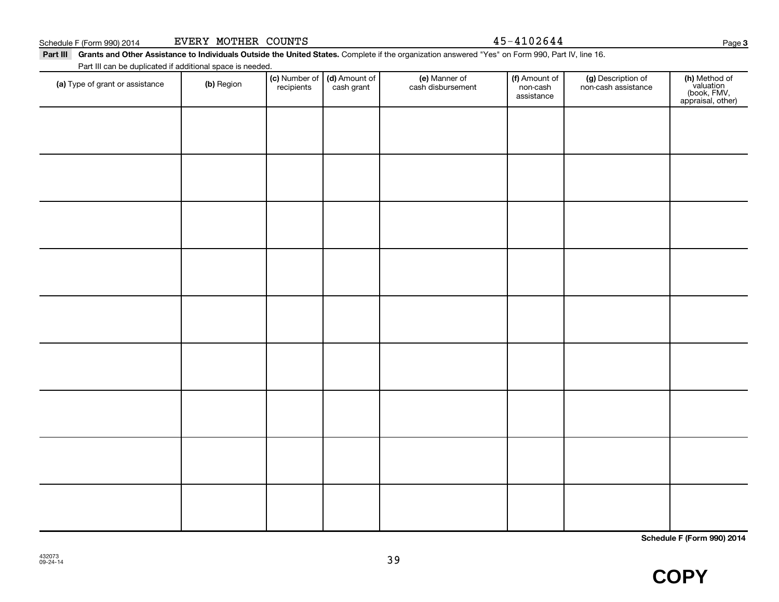$45 - 4102644$ 

**3**

Part III Grants and Other Assistance to Individuals Outside the United States. Complete if the organization answered "Yes" on Form 990, Part IV, line 16. Part III can be duplicated if additional space is needed.

| (a) Type of grant or assistance | (b) Region | (c) Number of (d) Amount of<br>recipients cash grant | (e) Manner of<br>cash disbursement | (f) Amount of<br>non-cash<br>assistance | (g) Description of<br>non-cash assistance | (h) Method of<br>valuation<br>(book, FMV,<br>appraisal, other) |
|---------------------------------|------------|------------------------------------------------------|------------------------------------|-----------------------------------------|-------------------------------------------|----------------------------------------------------------------|
|                                 |            |                                                      |                                    |                                         |                                           |                                                                |
|                                 |            |                                                      |                                    |                                         |                                           |                                                                |
|                                 |            |                                                      |                                    |                                         |                                           |                                                                |
|                                 |            |                                                      |                                    |                                         |                                           |                                                                |
|                                 |            |                                                      |                                    |                                         |                                           |                                                                |
|                                 |            |                                                      |                                    |                                         |                                           |                                                                |
|                                 |            |                                                      |                                    |                                         |                                           |                                                                |
|                                 |            |                                                      |                                    |                                         |                                           |                                                                |
|                                 |            |                                                      |                                    |                                         |                                           |                                                                |
|                                 |            |                                                      |                                    |                                         |                                           |                                                                |
|                                 |            |                                                      |                                    |                                         |                                           |                                                                |

**Schedule F (Form 990) 2014**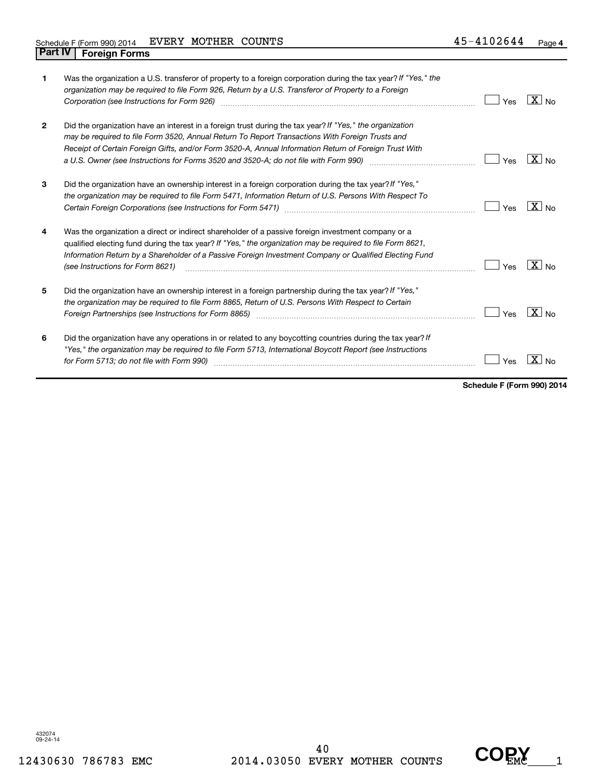| 1            | Was the organization a U.S. transferor of property to a foreign corporation during the tax year? If "Yes," the<br>organization may be required to file Form 926, Return by a U.S. Transferor of Property to a Foreign<br>Corporation (see Instructions for Form 926) [11] Corporation (see Instructions for Form 926) [11] Corporation                                                                                               | Yes | $\boxed{\text{X}}$ No |
|--------------|--------------------------------------------------------------------------------------------------------------------------------------------------------------------------------------------------------------------------------------------------------------------------------------------------------------------------------------------------------------------------------------------------------------------------------------|-----|-----------------------|
| $\mathbf{2}$ | Did the organization have an interest in a foreign trust during the tax year? If "Yes," the organization<br>may be required to file Form 3520, Annual Return To Report Transactions With Foreign Trusts and<br>Receipt of Certain Foreign Gifts, and/or Form 3520-A, Annual Information Return of Foreign Trust With<br>a U.S. Owner (see Instructions for Forms 3520 and 3520-A; do not file with Form 990) manufacture manufacture | Yes | $X _{N0}$             |
| 3            | Did the organization have an ownership interest in a foreign corporation during the tax year? If "Yes,"<br>the organization may be required to file Form 5471, Information Return of U.S. Persons With Respect To                                                                                                                                                                                                                    | Yes | $ X _{\sf No}$        |
| 4            | Was the organization a direct or indirect shareholder of a passive foreign investment company or a<br>qualified electing fund during the tax year? If "Yes," the organization may be required to file Form 8621,<br>Information Return by a Shareholder of a Passive Foreign Investment Company or Qualified Electing Fund<br>(see Instructions for Form 8621)                                                                       | Yes | $ X _{\sf No}$        |
| 5            | Did the organization have an ownership interest in a foreign partnership during the tax year? If "Yes,"<br>the organization may be required to file Form 8865, Return of U.S. Persons With Respect to Certain<br>Foreign Partnerships (see Instructions for Form 8865)                                                                                                                                                               | Yes | $ X _{\sf No}$        |
| 6            | Did the organization have any operations in or related to any boycotting countries during the tax year? If<br>"Yes," the organization may be required to file Form 5713, International Boycott Report (see Instructions<br>for Form 5713; do not file with Form 990)                                                                                                                                                                 | Yes |                       |

**Schedule F (Form 990) 2014**

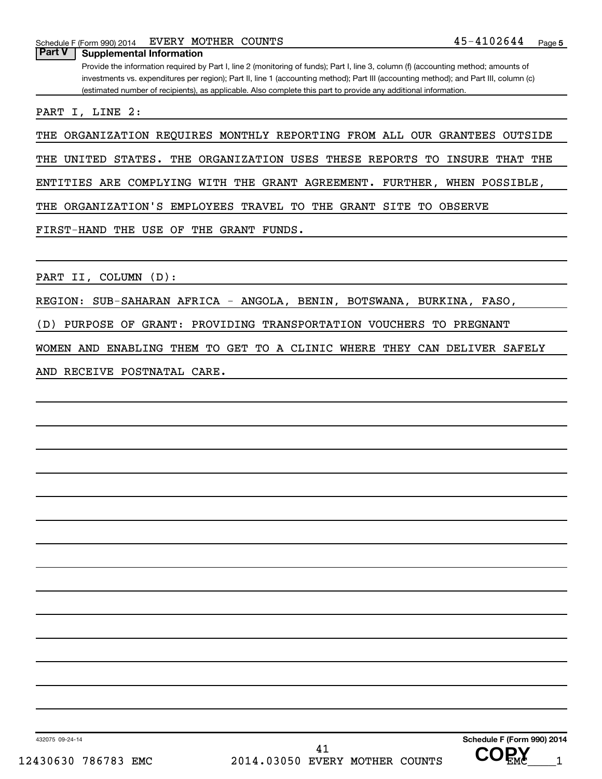Schedule F (Form 990) 2014  $EVERY$  MOTHER COUNTS  $45-4102644$  Page

**Part V Supplemental Information**

Provide the information required by Part I, line 2 (monitoring of funds); Part I, line 3, column (f) (accounting method; amounts of investments vs. expenditures per region); Part II, line 1 (accounting method); Part III (accounting method); and Part III, column (c) (estimated number of recipients), as applicable. Also complete this part to provide any additional information.

PART I, LINE 2:

THE ORGANIZATION REQUIRES MONTHLY REPORTING FROM ALL OUR GRANTEES OUTSIDE

THE UNITED STATES. THE ORGANIZATION USES THESE REPORTS TO INSURE THAT THE

ENTITIES ARE COMPLYING WITH THE GRANT AGREEMENT. FURTHER, WHEN POSSIBLE,

THE ORGANIZATION'S EMPLOYEES TRAVEL TO THE GRANT SITE TO OBSERVE

FIRST-HAND THE USE OF THE GRANT FUNDS.

PART II, COLUMN (D):

REGION: SUB-SAHARAN AFRICA - ANGOLA, BENIN, BOTSWANA, BURKINA, FASO,

(D) PURPOSE OF GRANT: PROVIDING TRANSPORTATION VOUCHERS TO PREGNANT

WOMEN AND ENABLING THEM TO GET TO A CLINIC WHERE THEY CAN DELIVER SAFELY

AND RECEIVE POSTNATAL CARE.

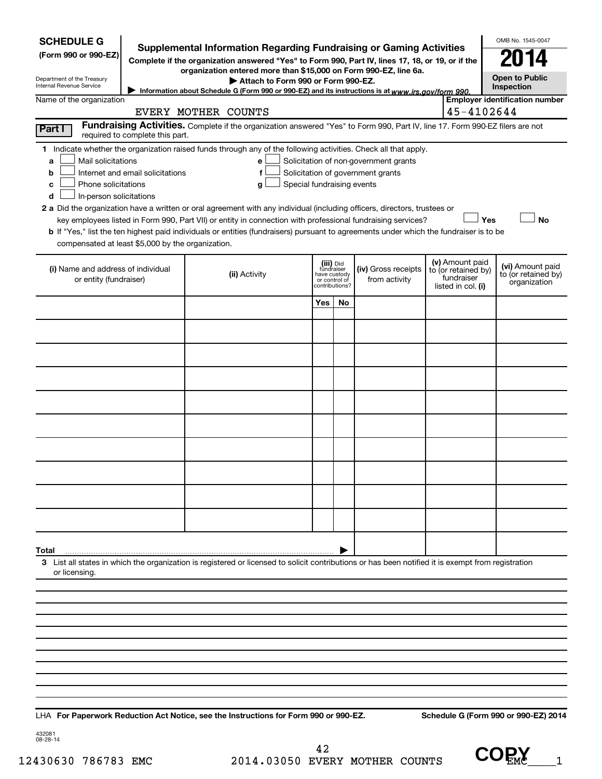| <b>SCHEDULE G</b><br>(Form 990 or 990-EZ)<br>Department of the Treasury                  |                                  | <b>Supplemental Information Regarding Fundraising or Gaming Activities</b><br>Complete if the organization answered "Yes" to Form 990, Part IV, lines 17, 18, or 19, or if the<br>organization entered more than \$15,000 on Form 990-EZ, line 6a.<br>Attach to Form 990 or Form 990-EZ.  |                                 |                                         |                                                                            |                                                                            | OMB No. 1545-0047<br><b>Open to Public</b>              |
|------------------------------------------------------------------------------------------|----------------------------------|-------------------------------------------------------------------------------------------------------------------------------------------------------------------------------------------------------------------------------------------------------------------------------------------|---------------------------------|-----------------------------------------|----------------------------------------------------------------------------|----------------------------------------------------------------------------|---------------------------------------------------------|
| Internal Revenue Service                                                                 |                                  | Information about Schedule G (Form 990 or 990-EZ) and its instructions is at www.irs.gov/form 990.                                                                                                                                                                                        |                                 |                                         |                                                                            |                                                                            | <b>Inspection</b>                                       |
| Name of the organization                                                                 |                                  |                                                                                                                                                                                                                                                                                           |                                 |                                         |                                                                            |                                                                            | <b>Employer identification number</b>                   |
|                                                                                          |                                  | EVERY MOTHER COUNTS<br>Fundraising Activities. Complete if the organization answered "Yes" to Form 990, Part IV, line 17. Form 990-EZ filers are not                                                                                                                                      |                                 |                                         |                                                                            | 45-4102644                                                                 |                                                         |
| Part I                                                                                   | required to complete this part.  |                                                                                                                                                                                                                                                                                           |                                 |                                         |                                                                            |                                                                            |                                                         |
| Mail solicitations<br>a<br>b<br>Phone solicitations<br>c<br>In-person solicitations<br>d | Internet and email solicitations | 1 Indicate whether the organization raised funds through any of the following activities. Check all that apply.<br>е<br>f<br>Special fundraising events<br>g<br>2 a Did the organization have a written or oral agreement with any individual (including officers, directors, trustees or |                                 |                                         | Solicitation of non-government grants<br>Solicitation of government grants |                                                                            |                                                         |
|                                                                                          |                                  | key employees listed in Form 990, Part VII) or entity in connection with professional fundraising services?                                                                                                                                                                               |                                 |                                         |                                                                            | Yes                                                                        | <b>No</b>                                               |
|                                                                                          |                                  | <b>b</b> If "Yes," list the ten highest paid individuals or entities (fundraisers) pursuant to agreements under which the fundraiser is to be                                                                                                                                             |                                 |                                         |                                                                            |                                                                            |                                                         |
| compensated at least \$5,000 by the organization.                                        |                                  |                                                                                                                                                                                                                                                                                           |                                 |                                         |                                                                            |                                                                            |                                                         |
| (i) Name and address of individual<br>or entity (fundraiser)                             |                                  | (ii) Activity                                                                                                                                                                                                                                                                             | or control of<br>contributions? | (iii) Did<br>fundraiser<br>have custody | (iv) Gross receipts<br>from activity                                       | (v) Amount paid<br>to (or retained by)<br>fundraiser<br>listed in col. (i) | (vi) Amount paid<br>to (or retained by)<br>organization |
|                                                                                          |                                  |                                                                                                                                                                                                                                                                                           | Yes                             | No                                      |                                                                            |                                                                            |                                                         |
|                                                                                          |                                  |                                                                                                                                                                                                                                                                                           |                                 |                                         |                                                                            |                                                                            |                                                         |
|                                                                                          |                                  |                                                                                                                                                                                                                                                                                           |                                 |                                         |                                                                            |                                                                            |                                                         |
|                                                                                          |                                  |                                                                                                                                                                                                                                                                                           |                                 |                                         |                                                                            |                                                                            |                                                         |
|                                                                                          |                                  |                                                                                                                                                                                                                                                                                           |                                 |                                         |                                                                            |                                                                            |                                                         |
|                                                                                          |                                  |                                                                                                                                                                                                                                                                                           |                                 |                                         |                                                                            |                                                                            |                                                         |
|                                                                                          |                                  |                                                                                                                                                                                                                                                                                           |                                 |                                         |                                                                            |                                                                            |                                                         |
|                                                                                          |                                  |                                                                                                                                                                                                                                                                                           |                                 |                                         |                                                                            |                                                                            |                                                         |
|                                                                                          |                                  |                                                                                                                                                                                                                                                                                           |                                 |                                         |                                                                            |                                                                            |                                                         |
|                                                                                          |                                  |                                                                                                                                                                                                                                                                                           |                                 |                                         |                                                                            |                                                                            |                                                         |
| Total                                                                                    |                                  |                                                                                                                                                                                                                                                                                           |                                 |                                         |                                                                            |                                                                            |                                                         |
| or licensing.                                                                            |                                  | 3 List all states in which the organization is registered or licensed to solicit contributions or has been notified it is exempt from registration                                                                                                                                        |                                 |                                         |                                                                            |                                                                            |                                                         |
|                                                                                          |                                  |                                                                                                                                                                                                                                                                                           |                                 |                                         |                                                                            |                                                                            |                                                         |
|                                                                                          |                                  |                                                                                                                                                                                                                                                                                           |                                 |                                         |                                                                            |                                                                            |                                                         |
|                                                                                          |                                  |                                                                                                                                                                                                                                                                                           |                                 |                                         |                                                                            |                                                                            |                                                         |
|                                                                                          |                                  |                                                                                                                                                                                                                                                                                           |                                 |                                         |                                                                            |                                                                            |                                                         |
|                                                                                          |                                  |                                                                                                                                                                                                                                                                                           |                                 |                                         |                                                                            |                                                                            |                                                         |
|                                                                                          |                                  |                                                                                                                                                                                                                                                                                           |                                 |                                         |                                                                            |                                                                            |                                                         |
|                                                                                          |                                  |                                                                                                                                                                                                                                                                                           |                                 |                                         |                                                                            |                                                                            |                                                         |
|                                                                                          |                                  |                                                                                                                                                                                                                                                                                           |                                 |                                         |                                                                            |                                                                            |                                                         |
|                                                                                          |                                  |                                                                                                                                                                                                                                                                                           |                                 |                                         |                                                                            |                                                                            |                                                         |

**For Paperwork Reduction Act Notice, see the Instructions for Form 990 or 990-EZ. Schedule G (Form 990 or 990-EZ) 2014** LHA

432081 08-28-14

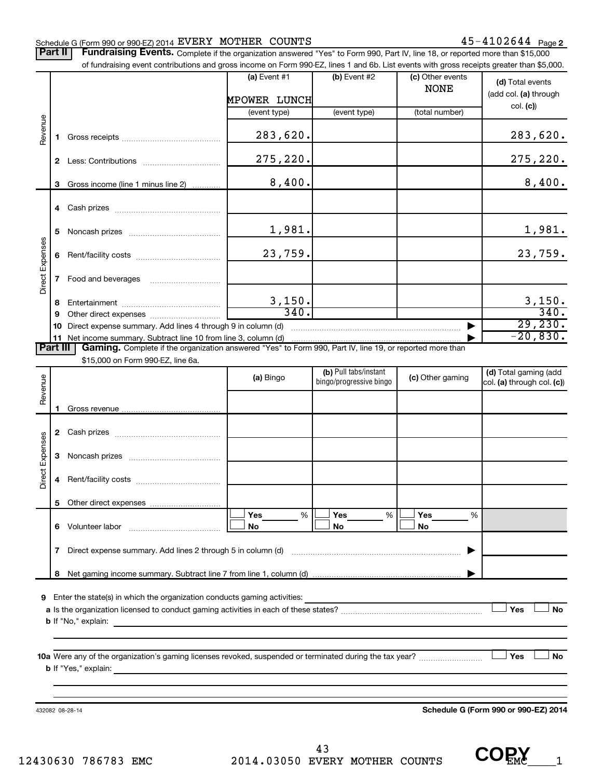#### Schedule G (Form 990 or 990-EZ) 2014  ${\tt EVERY}$   ${\tt MOTHER}$   ${\tt COUNTS}$   ${\tt 45-4102644}$   ${\tt Page}$

Part II | Fundraising Events. Complete if the organization answered "Yes" to Form 990, Part IV, line 18, or reported more than \$15,000

|                 | 6            |                                                                                                                                                    | 23,759.             |                                                  |                  | 23,759.                                             |
|-----------------|--------------|----------------------------------------------------------------------------------------------------------------------------------------------------|---------------------|--------------------------------------------------|------------------|-----------------------------------------------------|
| Direct Expenses | 7            | Food and beverages                                                                                                                                 |                     |                                                  |                  |                                                     |
|                 |              |                                                                                                                                                    |                     |                                                  |                  |                                                     |
|                 | 8            |                                                                                                                                                    | $\frac{3,150}{340}$ |                                                  |                  | $\frac{3,150}{340}$ .                               |
|                 | 9            |                                                                                                                                                    |                     |                                                  |                  | 29,230.                                             |
|                 | 10           |                                                                                                                                                    |                     |                                                  |                  | $-20,830.$                                          |
| <b>Part III</b> |              | Gaming. Complete if the organization answered "Yes" to Form 990, Part IV, line 19, or reported more than                                           |                     |                                                  |                  |                                                     |
|                 |              | \$15,000 on Form 990-EZ, line 6a.                                                                                                                  |                     |                                                  |                  |                                                     |
| Revenue         |              |                                                                                                                                                    | (a) Bingo           | (b) Pull tabs/instant<br>bingo/progressive bingo | (c) Other gaming | (d) Total gaming (add<br>col. (a) through col. (c)) |
|                 | 1.           |                                                                                                                                                    |                     |                                                  |                  |                                                     |
|                 | $\mathbf{2}$ |                                                                                                                                                    |                     |                                                  |                  |                                                     |
| Expenses        | 3            |                                                                                                                                                    |                     |                                                  |                  |                                                     |
| Direct          | 4            |                                                                                                                                                    |                     |                                                  |                  |                                                     |
|                 |              | 5 Other direct expenses                                                                                                                            |                     |                                                  |                  |                                                     |
|                 |              |                                                                                                                                                    | Yes<br>%<br>No      | Yes<br>%<br>No                                   | Yes<br>%<br>No   |                                                     |
|                 |              |                                                                                                                                                    |                     |                                                  |                  |                                                     |
|                 | 7            | Direct expense summary. Add lines 2 through 5 in column (d)                                                                                        |                     |                                                  |                  |                                                     |
|                 |              |                                                                                                                                                    |                     |                                                  |                  |                                                     |
|                 |              |                                                                                                                                                    |                     |                                                  |                  |                                                     |
| 9               |              | Enter the state(s) in which the organization conducts gaming activities:                                                                           |                     |                                                  |                  |                                                     |
|                 |              |                                                                                                                                                    |                     |                                                  |                  | Yes<br>No                                           |
|                 |              | <b>b</b> If "No," explain:<br><u> 1989 - Andrea Santa Andrea Santa Andrea Santa Andrea Santa Andrea Santa Andrea Santa Andrea Santa Andrea San</u> |                     |                                                  |                  |                                                     |
|                 |              |                                                                                                                                                    |                     |                                                  |                  |                                                     |
|                 |              |                                                                                                                                                    |                     |                                                  |                  | Yes<br>No                                           |
|                 |              |                                                                                                                                                    |                     |                                                  |                  |                                                     |
|                 |              |                                                                                                                                                    |                     |                                                  |                  |                                                     |
|                 |              |                                                                                                                                                    |                     |                                                  |                  |                                                     |

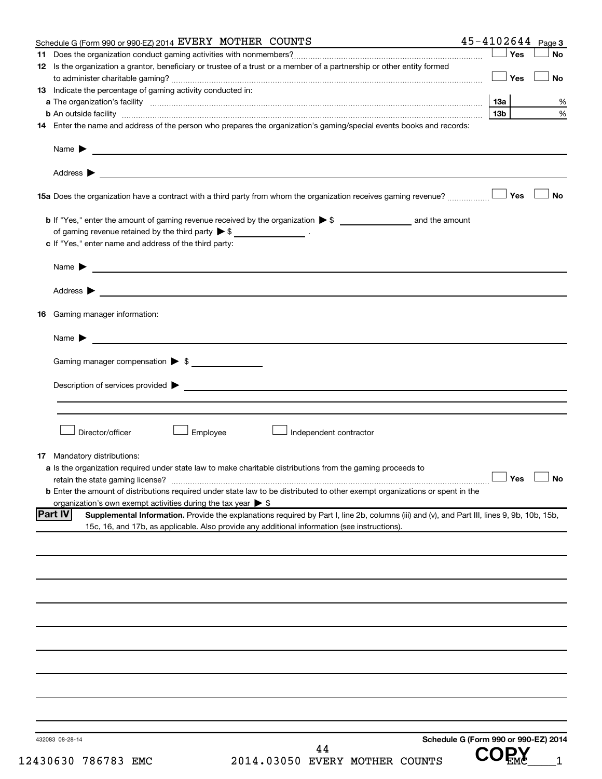| Schedule G (Form 990 or 990-EZ) 2014 EVERY MOTHER COUNTS                                                                                                                                                                                                      | $45 - 4102644$ Page 3                |
|---------------------------------------------------------------------------------------------------------------------------------------------------------------------------------------------------------------------------------------------------------------|--------------------------------------|
|                                                                                                                                                                                                                                                               | Yes<br>No                            |
| 12 Is the organization a grantor, beneficiary or trustee of a trust or a member of a partnership or other entity formed                                                                                                                                       |                                      |
|                                                                                                                                                                                                                                                               | ⊥ Yes<br>No                          |
| 13 Indicate the percentage of gaming activity conducted in:                                                                                                                                                                                                   |                                      |
|                                                                                                                                                                                                                                                               | 13a<br>%                             |
|                                                                                                                                                                                                                                                               | 13 <sub>b</sub><br>%                 |
| 14 Enter the name and address of the person who prepares the organization's gaming/special events books and records:                                                                                                                                          |                                      |
| Name $\blacktriangleright$<br><u> 1989 - Johann Barbara, martin amerikan basal dan berasal dan berasal dalam basal dan berasal dan berasal dan</u>                                                                                                            |                                      |
|                                                                                                                                                                                                                                                               |                                      |
|                                                                                                                                                                                                                                                               | <b>No</b>                            |
|                                                                                                                                                                                                                                                               |                                      |
| of gaming revenue retained by the third party $\triangleright$ \$ __________________.                                                                                                                                                                         |                                      |
| c If "Yes," enter name and address of the third party:                                                                                                                                                                                                        |                                      |
| Name $\blacktriangleright$                                                                                                                                                                                                                                    |                                      |
|                                                                                                                                                                                                                                                               |                                      |
| <b>16</b> Gaming manager information:                                                                                                                                                                                                                         |                                      |
| Name $\blacktriangleright$                                                                                                                                                                                                                                    |                                      |
| Gaming manager compensation $\triangleright$ \$                                                                                                                                                                                                               |                                      |
|                                                                                                                                                                                                                                                               |                                      |
| Description of services provided states and the contract of the contract of the contract of the contract of the contract of the contract of the contract of the contract of the contract of the contract of the contract of th                                |                                      |
| Director/officer<br>Employee<br>Independent contractor                                                                                                                                                                                                        |                                      |
|                                                                                                                                                                                                                                                               |                                      |
| <b>17</b> Mandatory distributions:                                                                                                                                                                                                                            |                                      |
| <b>a</b> Is the organization required under state law to make charitable distributions from the gaming proceeds to                                                                                                                                            |                                      |
|                                                                                                                                                                                                                                                               | $\Box$ Yes $\Box$ No                 |
| <b>b</b> Enter the amount of distributions required under state law to be distributed to other exempt organizations or spent in the                                                                                                                           |                                      |
| organization's own exempt activities during the tax year $\triangleright$ \$                                                                                                                                                                                  |                                      |
| <b>Part IV</b><br>Supplemental Information. Provide the explanations required by Part I, line 2b, columns (iii) and (v), and Part III, lines 9, 9b, 10b, 15b,<br>15c, 16, and 17b, as applicable. Also provide any additional information (see instructions). |                                      |
|                                                                                                                                                                                                                                                               |                                      |
|                                                                                                                                                                                                                                                               |                                      |
|                                                                                                                                                                                                                                                               |                                      |
|                                                                                                                                                                                                                                                               |                                      |
|                                                                                                                                                                                                                                                               |                                      |
|                                                                                                                                                                                                                                                               |                                      |
|                                                                                                                                                                                                                                                               |                                      |
|                                                                                                                                                                                                                                                               |                                      |
|                                                                                                                                                                                                                                                               |                                      |
|                                                                                                                                                                                                                                                               |                                      |
|                                                                                                                                                                                                                                                               |                                      |
| 432083 08-28-14<br>44                                                                                                                                                                                                                                         | Schedule G (Form 990 or 990-EZ) 2014 |
| 2014.03050 EVERY MOTHER COUNTS<br>430630 786783 EMC                                                                                                                                                                                                           |                                      |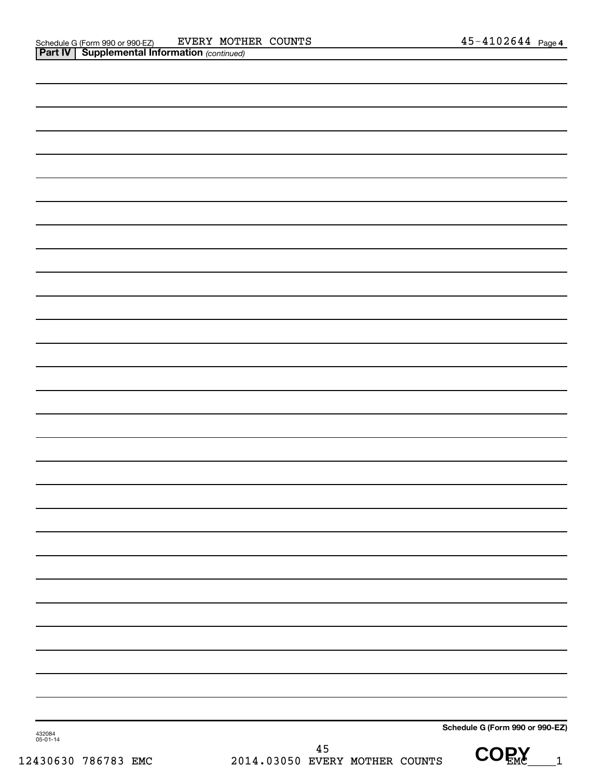| 432084<br>05-01-14 |                                          | Schedule G (Form 990 or 990-EZ) |
|--------------------|------------------------------------------|---------------------------------|
| 430630 786783 EMC  | $45\,$<br>2014.03050 EVERY MOTHER COUNTS | <b>COPY</b><br>$\overline{1}$   |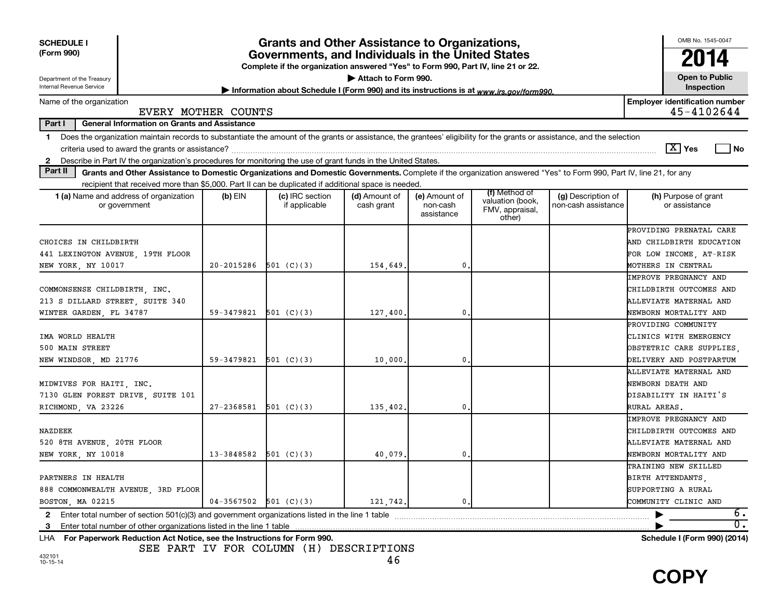| <b>SCHEDULE I</b><br>(Form 990)<br>Department of the Treasury                                                                                                                                                                                                                                                  | <b>Grants and Other Assistance to Organizations,</b><br>Governments, and Individuals in the United States<br>Complete if the organization answered "Yes" to Form 990, Part IV, line 21 or 22.<br>Attach to Form 990. |                                  |                             |                                         |                                                                |                                           |                                                                                                             |  |  |  |  |
|----------------------------------------------------------------------------------------------------------------------------------------------------------------------------------------------------------------------------------------------------------------------------------------------------------------|----------------------------------------------------------------------------------------------------------------------------------------------------------------------------------------------------------------------|----------------------------------|-----------------------------|-----------------------------------------|----------------------------------------------------------------|-------------------------------------------|-------------------------------------------------------------------------------------------------------------|--|--|--|--|
| Internal Revenue Service<br>Inspection<br>Information about Schedule I (Form 990) and its instructions is at www.irs.gov/form990.                                                                                                                                                                              |                                                                                                                                                                                                                      |                                  |                             |                                         |                                                                |                                           |                                                                                                             |  |  |  |  |
| <b>Employer identification number</b><br>Name of the organization<br>45-4102644<br>EVERY MOTHER COUNTS                                                                                                                                                                                                         |                                                                                                                                                                                                                      |                                  |                             |                                         |                                                                |                                           |                                                                                                             |  |  |  |  |
| Part I<br><b>General Information on Grants and Assistance</b>                                                                                                                                                                                                                                                  |                                                                                                                                                                                                                      |                                  |                             |                                         |                                                                |                                           |                                                                                                             |  |  |  |  |
| Does the organization maintain records to substantiate the amount of the grants or assistance, the grantees' eligibility for the grants or assistance, and the selection<br>1<br>Describe in Part IV the organization's procedures for monitoring the use of grant funds in the United States.<br>$\mathbf{2}$ |                                                                                                                                                                                                                      |                                  |                             |                                         |                                                                |                                           | $\sqrt{X}$ Yes<br>l No                                                                                      |  |  |  |  |
| Part II<br>Grants and Other Assistance to Domestic Organizations and Domestic Governments. Complete if the organization answered "Yes" to Form 990, Part IV, line 21, for any                                                                                                                                  |                                                                                                                                                                                                                      |                                  |                             |                                         |                                                                |                                           |                                                                                                             |  |  |  |  |
| recipient that received more than \$5,000. Part II can be duplicated if additional space is needed.                                                                                                                                                                                                            |                                                                                                                                                                                                                      |                                  |                             |                                         |                                                                |                                           |                                                                                                             |  |  |  |  |
| 1 (a) Name and address of organization<br>or government                                                                                                                                                                                                                                                        | $(b)$ EIN                                                                                                                                                                                                            | (c) IRC section<br>if applicable | (d) Amount of<br>cash grant | (e) Amount of<br>non-cash<br>assistance | (f) Method of<br>valuation (book,<br>FMV, appraisal,<br>other) | (g) Description of<br>non-cash assistance | (h) Purpose of grant<br>or assistance                                                                       |  |  |  |  |
| CHOICES IN CHILDBIRTH<br>441 LEXINGTON AVENUE, 19TH FLOOR<br>NEW YORK, NY 10017                                                                                                                                                                                                                                | 20-2015286                                                                                                                                                                                                           | 501 (C)(3)                       | 154,649.                    | 0.                                      |                                                                |                                           | PROVIDING PRENATAL CARE<br>AND CHILDBIRTH EDUCATION<br>FOR LOW INCOME, AT-RISK<br><b>MOTHERS IN CENTRAL</b> |  |  |  |  |
| COMMONSENSE CHILDBIRTH, INC.<br>213 S DILLARD STREET, SUITE 340<br>WINTER GARDEN, FL 34787                                                                                                                                                                                                                     | 59-3479821                                                                                                                                                                                                           | 501 (C)(3)                       | 127,400.                    | 0                                       |                                                                |                                           | <b>IMPROVE PREGNANCY AND</b><br>CHILDBIRTH OUTCOMES AND<br>ALLEVIATE MATERNAL AND<br>NEWBORN MORTALITY AND  |  |  |  |  |
| IMA WORLD HEALTH<br>500 MAIN STREET<br>NEW WINDSOR, MD 21776                                                                                                                                                                                                                                                   | 59-3479821                                                                                                                                                                                                           | 501 (C)(3)                       | 10,000                      | 0                                       |                                                                |                                           | PROVIDING COMMUNITY<br>CLINICS WITH EMERGENCY<br>OBSTETRIC CARE SUPPLIES<br>DELIVERY AND POSTPARTUM         |  |  |  |  |
| MIDWIVES FOR HAITI, INC.<br>7130 GLEN FOREST DRIVE, SUITE 101<br>RICHMOND, VA 23226                                                                                                                                                                                                                            | 27-2368581                                                                                                                                                                                                           | 501 (C)(3)                       | 135,402.                    | $\mathbf 0$ .                           |                                                                |                                           | ALLEVIATE MATERNAL AND<br>NEWBORN DEATH AND<br>DISABILITY IN HAITI'S<br>RURAL AREAS.                        |  |  |  |  |
| NAZDEEK<br>520 8TH AVENUE, 20TH FLOOR<br>NEW YORK, NY 10018                                                                                                                                                                                                                                                    | 13-3848582                                                                                                                                                                                                           | 501 (C)(3)                       | 40,079.                     | 0                                       |                                                                |                                           | <b>IMPROVE PREGNANCY AND</b><br>CHILDBIRTH OUTCOMES AND<br>ALLEVIATE MATERNAL AND<br>NEWBORN MORTALITY AND  |  |  |  |  |
| PARTNERS IN HEALTH<br>888 COMMONWEALTH AVENUE, 3RD FLOOR<br>BOSTON, MA 02215                                                                                                                                                                                                                                   | $04-3567502$ 501 (C)(3)                                                                                                                                                                                              |                                  | 121,742.                    | $\mathbf{0}$ .                          |                                                                |                                           | TRAINING NEW SKILLED<br>BIRTH ATTENDANTS,<br>SUPPORTING A RURAL<br>COMMUNITY CLINIC AND                     |  |  |  |  |
| Enter total number of section $501(c)(3)$ and government organizations listed in the line 1 table<br>$\mathbf{2}$<br>3<br>LHA For Paperwork Reduction Act Notice, see the Instructions for Form 990.                                                                                                           |                                                                                                                                                                                                                      |                                  |                             |                                         |                                                                |                                           | ь.<br>▶<br>0.<br>Schedule I (Form 990) (2014)                                                               |  |  |  |  |

SEE PART IV FOR COLUMN (H) DESCRIPTIONS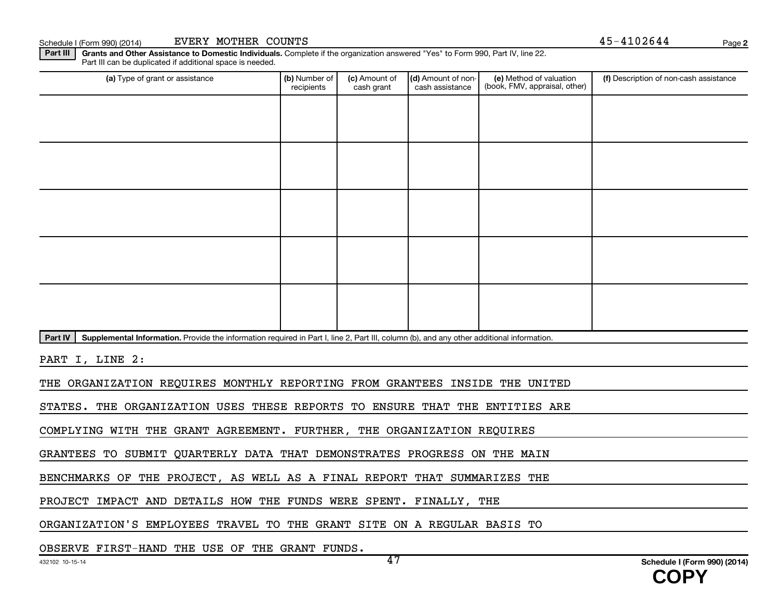Part III | Grants and Other Assistance to Domestic Individuals. Complete if the organization answered "Yes" to Form 990, Part IV, line 22. Part III can be duplicated if additional space is needed.

| (a) Type of grant or assistance                                                                                                                      | (b) Number of<br>recipients | (c) Amount of<br>cash grant | (d) Amount of non-<br>cash assistance | (e) Method of valuation<br>(book, FMV, appraisal, other) | (f) Description of non-cash assistance |  |  |  |  |
|------------------------------------------------------------------------------------------------------------------------------------------------------|-----------------------------|-----------------------------|---------------------------------------|----------------------------------------------------------|----------------------------------------|--|--|--|--|
|                                                                                                                                                      |                             |                             |                                       |                                                          |                                        |  |  |  |  |
|                                                                                                                                                      |                             |                             |                                       |                                                          |                                        |  |  |  |  |
|                                                                                                                                                      |                             |                             |                                       |                                                          |                                        |  |  |  |  |
|                                                                                                                                                      |                             |                             |                                       |                                                          |                                        |  |  |  |  |
|                                                                                                                                                      |                             |                             |                                       |                                                          |                                        |  |  |  |  |
|                                                                                                                                                      |                             |                             |                                       |                                                          |                                        |  |  |  |  |
|                                                                                                                                                      |                             |                             |                                       |                                                          |                                        |  |  |  |  |
|                                                                                                                                                      |                             |                             |                                       |                                                          |                                        |  |  |  |  |
|                                                                                                                                                      |                             |                             |                                       |                                                          |                                        |  |  |  |  |
|                                                                                                                                                      |                             |                             |                                       |                                                          |                                        |  |  |  |  |
| Supplemental Information. Provide the information required in Part I, line 2, Part III, column (b), and any other additional information.<br>Part IV |                             |                             |                                       |                                                          |                                        |  |  |  |  |
| PART I, LINE 2:                                                                                                                                      |                             |                             |                                       |                                                          |                                        |  |  |  |  |
| THE ORGANIZATION REQUIRES MONTHLY REPORTING FROM GRANTEES INSIDE THE UNITED                                                                          |                             |                             |                                       |                                                          |                                        |  |  |  |  |
| STATES. THE ORGANIZATION USES THESE REPORTS TO ENSURE THAT THE ENTITIES ARE                                                                          |                             |                             |                                       |                                                          |                                        |  |  |  |  |
| COMPLYING WITH THE GRANT AGREEMENT. FURTHER, THE ORGANIZATION REQUIRES                                                                               |                             |                             |                                       |                                                          |                                        |  |  |  |  |
| GRANTEES TO SUBMIT QUARTERLY DATA THAT DEMONSTRATES PROGRESS ON THE MAIN                                                                             |                             |                             |                                       |                                                          |                                        |  |  |  |  |
|                                                                                                                                                      |                             |                             |                                       |                                                          |                                        |  |  |  |  |

BENCHMARKS OF THE PROJECT, AS WELL AS A FINAL REPORT THAT SUMMARIZES THE

PROJECT IMPACT AND DETAILS HOW THE FUNDS WERE SPENT. FINALLY, THE

ORGANIZATION'S EMPLOYEES TRAVEL TO THE GRANT SITE ON A REGULAR BASIS TO

OBSERVE FIRST-HAND THE USE OF THE GRANT FUNDS.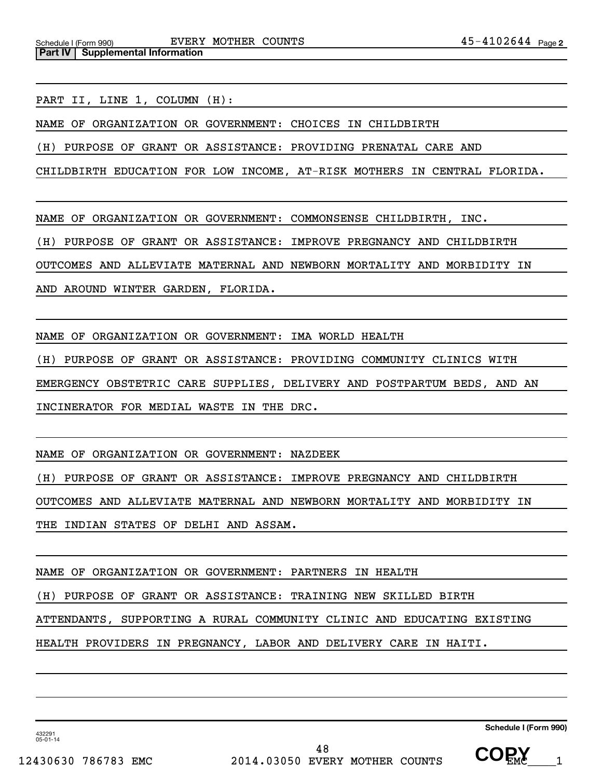PART II, LINE 1, COLUMN (H):

NAME OF ORGANIZATION OR GOVERNMENT: CHOICES IN CHILDBIRTH

(H) PURPOSE OF GRANT OR ASSISTANCE: PROVIDING PRENATAL CARE AND

CHILDBIRTH EDUCATION FOR LOW INCOME, AT-RISK MOTHERS IN CENTRAL FLORIDA.

NAME OF ORGANIZATION OR GOVERNMENT: COMMONSENSE CHILDBIRTH, INC.

(H) PURPOSE OF GRANT OR ASSISTANCE: IMPROVE PREGNANCY AND CHILDBIRTH

OUTCOMES AND ALLEVIATE MATERNAL AND NEWBORN MORTALITY AND MORBIDITY IN

AND AROUND WINTER GARDEN, FLORIDA.

NAME OF ORGANIZATION OR GOVERNMENT: IMA WORLD HEALTH

(H) PURPOSE OF GRANT OR ASSISTANCE: PROVIDING COMMUNITY CLINICS WITH

EMERGENCY OBSTETRIC CARE SUPPLIES, DELIVERY AND POSTPARTUM BEDS, AND AN

INCINERATOR FOR MEDIAL WASTE IN THE DRC.

NAME OF ORGANIZATION OR GOVERNMENT: NAZDEEK

(H) PURPOSE OF GRANT OR ASSISTANCE: IMPROVE PREGNANCY AND CHILDBIRTH

OUTCOMES AND ALLEVIATE MATERNAL AND NEWBORN MORTALITY AND MORBIDITY IN

THE INDIAN STATES OF DELHI AND ASSAM.

NAME OF ORGANIZATION OR GOVERNMENT: PARTNERS IN HEALTH

(H) PURPOSE OF GRANT OR ASSISTANCE: TRAINING NEW SKILLED BIRTH

ATTENDANTS, SUPPORTING A RURAL COMMUNITY CLINIC AND EDUCATING EXISTING

HEALTH PROVIDERS IN PREGNANCY, LABOR AND DELIVERY CARE IN HAITI.

**Schedule I (Form 990)**

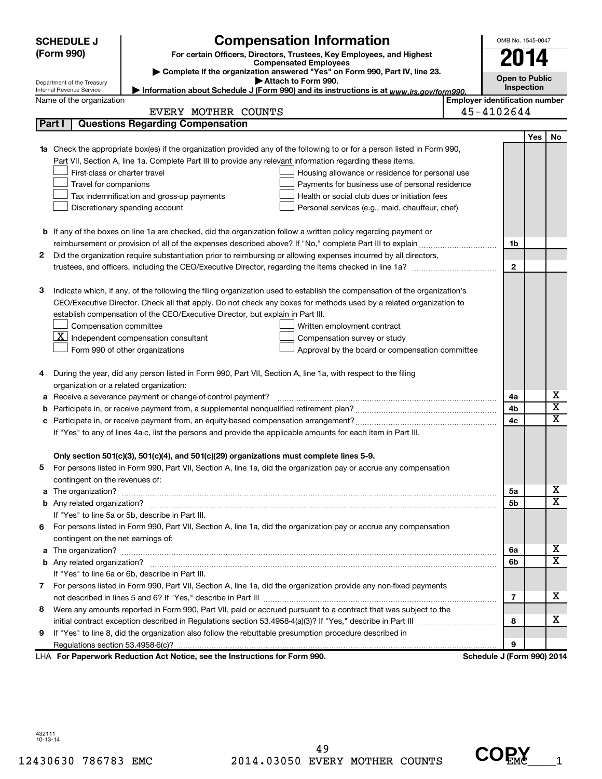|   | <b>SCHEDULE J</b>                       |                                                                                                                           | OMB No. 1545-0047                     |                            |     |                         |
|---|-----------------------------------------|---------------------------------------------------------------------------------------------------------------------------|---------------------------------------|----------------------------|-----|-------------------------|
|   | (Form 990)                              |                                                                                                                           |                                       |                            |     |                         |
|   |                                         |                                                                                                                           | 2014                                  |                            |     |                         |
|   | Department of the Treasury              |                                                                                                                           | <b>Open to Public</b>                 |                            |     |                         |
|   | Internal Revenue Service                | Attach to Form 990.<br>Information about Schedule J (Form 990) and its instructions is at www.irs.gov/form990.            |                                       | Inspection                 |     |                         |
|   | Name of the organization                |                                                                                                                           | <b>Employer identification number</b> |                            |     |                         |
|   |                                         | EVERY MOTHER COUNTS                                                                                                       |                                       | 45-4102644                 |     |                         |
|   | Part I                                  | <b>Questions Regarding Compensation</b>                                                                                   |                                       |                            |     |                         |
|   |                                         |                                                                                                                           |                                       |                            | Yes | No                      |
|   |                                         | 1a Check the appropriate box(es) if the organization provided any of the following to or for a person listed in Form 990, |                                       |                            |     |                         |
|   |                                         | Part VII, Section A, line 1a. Complete Part III to provide any relevant information regarding these items.                |                                       |                            |     |                         |
|   | First-class or charter travel           | Housing allowance or residence for personal use                                                                           |                                       |                            |     |                         |
|   | Travel for companions                   | Payments for business use of personal residence                                                                           |                                       |                            |     |                         |
|   |                                         | Tax indemnification and gross-up payments<br>Health or social club dues or initiation fees                                |                                       |                            |     |                         |
|   |                                         | Discretionary spending account<br>Personal services (e.g., maid, chauffeur, chef)                                         |                                       |                            |     |                         |
|   |                                         |                                                                                                                           |                                       |                            |     |                         |
|   |                                         | <b>b</b> If any of the boxes on line 1a are checked, did the organization follow a written policy regarding payment or    |                                       |                            |     |                         |
|   |                                         |                                                                                                                           |                                       | 1b                         |     |                         |
| 2 |                                         | Did the organization require substantiation prior to reimbursing or allowing expenses incurred by all directors,          |                                       |                            |     |                         |
|   |                                         |                                                                                                                           |                                       | $\mathbf{2}$               |     |                         |
|   |                                         |                                                                                                                           |                                       |                            |     |                         |
| З |                                         | Indicate which, if any, of the following the filing organization used to establish the compensation of the organization's |                                       |                            |     |                         |
|   |                                         | CEO/Executive Director. Check all that apply. Do not check any boxes for methods used by a related organization to        |                                       |                            |     |                         |
|   |                                         | establish compensation of the CEO/Executive Director, but explain in Part III.                                            |                                       |                            |     |                         |
|   | Compensation committee                  | Written employment contract                                                                                               |                                       |                            |     |                         |
|   |                                         | $ \mathbf{X} $ Independent compensation consultant<br>Compensation survey or study                                        |                                       |                            |     |                         |
|   |                                         | Form 990 of other organizations<br>Approval by the board or compensation committee                                        |                                       |                            |     |                         |
| 4 |                                         | During the year, did any person listed in Form 990, Part VII, Section A, line 1a, with respect to the filing              |                                       |                            |     |                         |
|   | organization or a related organization: |                                                                                                                           |                                       |                            |     |                         |
| а |                                         | Receive a severance payment or change-of-control payment?                                                                 |                                       | 4a                         |     | х                       |
| b |                                         |                                                                                                                           |                                       | 4b                         |     | $\overline{\textbf{x}}$ |
|   |                                         |                                                                                                                           |                                       | 4c                         |     | X                       |
|   |                                         | If "Yes" to any of lines 4a-c, list the persons and provide the applicable amounts for each item in Part III.             |                                       |                            |     |                         |
|   |                                         |                                                                                                                           |                                       |                            |     |                         |
|   |                                         | Only section 501(c)(3), 501(c)(4), and 501(c)(29) organizations must complete lines 5-9.                                  |                                       |                            |     |                         |
|   |                                         | For persons listed in Form 990, Part VII, Section A, line 1a, did the organization pay or accrue any compensation         |                                       |                            |     |                         |
|   | contingent on the revenues of:          |                                                                                                                           |                                       |                            |     |                         |
|   |                                         |                                                                                                                           |                                       | 5а                         |     | x                       |
|   |                                         |                                                                                                                           |                                       | 5b                         |     | x                       |
|   |                                         | If "Yes" to line 5a or 5b, describe in Part III.                                                                          |                                       |                            |     |                         |
|   |                                         | 6 For persons listed in Form 990, Part VII, Section A, line 1a, did the organization pay or accrue any compensation       |                                       |                            |     |                         |
|   | contingent on the net earnings of:      |                                                                                                                           |                                       |                            |     |                         |
|   |                                         |                                                                                                                           |                                       | 6a                         |     | x                       |
|   |                                         |                                                                                                                           |                                       | 6b                         |     | х                       |
|   |                                         | If "Yes" to line 6a or 6b, describe in Part III.                                                                          |                                       |                            |     |                         |
|   |                                         | 7 For persons listed in Form 990, Part VII, Section A, line 1a, did the organization provide any non-fixed payments       |                                       |                            |     |                         |
|   |                                         |                                                                                                                           |                                       | 7                          |     | x                       |
| 8 |                                         | Were any amounts reported in Form 990, Part VII, paid or accrued pursuant to a contract that was subject to the           |                                       |                            |     |                         |
|   |                                         |                                                                                                                           |                                       | 8                          |     | х                       |
| 9 |                                         | If "Yes" to line 8, did the organization also follow the rebuttable presumption procedure described in                    |                                       |                            |     |                         |
|   |                                         |                                                                                                                           |                                       | 9                          |     |                         |
|   |                                         | LHA For Paperwork Reduction Act Notice, see the Instructions for Form 990.                                                |                                       | Schedule J (Form 990) 2014 |     |                         |

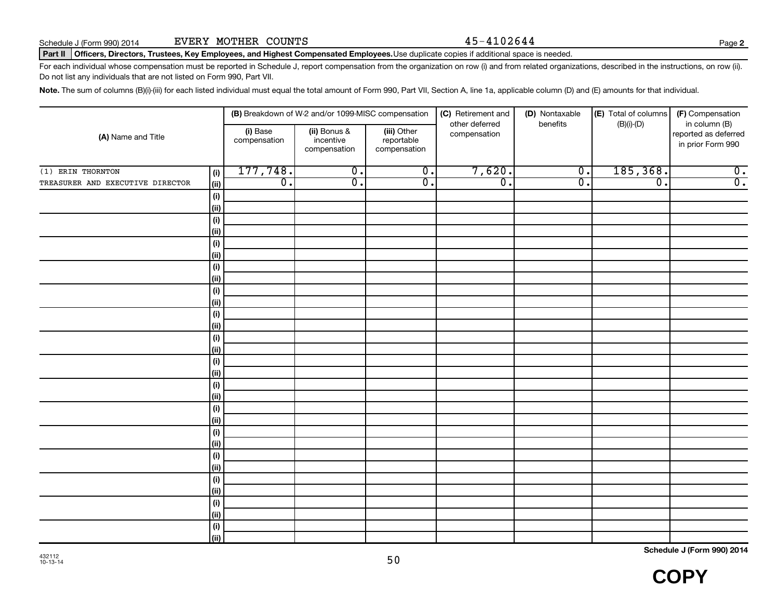**2**

#### Part II | Officers, Directors, Trustees, Key Employees, and Highest Compensated Employees.Use duplicate copies if additional space is needed.

For each individual whose compensation must be reported in Schedule J, report compensation from the organization on row (i) and from related organizations, described in the instructions, on row (ii). Do not list any individuals that are not listed on Form 990, Part VII.

Note. The sum of columns (B)(i)-(iii) for each listed individual must equal the total amount of Form 990, Part VII, Section A, line 1a, applicable column (D) and (E) amounts for that individual.

| (A) Name and Title               |                              |                          | (B) Breakdown of W-2 and/or 1099-MISC compensation |                                           | (C) Retirement and<br>other deferred | (D) Nontaxable<br>benefits | (E) Total of columns<br>$(B)(i)-(D)$ | (F) Compensation<br>in column (B)         |
|----------------------------------|------------------------------|--------------------------|----------------------------------------------------|-------------------------------------------|--------------------------------------|----------------------------|--------------------------------------|-------------------------------------------|
|                                  |                              | (i) Base<br>compensation | (ii) Bonus &<br>incentive<br>compensation          | (iii) Other<br>reportable<br>compensation | compensation                         |                            |                                      | reported as deferred<br>in prior Form 990 |
| (1) ERIN THORNTON                | (i)                          | 177,748.                 | $\overline{0}$ .                                   | $\overline{0}$ .                          | 7,620.                               | $\overline{0}$ .           | 185, 368.                            | $\overline{0}$ .                          |
| TREASURER AND EXECUTIVE DIRECTOR | (ii)                         | $\overline{0}$ .         | $\overline{0}$ .                                   | $\overline{0}$ .                          | $\overline{0}$ .                     | $\overline{0}$ .           | $\overline{\mathfrak{o}}$ .          | $\overline{0}$ .                          |
|                                  | $\qquad \qquad \textbf{(i)}$ |                          |                                                    |                                           |                                      |                            |                                      |                                           |
|                                  | (ii)                         |                          |                                                    |                                           |                                      |                            |                                      |                                           |
|                                  | $(\sf{i})$                   |                          |                                                    |                                           |                                      |                            |                                      |                                           |
|                                  | (ii)                         |                          |                                                    |                                           |                                      |                            |                                      |                                           |
|                                  | $(\sf{i})$                   |                          |                                                    |                                           |                                      |                            |                                      |                                           |
|                                  | (ii)                         |                          |                                                    |                                           |                                      |                            |                                      |                                           |
|                                  | $(\sf{i})$                   |                          |                                                    |                                           |                                      |                            |                                      |                                           |
|                                  | (ii)                         |                          |                                                    |                                           |                                      |                            |                                      |                                           |
|                                  | $(\sf{i})$                   |                          |                                                    |                                           |                                      |                            |                                      |                                           |
|                                  | (ii)                         |                          |                                                    |                                           |                                      |                            |                                      |                                           |
|                                  | $(\sf{i})$<br>(ii)           |                          |                                                    |                                           |                                      |                            |                                      |                                           |
|                                  | $(\sf{i})$                   |                          |                                                    |                                           |                                      |                            |                                      |                                           |
|                                  | (ii)                         |                          |                                                    |                                           |                                      |                            |                                      |                                           |
|                                  | $(\sf{i})$                   |                          |                                                    |                                           |                                      |                            |                                      |                                           |
|                                  | (ii)                         |                          |                                                    |                                           |                                      |                            |                                      |                                           |
|                                  | $(\sf{i})$                   |                          |                                                    |                                           |                                      |                            |                                      |                                           |
|                                  | (i)                          |                          |                                                    |                                           |                                      |                            |                                      |                                           |
|                                  | $(\sf{i})$                   |                          |                                                    |                                           |                                      |                            |                                      |                                           |
|                                  | (ii)                         |                          |                                                    |                                           |                                      |                            |                                      |                                           |
|                                  | $(\sf{i})$                   |                          |                                                    |                                           |                                      |                            |                                      |                                           |
|                                  | (ii)                         |                          |                                                    |                                           |                                      |                            |                                      |                                           |
|                                  | $(\sf{i})$                   |                          |                                                    |                                           |                                      |                            |                                      |                                           |
|                                  | (ii)                         |                          |                                                    |                                           |                                      |                            |                                      |                                           |
|                                  | $(\sf{i})$                   |                          |                                                    |                                           |                                      |                            |                                      |                                           |
|                                  | (ii)                         |                          |                                                    |                                           |                                      |                            |                                      |                                           |
|                                  | (i)                          |                          |                                                    |                                           |                                      |                            |                                      |                                           |
|                                  | (ii)                         |                          |                                                    |                                           |                                      |                            |                                      |                                           |
|                                  | (i)                          |                          |                                                    |                                           |                                      |                            |                                      |                                           |
|                                  | (ii)                         |                          |                                                    |                                           |                                      |                            |                                      |                                           |

**Schedule J (Form 990) 2014**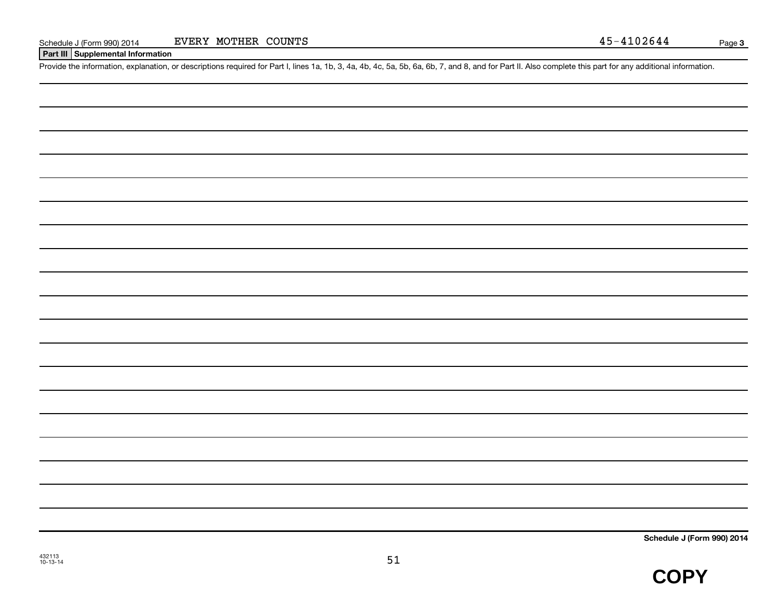**Part III Supplemental Information**

Provide the information, explanation, or descriptions required for Part I, lines 1a, 1b, 3, 4a, 4b, 4c, 5a, 5b, 6a, 6b, 7, and 8, and for Part II. Also complete this part for any additional information.

**Schedule J (Form 990) 2014**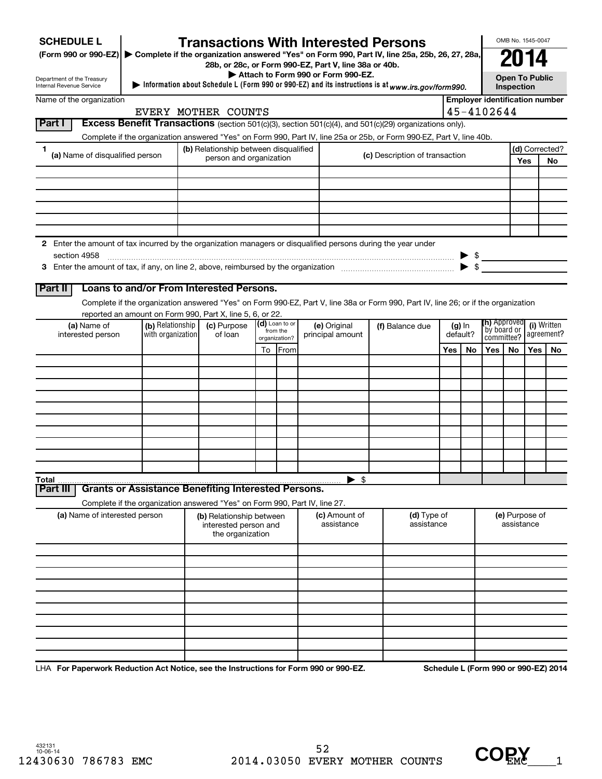| <b>SCHEDULE L</b><br>(Form 990 or 990-EZ) Complete if the organization answered "Yes" on Form 990, Part IV, line 25a, 25b, 26, 27, 28a,                                                                                                                           |                   | <b>Transactions With Interested Persons</b>                                                                                                                                                     |    |                            |  |                             |  |                                |     |           |                                    |                                            | OMB No. 1545-0047 |                                       |  |
|-------------------------------------------------------------------------------------------------------------------------------------------------------------------------------------------------------------------------------------------------------------------|-------------------|-------------------------------------------------------------------------------------------------------------------------------------------------------------------------------------------------|----|----------------------------|--|-----------------------------|--|--------------------------------|-----|-----------|------------------------------------|--------------------------------------------|-------------------|---------------------------------------|--|
| 28b, or 28c, or Form 990-EZ, Part V, line 38a or 40b.<br>Attach to Form 990 or Form 990-EZ.<br>Department of the Treasury<br>Information about Schedule L (Form 990 or 990-EZ) and its instructions is at www.irs.gov/form990.<br><b>Internal Revenue Service</b> |                   |                                                                                                                                                                                                 |    |                            |  |                             |  |                                |     |           |                                    | <b>Open To Public</b><br><b>Inspection</b> |                   |                                       |  |
| Name of the organization                                                                                                                                                                                                                                          |                   |                                                                                                                                                                                                 |    |                            |  |                             |  |                                |     |           |                                    |                                            |                   | <b>Employer identification number</b> |  |
| Part I                                                                                                                                                                                                                                                            |                   | EVERY MOTHER COUNTS<br>Excess Benefit Transactions (section 501(c)(3), section 501(c)(4), and 501(c)(29) organizations only).                                                                   |    |                            |  |                             |  |                                |     |           | 45-4102644                         |                                            |                   |                                       |  |
|                                                                                                                                                                                                                                                                   |                   | Complete if the organization answered "Yes" on Form 990, Part IV, line 25a or 25b, or Form 990-EZ, Part V, line 40b.                                                                            |    |                            |  |                             |  |                                |     |           |                                    |                                            |                   |                                       |  |
| 1<br>(a) Name of disqualified person                                                                                                                                                                                                                              |                   | (b) Relationship between disqualified                                                                                                                                                           |    |                            |  |                             |  |                                |     |           |                                    |                                            |                   | (d) Corrected?                        |  |
|                                                                                                                                                                                                                                                                   |                   | person and organization                                                                                                                                                                         |    |                            |  |                             |  | (c) Description of transaction |     |           |                                    |                                            | Yes               | No                                    |  |
|                                                                                                                                                                                                                                                                   |                   |                                                                                                                                                                                                 |    |                            |  |                             |  |                                |     |           |                                    |                                            |                   |                                       |  |
|                                                                                                                                                                                                                                                                   |                   |                                                                                                                                                                                                 |    |                            |  |                             |  |                                |     |           |                                    |                                            |                   |                                       |  |
|                                                                                                                                                                                                                                                                   |                   |                                                                                                                                                                                                 |    |                            |  |                             |  |                                |     |           |                                    |                                            |                   |                                       |  |
|                                                                                                                                                                                                                                                                   |                   |                                                                                                                                                                                                 |    |                            |  |                             |  |                                |     |           |                                    |                                            |                   |                                       |  |
| 2 Enter the amount of tax incurred by the organization managers or disqualified persons during the year under                                                                                                                                                     |                   |                                                                                                                                                                                                 |    |                            |  |                             |  |                                |     |           |                                    |                                            |                   |                                       |  |
| section 4958                                                                                                                                                                                                                                                      |                   |                                                                                                                                                                                                 |    |                            |  |                             |  |                                |     |           | $\triangleright$ \$                |                                            |                   |                                       |  |
|                                                                                                                                                                                                                                                                   |                   |                                                                                                                                                                                                 |    |                            |  |                             |  |                                |     |           |                                    |                                            |                   |                                       |  |
|                                                                                                                                                                                                                                                                   |                   |                                                                                                                                                                                                 |    |                            |  |                             |  |                                |     |           |                                    |                                            |                   |                                       |  |
| Part II                                                                                                                                                                                                                                                           |                   | Loans to and/or From Interested Persons.                                                                                                                                                        |    |                            |  |                             |  |                                |     |           |                                    |                                            |                   |                                       |  |
|                                                                                                                                                                                                                                                                   |                   | Complete if the organization answered "Yes" on Form 990-EZ, Part V, line 38a or Form 990, Part IV, line 26; or if the organization<br>reported an amount on Form 990, Part X, line 5, 6, or 22. |    |                            |  |                             |  |                                |     |           |                                    |                                            |                   |                                       |  |
| (a) Name of                                                                                                                                                                                                                                                       | (b) Relationship  | (c) Purpose                                                                                                                                                                                     |    | (d) Loan to or<br>from the |  | (e) Original                |  | (f) Balance due                |     | $(g)$ In  | <b>(h)</b> Approved<br>by board or |                                            |                   | (i) Written                           |  |
| interested person                                                                                                                                                                                                                                                 | with organization | of loan                                                                                                                                                                                         |    | organization?              |  | principal amount            |  |                                |     | default?  | committee?                         |                                            | agreement?        |                                       |  |
|                                                                                                                                                                                                                                                                   |                   |                                                                                                                                                                                                 | To | From                       |  |                             |  |                                | Yes | <b>No</b> | Yes                                | No                                         | Yes               | <b>No</b>                             |  |
|                                                                                                                                                                                                                                                                   |                   |                                                                                                                                                                                                 |    |                            |  |                             |  |                                |     |           |                                    |                                            |                   |                                       |  |
|                                                                                                                                                                                                                                                                   |                   |                                                                                                                                                                                                 |    |                            |  |                             |  |                                |     |           |                                    |                                            |                   |                                       |  |
|                                                                                                                                                                                                                                                                   |                   |                                                                                                                                                                                                 |    |                            |  |                             |  |                                |     |           |                                    |                                            |                   |                                       |  |
|                                                                                                                                                                                                                                                                   |                   |                                                                                                                                                                                                 |    |                            |  |                             |  |                                |     |           |                                    |                                            |                   |                                       |  |
|                                                                                                                                                                                                                                                                   |                   |                                                                                                                                                                                                 |    |                            |  |                             |  |                                |     |           |                                    |                                            |                   |                                       |  |
|                                                                                                                                                                                                                                                                   |                   |                                                                                                                                                                                                 |    |                            |  |                             |  |                                |     |           |                                    |                                            |                   |                                       |  |
|                                                                                                                                                                                                                                                                   |                   |                                                                                                                                                                                                 |    |                            |  |                             |  |                                |     |           |                                    |                                            |                   |                                       |  |
|                                                                                                                                                                                                                                                                   |                   |                                                                                                                                                                                                 |    |                            |  |                             |  |                                |     |           |                                    |                                            |                   |                                       |  |
| <b>Total</b><br>Part II                                                                                                                                                                                                                                           |                   | <b>Grants or Assistance Benefiting Interested Persons.</b>                                                                                                                                      |    |                            |  | $\blacktriangleright$ \$    |  |                                |     |           |                                    |                                            |                   |                                       |  |
|                                                                                                                                                                                                                                                                   |                   |                                                                                                                                                                                                 |    |                            |  |                             |  |                                |     |           |                                    |                                            |                   |                                       |  |
| Complete if the organization answered "Yes" on Form 990, Part IV, line 27.<br>(a) Name of interested person                                                                                                                                                       |                   | (b) Relationship between<br>interested person and<br>the organization                                                                                                                           |    |                            |  | (c) Amount of<br>assistance |  | (d) Type of<br>assistance      |     |           | (e) Purpose of<br>assistance       |                                            |                   |                                       |  |
|                                                                                                                                                                                                                                                                   |                   |                                                                                                                                                                                                 |    |                            |  |                             |  |                                |     |           |                                    |                                            |                   |                                       |  |
|                                                                                                                                                                                                                                                                   |                   |                                                                                                                                                                                                 |    |                            |  |                             |  |                                |     |           |                                    |                                            |                   |                                       |  |
|                                                                                                                                                                                                                                                                   |                   |                                                                                                                                                                                                 |    |                            |  |                             |  |                                |     |           |                                    |                                            |                   |                                       |  |
|                                                                                                                                                                                                                                                                   |                   |                                                                                                                                                                                                 |    |                            |  |                             |  |                                |     |           |                                    |                                            |                   |                                       |  |
|                                                                                                                                                                                                                                                                   |                   |                                                                                                                                                                                                 |    |                            |  |                             |  |                                |     |           |                                    |                                            |                   |                                       |  |
|                                                                                                                                                                                                                                                                   |                   |                                                                                                                                                                                                 |    |                            |  |                             |  |                                |     |           |                                    |                                            |                   |                                       |  |
|                                                                                                                                                                                                                                                                   |                   |                                                                                                                                                                                                 |    |                            |  |                             |  |                                |     |           |                                    |                                            |                   |                                       |  |
|                                                                                                                                                                                                                                                                   |                   |                                                                                                                                                                                                 |    |                            |  |                             |  |                                |     |           |                                    |                                            |                   |                                       |  |
|                                                                                                                                                                                                                                                                   |                   |                                                                                                                                                                                                 |    |                            |  |                             |  |                                |     |           |                                    |                                            |                   |                                       |  |

LHA For Paperwork Reduction Act Notice, see the Instructions for Form 990 or 990-EZ. Schedule L (Form 990 or 990-EZ) 2014

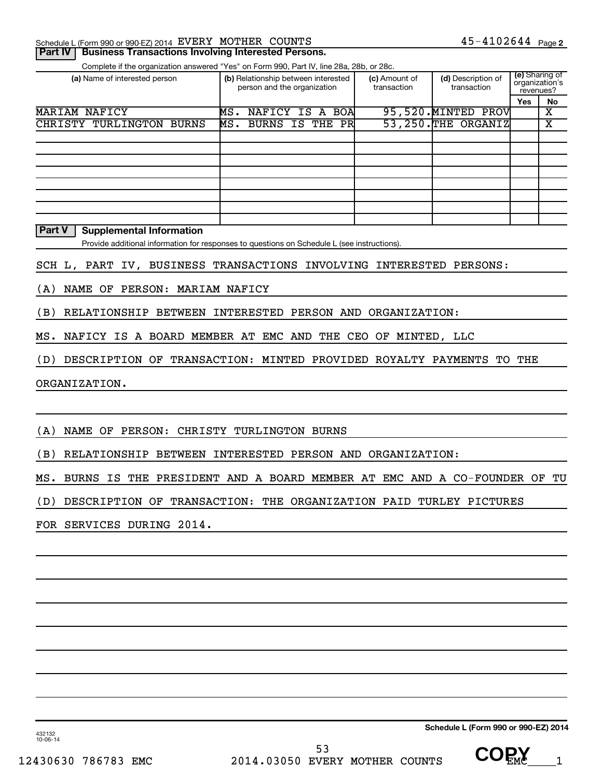| <b>Part IV   Business Transactions Involving Interested Persons.</b> |  |                       |  |
|----------------------------------------------------------------------|--|-----------------------|--|
| Schedule L (Form 990 or 990-EZ) 2014 EVERY MOTHER COUNTS             |  | $45 - 4102644$ Page 2 |  |

Complete if the organization answered "Yes" on Form 990, Part IV, line 28a, 28b, or 28c.

| (a) Name of interested person | (b) Relationship between interested<br>person and the organization | (c) Amount of<br>transaction | (d) Description of<br>transaction | revenues?  | (e) Sharing of<br>organization's |
|-------------------------------|--------------------------------------------------------------------|------------------------------|-----------------------------------|------------|----------------------------------|
|                               |                                                                    |                              |                                   | <b>Yes</b> | No                               |
| MARIAM NAFICY                 | NAFICY IS A BOA<br>MS.                                             | 95,520. MINTED               | PROVI                             |            | х                                |
| CHRISTY TURLINGTON BURNS      | MS. BURNS IS THE PR                                                |                              | 53, 250. THE ORGANIZ              |            | х                                |
|                               |                                                                    |                              |                                   |            |                                  |
|                               |                                                                    |                              |                                   |            |                                  |
|                               |                                                                    |                              |                                   |            |                                  |
|                               |                                                                    |                              |                                   |            |                                  |
|                               |                                                                    |                              |                                   |            |                                  |
|                               |                                                                    |                              |                                   |            |                                  |
|                               |                                                                    |                              |                                   |            |                                  |
|                               |                                                                    |                              |                                   |            |                                  |

#### **Part V Supplemental Information**

Provide additional information for responses to questions on Schedule L (see instructions).

SCH L, PART IV, BUSINESS TRANSACTIONS INVOLVING INTERESTED PERSONS:

(A) NAME OF PERSON: MARIAM NAFICY

(B) RELATIONSHIP BETWEEN INTERESTED PERSON AND ORGANIZATION:

MS. NAFICY IS A BOARD MEMBER AT EMC AND THE CEO OF MINTED, LLC

(D) DESCRIPTION OF TRANSACTION: MINTED PROVIDED ROYALTY PAYMENTS TO THE

ORGANIZATION.

(A) NAME OF PERSON: CHRISTY TURLINGTON BURNS

(B) RELATIONSHIP BETWEEN INTERESTED PERSON AND ORGANIZATION:

MS. BURNS IS THE PRESIDENT AND A BOARD MEMBER AT EMC AND A CO-FOUNDER OF TU

(D) DESCRIPTION OF TRANSACTION: THE ORGANIZATION PAID TURLEY PICTURES

FOR SERVICES DURING 2014.

**Schedule L (Form 990 or 990-EZ) 2014**

432132 10-06-14

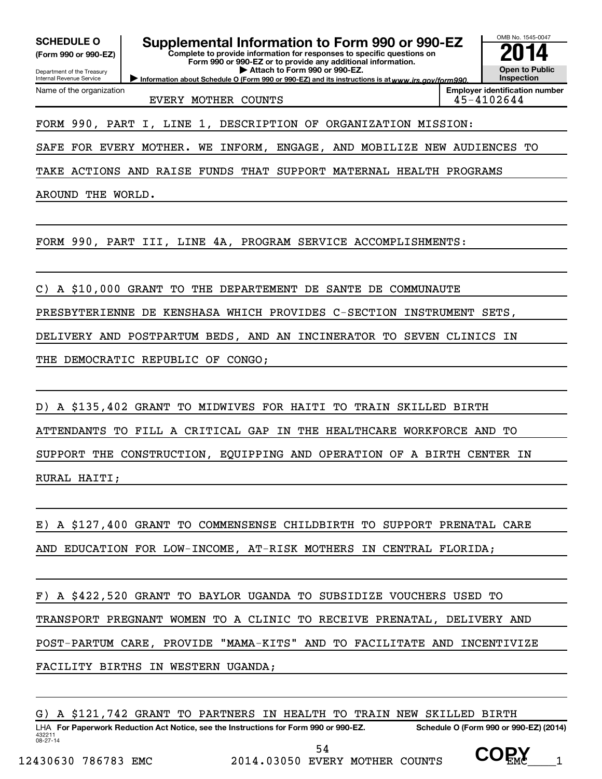OMB No. 1545-0047 Department of the Treasury Internal Revenue Service Information about Schedule O (Form 990 or 990-EZ) and its instructions is at www.irs.gov/form990. **Complete to provide information for responses to specific questions on Form 990 or 990-EZ or to provide any additional information. | Attach to Form 990 or 990-EZ. (Form 990 or 990-EZ) Open to Public Inspection Employer identification number** Name of the organization SCHEDULE O **Supplemental Information to Form 990 or 990-EZ 2014**<br>(Form 990 or 990-EZ) **2014** EVERY MOTHER COUNTS 45-4102644 FORM 990, PART I, LINE 1, DESCRIPTION OF ORGANIZATION MISSION: SAFE FOR EVERY MOTHER. WE INFORM, ENGAGE, AND MOBILIZE NEW AUDIENCES TO TAKE ACTIONS AND RAISE FUNDS THAT SUPPORT MATERNAL HEALTH PROGRAMS AROUND THE WORLD. FORM 990, PART III, LINE 4A, PROGRAM SERVICE ACCOMPLISHMENTS: C) A \$10,000 GRANT TO THE DEPARTEMENT DE SANTE DE COMMUNAUTE PRESBYTERIENNE DE KENSHASA WHICH PROVIDES C-SECTION INSTRUMENT SETS, DELIVERY AND POSTPARTUM BEDS, AND AN INCINERATOR TO SEVEN CLINICS IN THE DEMOCRATIC REPUBLIC OF CONGO; D) A \$135,402 GRANT TO MIDWIVES FOR HAITI TO TRAIN SKILLED BIRTH ATTENDANTS TO FILL A CRITICAL GAP IN THE HEALTHCARE WORKFORCE AND TO SUPPORT THE CONSTRUCTION, EQUIPPING AND OPERATION OF A BIRTH CENTER IN RURAL HAITI;

E) A \$127,400 GRANT TO COMMENSENSE CHILDBIRTH TO SUPPORT PRENATAL CARE AND EDUCATION FOR LOW-INCOME, AT-RISK MOTHERS IN CENTRAL FLORIDA;

F) A \$422,520 GRANT TO BAYLOR UGANDA TO SUBSIDIZE VOUCHERS USED TO TRANSPORT PREGNANT WOMEN TO A CLINIC TO RECEIVE PRENATAL, DELIVERY AND POST-PARTUM CARE, PROVIDE "MAMA-KITS" AND TO FACILITATE AND INCENTIVIZE FACILITY BIRTHS IN WESTERN UGANDA;

432211 08-27-14 LHA For Paperwork Reduction Act Notice, see the Instructions for Form 990 or 990-EZ. Schedule O (Form 990 or 990-EZ) (2014) G) A \$121,742 GRANT TO PARTNERS IN HEALTH TO TRAIN NEW SKILLED BIRTH

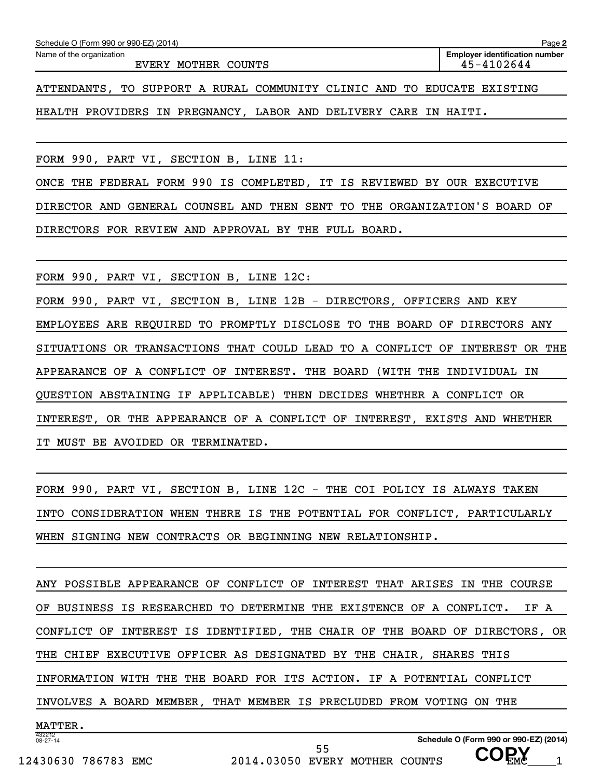| Schedule O (Form 990 or 990-EZ) (2014)                                  | Page 2                                              |  |  |
|-------------------------------------------------------------------------|-----------------------------------------------------|--|--|
| Name of the organization<br>EVERY MOTHER COUNTS                         | <b>Employer identification number</b><br>45-4102644 |  |  |
| ATTENDANTS, TO SUPPORT A RURAL COMMUNITY CLINIC AND TO EDUCATE EXISTING |                                                     |  |  |
| HEALTH PROVIDERS IN PREGNANCY, LABOR AND DELIVERY CARE IN HAITI.        |                                                     |  |  |

FORM 990, PART VI, SECTION B, LINE 11:

ONCE THE FEDERAL FORM 990 IS COMPLETED, IT IS REVIEWED BY OUR EXECUTIVE DIRECTOR AND GENERAL COUNSEL AND THEN SENT TO THE ORGANIZATION'S BOARD OF DIRECTORS FOR REVIEW AND APPROVAL BY THE FULL BOARD.

FORM 990, PART VI, SECTION B, LINE 12C:

FORM 990, PART VI, SECTION B, LINE 12B - DIRECTORS, OFFICERS AND KEY EMPLOYEES ARE REQUIRED TO PROMPTLY DISCLOSE TO THE BOARD OF DIRECTORS ANY SITUATIONS OR TRANSACTIONS THAT COULD LEAD TO A CONFLICT OF INTEREST OR THE APPEARANCE OF A CONFLICT OF INTEREST. THE BOARD (WITH THE INDIVIDUAL IN QUESTION ABSTAINING IF APPLICABLE) THEN DECIDES WHETHER A CONFLICT OR INTEREST, OR THE APPEARANCE OF A CONFLICT OF INTEREST, EXISTS AND WHETHER IT MUST BE AVOIDED OR TERMINATED.

FORM 990, PART VI, SECTION B, LINE 12C - THE COI POLICY IS ALWAYS TAKEN INTO CONSIDERATION WHEN THERE IS THE POTENTIAL FOR CONFLICT, PARTICULARLY WHEN SIGNING NEW CONTRACTS OR BEGINNING NEW RELATIONSHIP.

432212 08-27-14 **Schedule O (Form 990 or 990-EZ) (2014)** ANY POSSIBLE APPEARANCE OF CONFLICT OF INTEREST THAT ARISES IN THE COURSE OF BUSINESS IS RESEARCHED TO DETERMINE THE EXISTENCE OF A CONFLICT. IF A CONFLICT OF INTEREST IS IDENTIFIED, THE CHAIR OF THE BOARD OF DIRECTORS, OR THE CHIEF EXECUTIVE OFFICER AS DESIGNATED BY THE CHAIR, SHARES THIS INFORMATION WITH THE THE BOARD FOR ITS ACTION. IF A POTENTIAL CONFLICT INVOLVES A BOARD MEMBER, THAT MEMBER IS PRECLUDED FROM VOTING ON THE MATTER.

 **COPY**